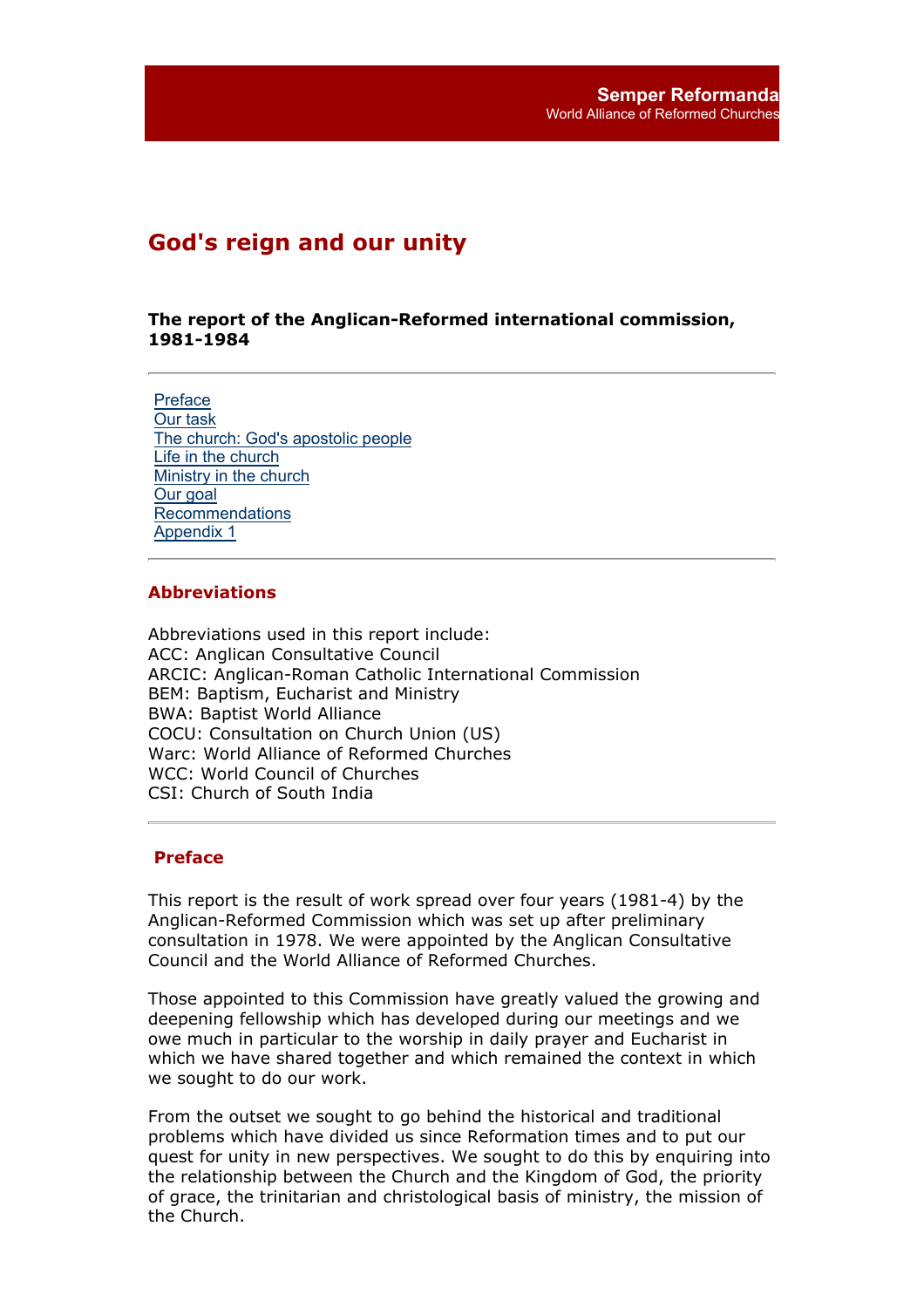# **God's reign and our unity**

### **The report of the Anglican-Reformed international commission, 1981-1984**

Preface Our task The church: God's apostolic people Life in the church Ministry in the church Our goal Recommendations Appendix 1

### **Abbreviations**

Abbreviations used in this report include: ACC: Anglican Consultative Council ARCIC: Anglican-Roman Catholic International Commission BEM: Baptism, Eucharist and Ministry BWA: Baptist World Alliance COCU: Consultation on Church Union (US) Warc: World Alliance of Reformed Churches WCC: World Council of Churches CSI: Church of South India

### **Preface**

This report is the result of work spread over four years (1981-4) by the Anglican-Reformed Commission which was set up after preliminary consultation in 1978. We were appointed by the Anglican Consultative Council and the World Alliance of Reformed Churches.

Those appointed to this Commission have greatly valued the growing and deepening fellowship which has developed during our meetings and we owe much in particular to the worship in daily prayer and Eucharist in which we have shared together and which remained the context in which we sought to do our work.

From the outset we sought to go behind the historical and traditional problems which have divided us since Reformation times and to put our quest for unity in new perspectives. We sought to do this by enquiring into the relationship between the Church and the Kingdom of God, the priority of grace, the trinitarian and christological basis of ministry, the mission of the Church.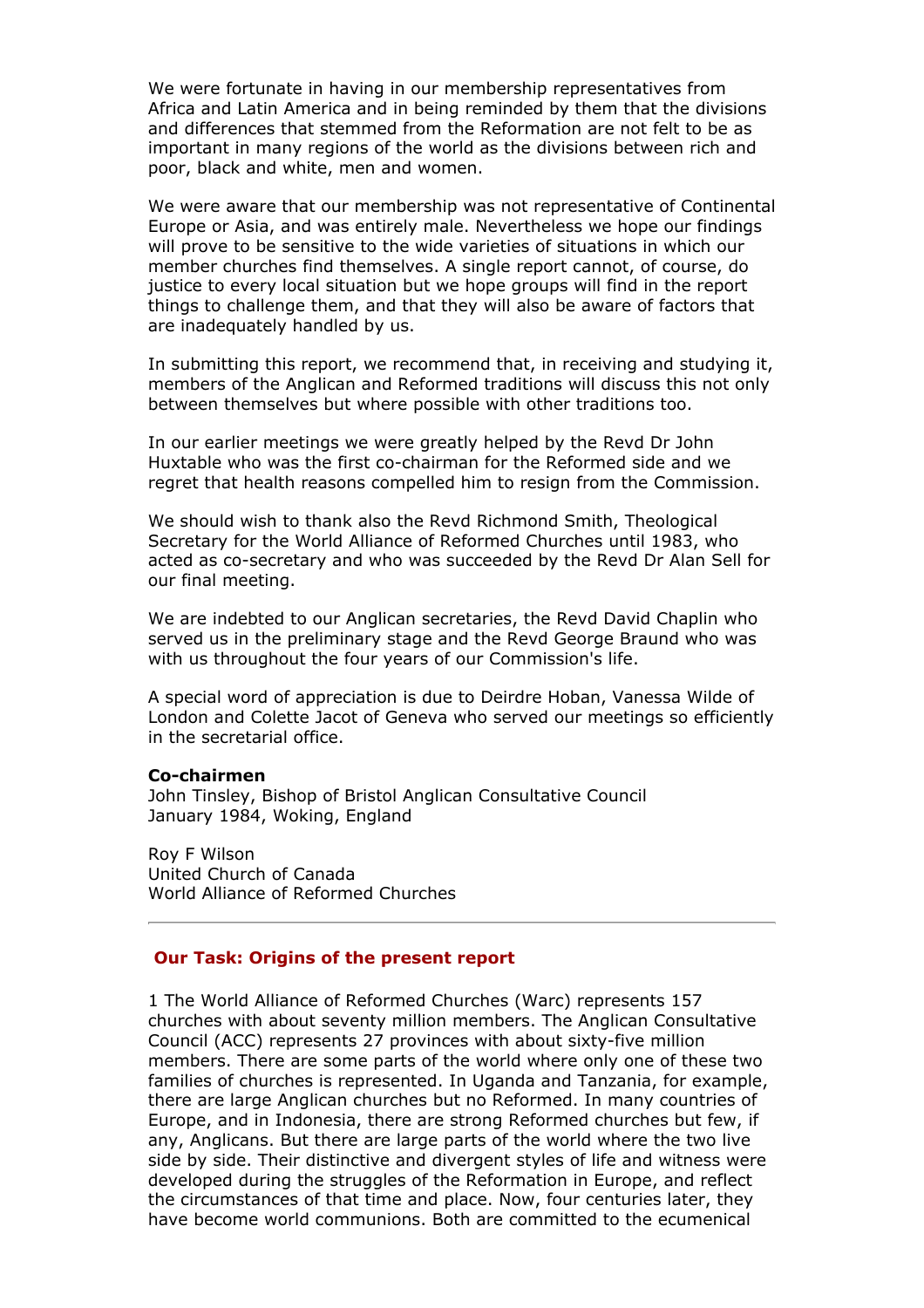We were fortunate in having in our membership representatives from Africa and Latin America and in being reminded by them that the divisions and differences that stemmed from the Reformation are not felt to be as important in many regions of the world as the divisions between rich and poor, black and white, men and women.

We were aware that our membership was not representative of Continental Europe or Asia, and was entirely male. Nevertheless we hope our findings will prove to be sensitive to the wide varieties of situations in which our member churches find themselves. A single report cannot, of course, do justice to every local situation but we hope groups will find in the report things to challenge them, and that they will also be aware of factors that are inadequately handled by us.

In submitting this report, we recommend that, in receiving and studying it, members of the Anglican and Reformed traditions will discuss this not only between themselves but where possible with other traditions too.

In our earlier meetings we were greatly helped by the Revd Dr John Huxtable who was the first co-chairman for the Reformed side and we regret that health reasons compelled him to resign from the Commission.

We should wish to thank also the Revd Richmond Smith, Theological Secretary for the World Alliance of Reformed Churches until 1983, who acted as co-secretary and who was succeeded by the Revd Dr Alan Sell for our final meeting.

We are indebted to our Anglican secretaries, the Revd David Chaplin who served us in the preliminary stage and the Revd George Braund who was with us throughout the four years of our Commission's life.

A special word of appreciation is due to Deirdre Hoban, Vanessa Wilde of London and Colette Jacot of Geneva who served our meetings so efficiently in the secretarial office.

#### **Co-chairmen**

John Tinsley, Bishop of Bristol Anglican Consultative Council January 1984, Woking, England

Roy F Wilson United Church of Canada World Alliance of Reformed Churches

#### **Our Task: Origins of the present report**

1 The World Alliance of Reformed Churches (Warc) represents 157 churches with about seventy million members. The Anglican Consultative Council (ACC) represents 27 provinces with about sixty-five million members. There are some parts of the world where only one of these two families of churches is represented. In Uganda and Tanzania, for example, there are large Anglican churches but no Reformed. In many countries of Europe, and in Indonesia, there are strong Reformed churches but few, if any, Anglicans. But there are large parts of the world where the two live side by side. Their distinctive and divergent styles of life and witness were developed during the struggles of the Reformation in Europe, and reflect the circumstances of that time and place. Now, four centuries later, they have become world communions. Both are committed to the ecumenical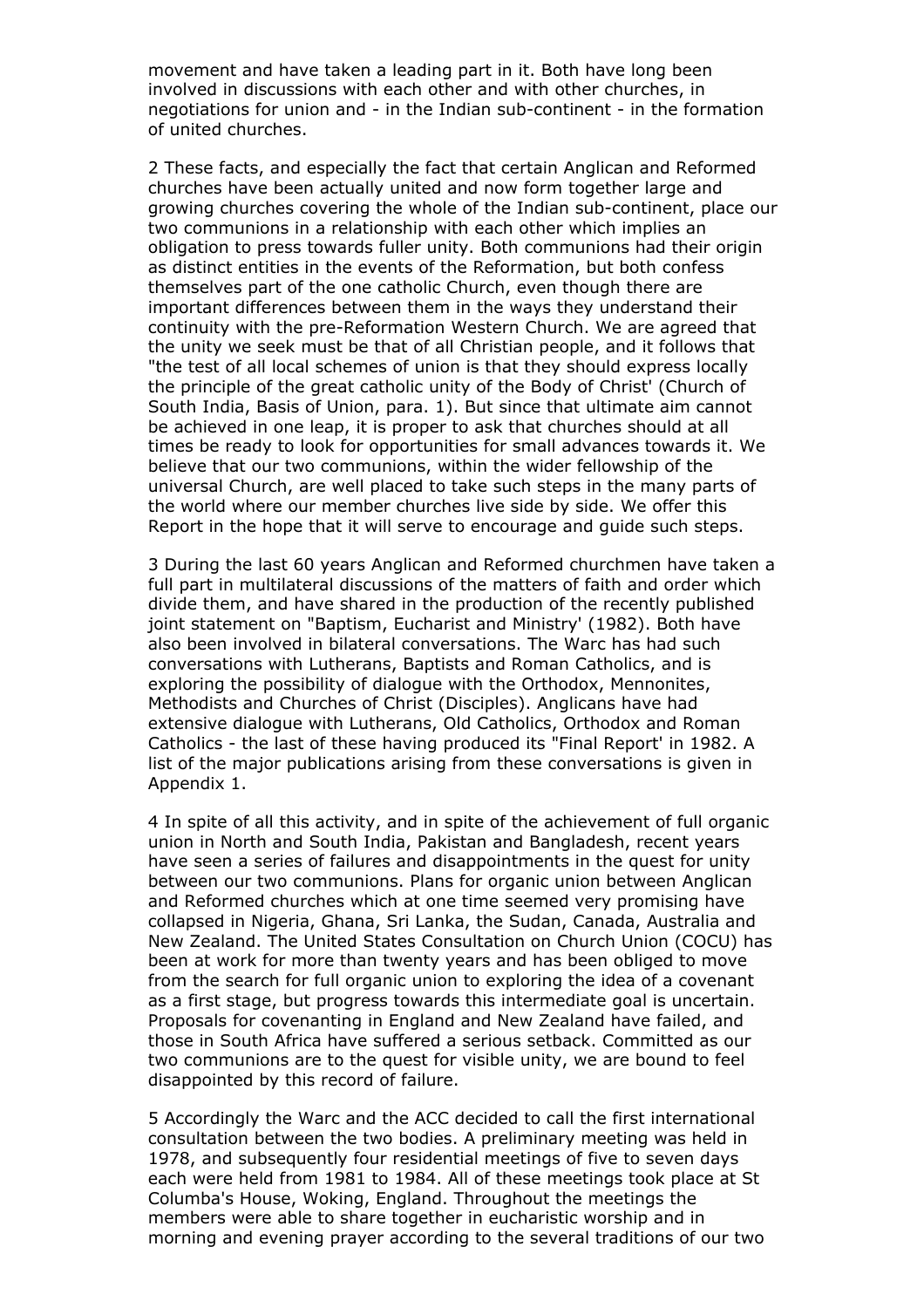movement and have taken a leading part in it. Both have long been involved in discussions with each other and with other churches, in negotiations for union and - in the Indian sub-continent - in the formation of united churches.

2 These facts, and especially the fact that certain Anglican and Reformed churches have been actually united and now form together large and growing churches covering the whole of the Indian sub-continent, place our two communions in a relationship with each other which implies an obligation to press towards fuller unity. Both communions had their origin as distinct entities in the events of the Reformation, but both confess themselves part of the one catholic Church, even though there are important differences between them in the ways they understand their continuity with the pre-Reformation Western Church. We are agreed that the unity we seek must be that of all Christian people, and it follows that "the test of all local schemes of union is that they should express locally the principle of the great catholic unity of the Body of Christ' (Church of South India, Basis of Union, para. 1). But since that ultimate aim cannot be achieved in one leap, it is proper to ask that churches should at all times be ready to look for opportunities for small advances towards it. We believe that our two communions, within the wider fellowship of the universal Church, are well placed to take such steps in the many parts of the world where our member churches live side by side. We offer this Report in the hope that it will serve to encourage and guide such steps.

3 During the last 60 years Anglican and Reformed churchmen have taken a full part in multilateral discussions of the matters of faith and order which divide them, and have shared in the production of the recently published joint statement on "Baptism, Eucharist and Ministry' (1982). Both have also been involved in bilateral conversations. The Warc has had such conversations with Lutherans, Baptists and Roman Catholics, and is exploring the possibility of dialogue with the Orthodox, Mennonites, Methodists and Churches of Christ (Disciples). Anglicans have had extensive dialogue with Lutherans, Old Catholics, Orthodox and Roman Catholics - the last of these having produced its "Final Report' in 1982. A list of the major publications arising from these conversations is given in Appendix 1.

4 In spite of all this activity, and in spite of the achievement of full organic union in North and South India, Pakistan and Bangladesh, recent years have seen a series of failures and disappointments in the quest for unity between our two communions. Plans for organic union between Anglican and Reformed churches which at one time seemed very promising have collapsed in Nigeria, Ghana, Sri Lanka, the Sudan, Canada, Australia and New Zealand. The United States Consultation on Church Union (COCU) has been at work for more than twenty years and has been obliged to move from the search for full organic union to exploring the idea of a covenant as a first stage, but progress towards this intermediate goal is uncertain. Proposals for covenanting in England and New Zealand have failed, and those in South Africa have suffered a serious setback. Committed as our two communions are to the quest for visible unity, we are bound to feel disappointed by this record of failure.

5 Accordingly the Warc and the ACC decided to call the first international consultation between the two bodies. A preliminary meeting was held in 1978, and subsequently four residential meetings of five to seven days each were held from 1981 to 1984. All of these meetings took place at St Columba's House, Woking, England. Throughout the meetings the members were able to share together in eucharistic worship and in morning and evening prayer according to the several traditions of our two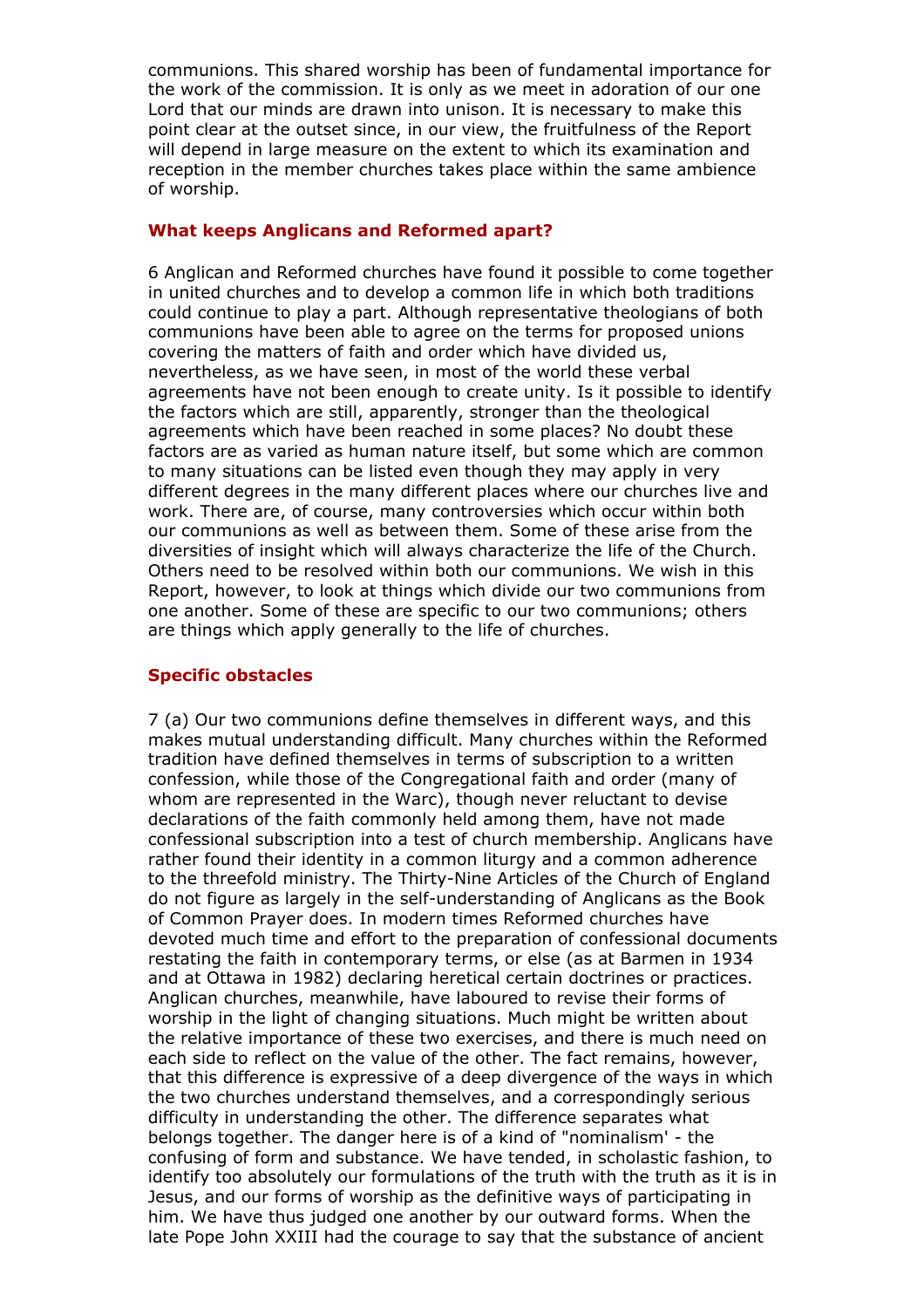communions. This shared worship has been of fundamental importance for the work of the commission. It is only as we meet in adoration of our one Lord that our minds are drawn into unison. It is necessary to make this point clear at the outset since, in our view, the fruitfulness of the Report will depend in large measure on the extent to which its examination and reception in the member churches takes place within the same ambience of worship.

### **What keeps Anglicans and Reformed apart?**

6 Anglican and Reformed churches have found it possible to come together in united churches and to develop a common life in which both traditions could continue to play a part. Although representative theologians of both communions have been able to agree on the terms for proposed unions covering the matters of faith and order which have divided us, nevertheless, as we have seen, in most of the world these verbal agreements have not been enough to create unity. Is it possible to identify the factors which are still, apparently, stronger than the theological agreements which have been reached in some places? No doubt these factors are as varied as human nature itself, but some which are common to many situations can be listed even though they may apply in very different degrees in the many different places where our churches live and work. There are, of course, many controversies which occur within both our communions as well as between them. Some of these arise from the diversities of insight which will always characterize the life of the Church. Others need to be resolved within both our communions. We wish in this Report, however, to look at things which divide our two communions from one another. Some of these are specific to our two communions; others are things which apply generally to the life of churches.

### **Specific obstacles**

7 (a) Our two communions define themselves in different ways, and this makes mutual understanding difficult. Many churches within the Reformed tradition have defined themselves in terms of subscription to a written confession, while those of the Congregational faith and order (many of whom are represented in the Warc), though never reluctant to devise declarations of the faith commonly held among them, have not made confessional subscription into a test of church membership. Anglicans have rather found their identity in a common liturgy and a common adherence to the threefold ministry. The Thirty-Nine Articles of the Church of England do not figure as largely in the self-understanding of Anglicans as the Book of Common Prayer does. In modern times Reformed churches have devoted much time and effort to the preparation of confessional documents restating the faith in contemporary terms, or else (as at Barmen in 1934 and at Ottawa in 1982) declaring heretical certain doctrines or practices. Anglican churches, meanwhile, have laboured to revise their forms of worship in the light of changing situations. Much might be written about the relative importance of these two exercises, and there is much need on each side to reflect on the value of the other. The fact remains, however, that this difference is expressive of a deep divergence of the ways in which the two churches understand themselves, and a correspondingly serious difficulty in understanding the other. The difference separates what belongs together. The danger here is of a kind of "nominalism' - the confusing of form and substance. We have tended, in scholastic fashion, to identify too absolutely our formulations of the truth with the truth as it is in Jesus, and our forms of worship as the definitive ways of participating in him. We have thus judged one another by our outward forms. When the late Pope John XXIII had the courage to say that the substance of ancient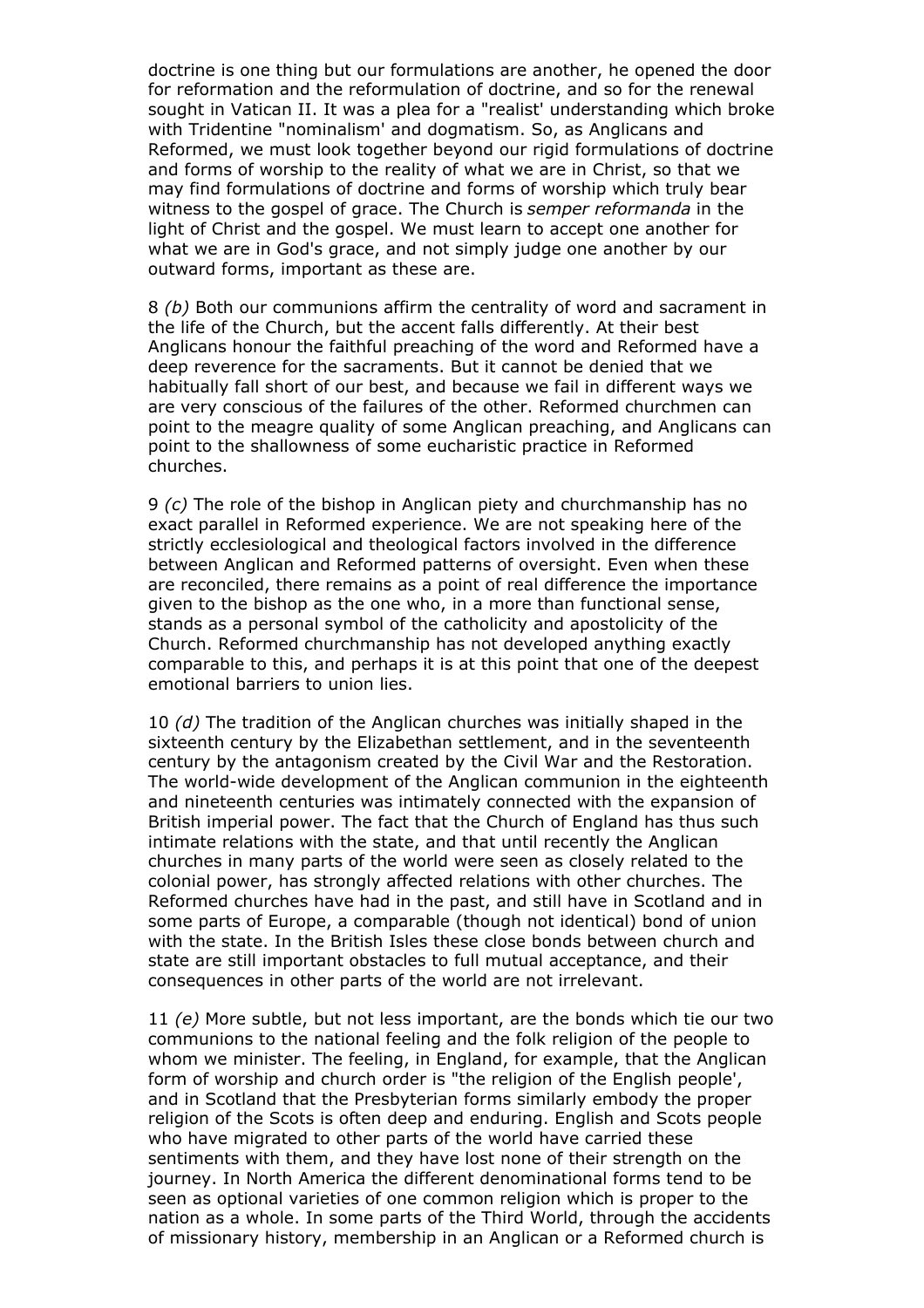doctrine is one thing but our formulations are another, he opened the door for reformation and the reformulation of doctrine, and so for the renewal sought in Vatican II. It was a plea for a "realist' understanding which broke with Tridentine "nominalism' and dogmatism. So, as Anglicans and Reformed, we must look together beyond our rigid formulations of doctrine and forms of worship to the reality of what we are in Christ, so that we may find formulations of doctrine and forms of worship which truly bear witness to the gospel of grace. The Church is *semper reformanda* in the light of Christ and the gospel. We must learn to accept one another for what we are in God's grace, and not simply judge one another by our outward forms, important as these are.

8 *(b)* Both our communions affirm the centrality of word and sacrament in the life of the Church, but the accent falls differently. At their best Anglicans honour the faithful preaching of the word and Reformed have a deep reverence for the sacraments. But it cannot be denied that we habitually fall short of our best, and because we fail in different ways we are very conscious of the failures of the other. Reformed churchmen can point to the meagre quality of some Anglican preaching, and Anglicans can point to the shallowness of some eucharistic practice in Reformed churches.

9 *(c)* The role of the bishop in Anglican piety and churchmanship has no exact parallel in Reformed experience. We are not speaking here of the strictly ecclesiological and theological factors involved in the difference between Anglican and Reformed patterns of oversight. Even when these are reconciled, there remains as a point of real difference the importance given to the bishop as the one who, in a more than functional sense, stands as a personal symbol of the catholicity and apostolicity of the Church. Reformed churchmanship has not developed anything exactly comparable to this, and perhaps it is at this point that one of the deepest emotional barriers to union lies.

10 *(d)* The tradition of the Anglican churches was initially shaped in the sixteenth century by the Elizabethan settlement, and in the seventeenth century by the antagonism created by the Civil War and the Restoration. The world-wide development of the Anglican communion in the eighteenth and nineteenth centuries was intimately connected with the expansion of British imperial power. The fact that the Church of England has thus such intimate relations with the state, and that until recently the Anglican churches in many parts of the world were seen as closely related to the colonial power, has strongly affected relations with other churches. The Reformed churches have had in the past, and still have in Scotland and in some parts of Europe, a comparable (though not identical) bond of union with the state. In the British Isles these close bonds between church and state are still important obstacles to full mutual acceptance, and their consequences in other parts of the world are not irrelevant.

11 *(e)* More subtle, but not less important, are the bonds which tie our two communions to the national feeling and the folk religion of the people to whom we minister. The feeling, in England, for example, that the Anglican form of worship and church order is "the religion of the English people', and in Scotland that the Presbyterian forms similarly embody the proper religion of the Scots is often deep and enduring. English and Scots people who have migrated to other parts of the world have carried these sentiments with them, and they have lost none of their strength on the journey. In North America the different denominational forms tend to be seen as optional varieties of one common religion which is proper to the nation as a whole. In some parts of the Third World, through the accidents of missionary history, membership in an Anglican or a Reformed church is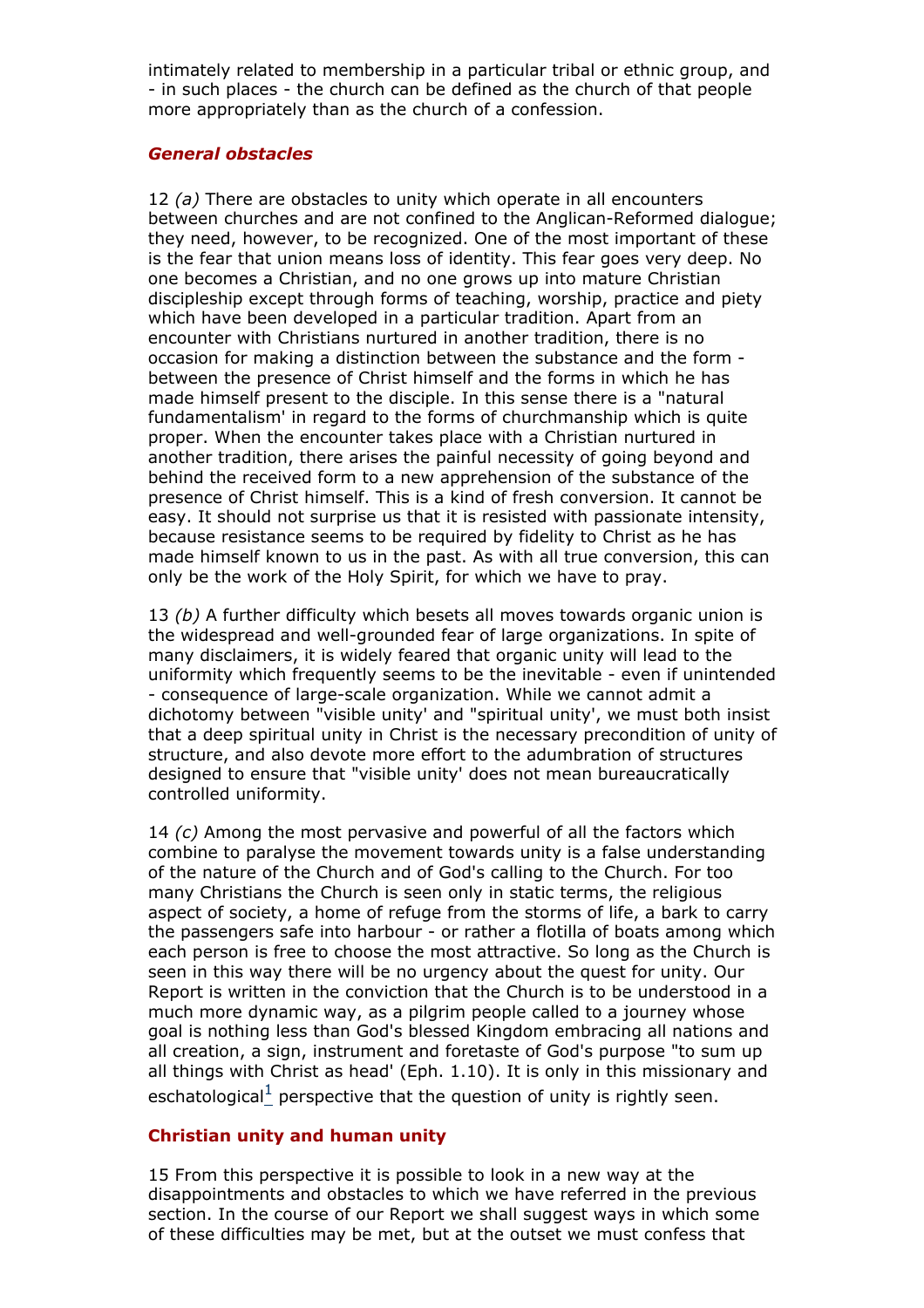intimately related to membership in a particular tribal or ethnic group, and - in such places - the church can be defined as the church of that people more appropriately than as the church of a confession.

# *General obstacles*

12 *(a)* There are obstacles to unity which operate in all encounters between churches and are not confined to the Anglican-Reformed dialogue; they need, however, to be recognized. One of the most important of these is the fear that union means loss of identity. This fear goes very deep. No one becomes a Christian, and no one grows up into mature Christian discipleship except through forms of teaching, worship, practice and piety which have been developed in a particular tradition. Apart from an encounter with Christians nurtured in another tradition, there is no occasion for making a distinction between the substance and the form between the presence of Christ himself and the forms in which he has made himself present to the disciple. In this sense there is a "natural fundamentalism' in regard to the forms of churchmanship which is quite proper. When the encounter takes place with a Christian nurtured in another tradition, there arises the painful necessity of going beyond and behind the received form to a new apprehension of the substance of the presence of Christ himself. This is a kind of fresh conversion. It cannot be easy. It should not surprise us that it is resisted with passionate intensity, because resistance seems to be required by fidelity to Christ as he has made himself known to us in the past. As with all true conversion, this can only be the work of the Holy Spirit, for which we have to pray.

13 *(b)* A further difficulty which besets all moves towards organic union is the widespread and well-grounded fear of large organizations. In spite of many disclaimers, it is widely feared that organic unity will lead to the uniformity which frequently seems to be the inevitable - even if unintended - consequence of large-scale organization. While we cannot admit a dichotomy between "visible unity' and "spiritual unity', we must both insist that a deep spiritual unity in Christ is the necessary precondition of unity of structure, and also devote more effort to the adumbration of structures designed to ensure that "visible unity' does not mean bureaucratically controlled uniformity.

14 *(c)* Among the most pervasive and powerful of all the factors which combine to paralyse the movement towards unity is a false understanding of the nature of the Church and of God's calling to the Church. For too many Christians the Church is seen only in static terms, the religious aspect of society, a home of refuge from the storms of life, a bark to carry the passengers safe into harbour - or rather a flotilla of boats among which each person is free to choose the most attractive. So long as the Church is seen in this way there will be no urgency about the quest for unity. Our Report is written in the conviction that the Church is to be understood in a much more dynamic way, as a pilgrim people called to a journey whose goal is nothing less than God's blessed Kingdom embracing all nations and all creation, a sign, instrument and foretaste of God's purpose "to sum up all things with Christ as head' (Eph. 1.10). It is only in this missionary and eschatological<sup>1</sup> perspective that the question of unity is rightly seen.

# **Christian unity and human unity**

15 From this perspective it is possible to look in a new way at the disappointments and obstacles to which we have referred in the previous section. In the course of our Report we shall suggest ways in which some of these difficulties may be met, but at the outset we must confess that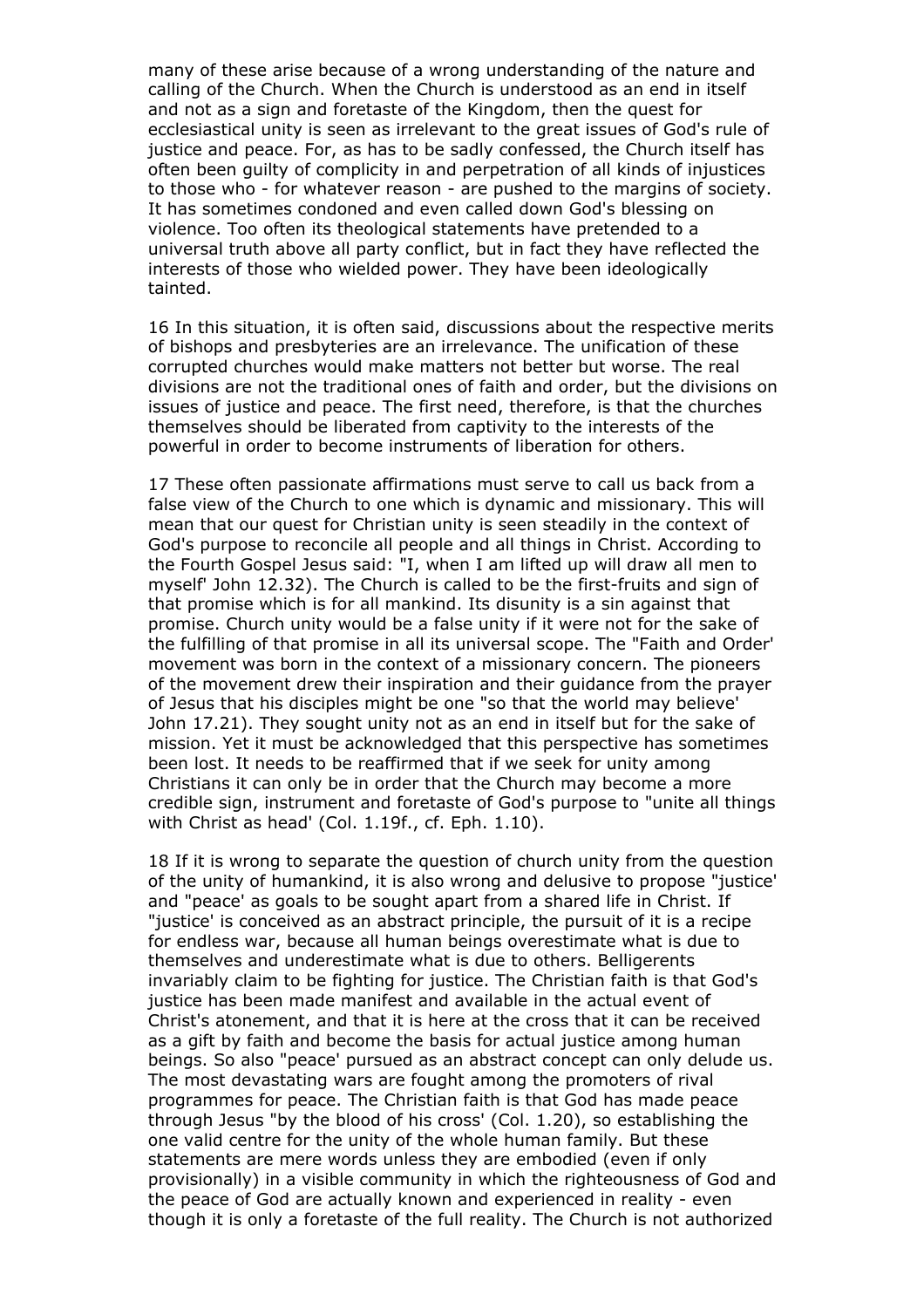many of these arise because of a wrong understanding of the nature and calling of the Church. When the Church is understood as an end in itself and not as a sign and foretaste of the Kingdom, then the quest for ecclesiastical unity is seen as irrelevant to the great issues of God's rule of justice and peace. For, as has to be sadly confessed, the Church itself has often been guilty of complicity in and perpetration of all kinds of injustices to those who - for whatever reason - are pushed to the margins of society. It has sometimes condoned and even called down God's blessing on violence. Too often its theological statements have pretended to a universal truth above all party conflict, but in fact they have reflected the interests of those who wielded power. They have been ideologically tainted.

16 In this situation, it is often said, discussions about the respective merits of bishops and presbyteries are an irrelevance. The unification of these corrupted churches would make matters not better but worse. The real divisions are not the traditional ones of faith and order, but the divisions on issues of justice and peace. The first need, therefore, is that the churches themselves should be liberated from captivity to the interests of the powerful in order to become instruments of liberation for others.

17 These often passionate affirmations must serve to call us back from a false view of the Church to one which is dynamic and missionary. This will mean that our quest for Christian unity is seen steadily in the context of God's purpose to reconcile all people and all things in Christ. According to the Fourth Gospel Jesus said: "I, when I am lifted up will draw all men to myself' John 12.32). The Church is called to be the first-fruits and sign of that promise which is for all mankind. Its disunity is a sin against that promise. Church unity would be a false unity if it were not for the sake of the fulfilling of that promise in all its universal scope. The "Faith and Order' movement was born in the context of a missionary concern. The pioneers of the movement drew their inspiration and their guidance from the prayer of Jesus that his disciples might be one "so that the world may believe' John 17.21). They sought unity not as an end in itself but for the sake of mission. Yet it must be acknowledged that this perspective has sometimes been lost. It needs to be reaffirmed that if we seek for unity among Christians it can only be in order that the Church may become a more credible sign, instrument and foretaste of God's purpose to "unite all things with Christ as head' (Col. 1.19f., cf. Eph. 1.10).

18 If it is wrong to separate the question of church unity from the question of the unity of humankind, it is also wrong and delusive to propose "justice' and "peace' as goals to be sought apart from a shared life in Christ. If "justice' is conceived as an abstract principle, the pursuit of it is a recipe for endless war, because all human beings overestimate what is due to themselves and underestimate what is due to others. Belligerents invariably claim to be fighting for justice. The Christian faith is that God's justice has been made manifest and available in the actual event of Christ's atonement, and that it is here at the cross that it can be received as a gift by faith and become the basis for actual justice among human beings. So also "peace' pursued as an abstract concept can only delude us. The most devastating wars are fought among the promoters of rival programmes for peace. The Christian faith is that God has made peace through Jesus "by the blood of his cross' (Col. 1.20), so establishing the one valid centre for the unity of the whole human family. But these statements are mere words unless they are embodied (even if only provisionally) in a visible community in which the righteousness of God and the peace of God are actually known and experienced in reality - even though it is only a foretaste of the full reality. The Church is not authorized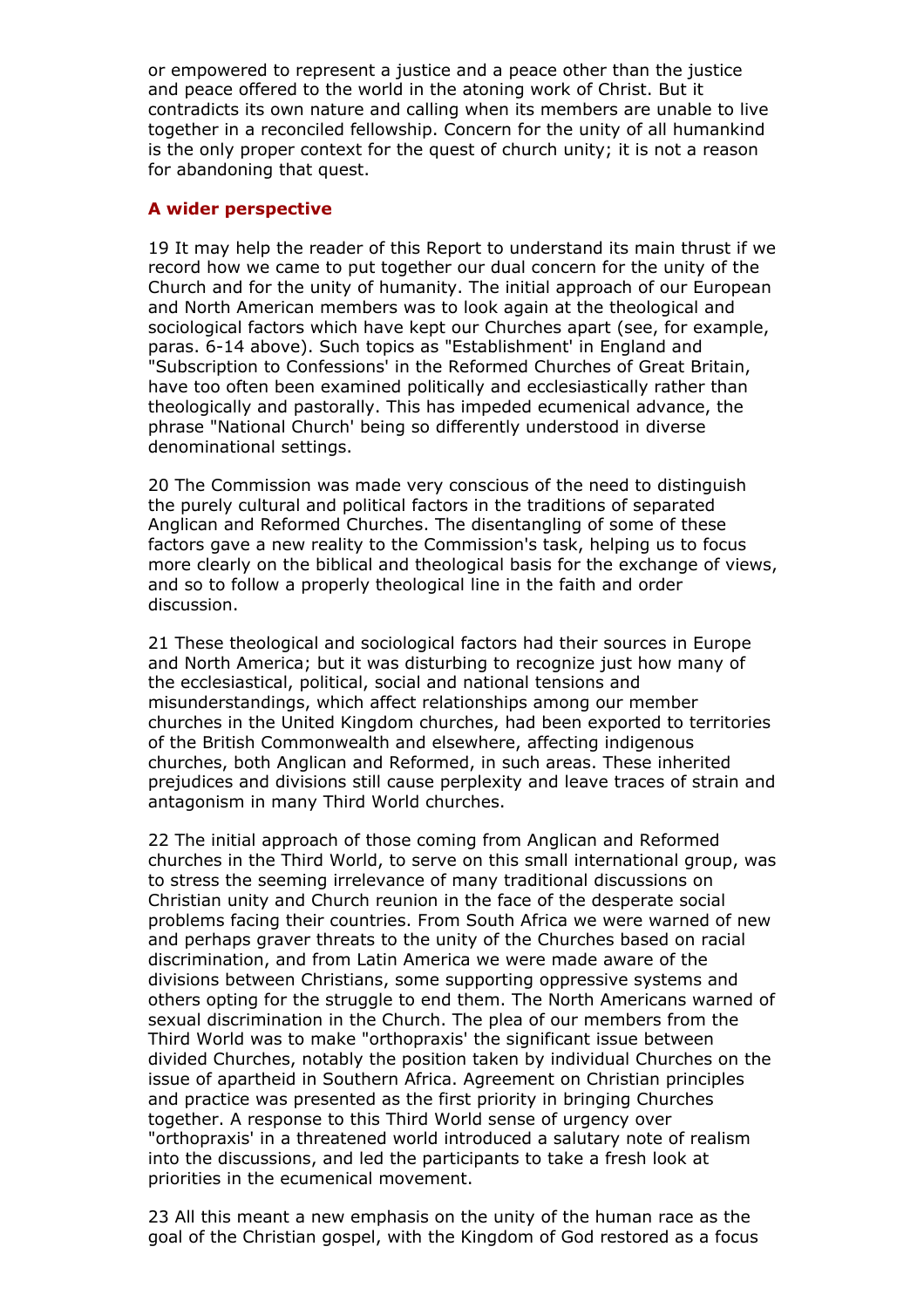or empowered to represent a justice and a peace other than the justice and peace offered to the world in the atoning work of Christ. But it contradicts its own nature and calling when its members are unable to live together in a reconciled fellowship. Concern for the unity of all humankind is the only proper context for the quest of church unity; it is not a reason for abandoning that quest.

# **A wider perspective**

19 It may help the reader of this Report to understand its main thrust if we record how we came to put together our dual concern for the unity of the Church and for the unity of humanity. The initial approach of our European and North American members was to look again at the theological and sociological factors which have kept our Churches apart (see, for example, paras. 6-14 above). Such topics as "Establishment' in England and "Subscription to Confessions' in the Reformed Churches of Great Britain, have too often been examined politically and ecclesiastically rather than theologically and pastorally. This has impeded ecumenical advance, the phrase "National Church' being so differently understood in diverse denominational settings.

20 The Commission was made very conscious of the need to distinguish the purely cultural and political factors in the traditions of separated Anglican and Reformed Churches. The disentangling of some of these factors gave a new reality to the Commission's task, helping us to focus more clearly on the biblical and theological basis for the exchange of views, and so to follow a properly theological line in the faith and order discussion.

21 These theological and sociological factors had their sources in Europe and North America; but it was disturbing to recognize just how many of the ecclesiastical, political, social and national tensions and misunderstandings, which affect relationships among our member churches in the United Kingdom churches, had been exported to territories of the British Commonwealth and elsewhere, affecting indigenous churches, both Anglican and Reformed, in such areas. These inherited prejudices and divisions still cause perplexity and leave traces of strain and antagonism in many Third World churches.

22 The initial approach of those coming from Anglican and Reformed churches in the Third World, to serve on this small international group, was to stress the seeming irrelevance of many traditional discussions on Christian unity and Church reunion in the face of the desperate social problems facing their countries. From South Africa we were warned of new and perhaps graver threats to the unity of the Churches based on racial discrimination, and from Latin America we were made aware of the divisions between Christians, some supporting oppressive systems and others opting for the struggle to end them. The North Americans warned of sexual discrimination in the Church. The plea of our members from the Third World was to make "orthopraxis' the significant issue between divided Churches, notably the position taken by individual Churches on the issue of apartheid in Southern Africa. Agreement on Christian principles and practice was presented as the first priority in bringing Churches together. A response to this Third World sense of urgency over "orthopraxis' in a threatened world introduced a salutary note of realism into the discussions, and led the participants to take a fresh look at priorities in the ecumenical movement.

23 All this meant a new emphasis on the unity of the human race as the goal of the Christian gospel, with the Kingdom of God restored as a focus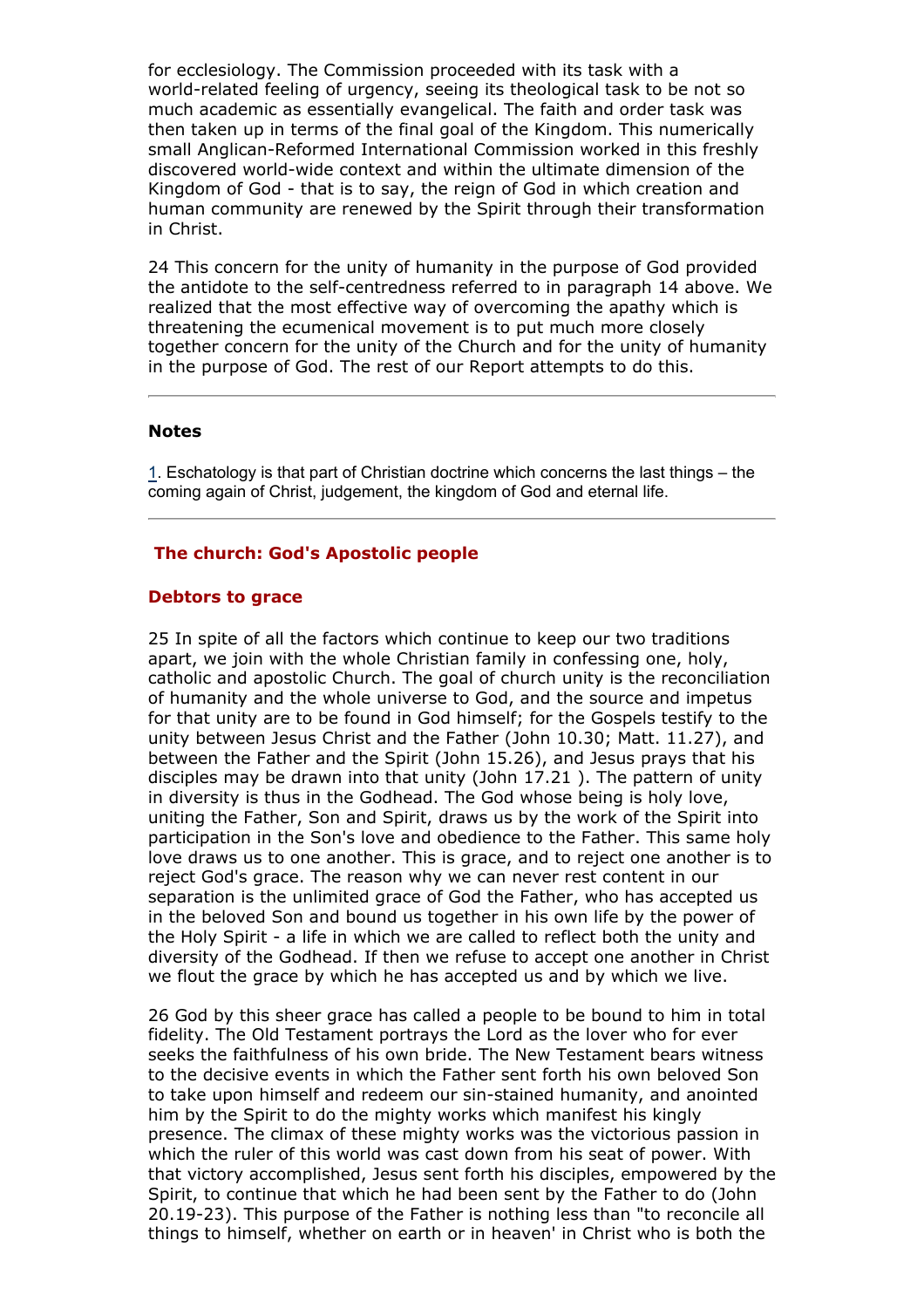for ecclesiology. The Commission proceeded with its task with a world-related feeling of urgency, seeing its theological task to be not so much academic as essentially evangelical. The faith and order task was then taken up in terms of the final goal of the Kingdom. This numerically small Anglican-Reformed International Commission worked in this freshly discovered world-wide context and within the ultimate dimension of the Kingdom of God - that is to say, the reign of God in which creation and human community are renewed by the Spirit through their transformation in Christ.

24 This concern for the unity of humanity in the purpose of God provided the antidote to the self-centredness referred to in paragraph 14 above. We realized that the most effective way of overcoming the apathy which is threatening the ecumenical movement is to put much more closely together concern for the unity of the Church and for the unity of humanity in the purpose of God. The rest of our Report attempts to do this.

#### **Notes**

1. Eschatology is that part of Christian doctrine which concerns the last things – the coming again of Christ, judgement, the kingdom of God and eternal life.

### **The church: God's Apostolic people**

#### **Debtors to grace**

25 In spite of all the factors which continue to keep our two traditions apart, we join with the whole Christian family in confessing one, holy, catholic and apostolic Church. The goal of church unity is the reconciliation of humanity and the whole universe to God, and the source and impetus for that unity are to be found in God himself; for the Gospels testify to the unity between Jesus Christ and the Father (John 10.30; Matt. 11.27), and between the Father and the Spirit (John 15.26), and Jesus prays that his disciples may be drawn into that unity (John 17.21 ). The pattern of unity in diversity is thus in the Godhead. The God whose being is holy love, uniting the Father, Son and Spirit, draws us by the work of the Spirit into participation in the Son's love and obedience to the Father. This same holy love draws us to one another. This is grace, and to reject one another is to reject God's grace. The reason why we can never rest content in our separation is the unlimited grace of God the Father, who has accepted us in the beloved Son and bound us together in his own life by the power of the Holy Spirit - a life in which we are called to reflect both the unity and diversity of the Godhead. If then we refuse to accept one another in Christ we flout the grace by which he has accepted us and by which we live.

26 God by this sheer grace has called a people to be bound to him in total fidelity. The Old Testament portrays the Lord as the lover who for ever seeks the faithfulness of his own bride. The New Testament bears witness to the decisive events in which the Father sent forth his own beloved Son to take upon himself and redeem our sin-stained humanity, and anointed him by the Spirit to do the mighty works which manifest his kingly presence. The climax of these mighty works was the victorious passion in which the ruler of this world was cast down from his seat of power. With that victory accomplished, Jesus sent forth his disciples, empowered by the Spirit, to continue that which he had been sent by the Father to do (John 20.19-23). This purpose of the Father is nothing less than "to reconcile all things to himself, whether on earth or in heaven' in Christ who is both the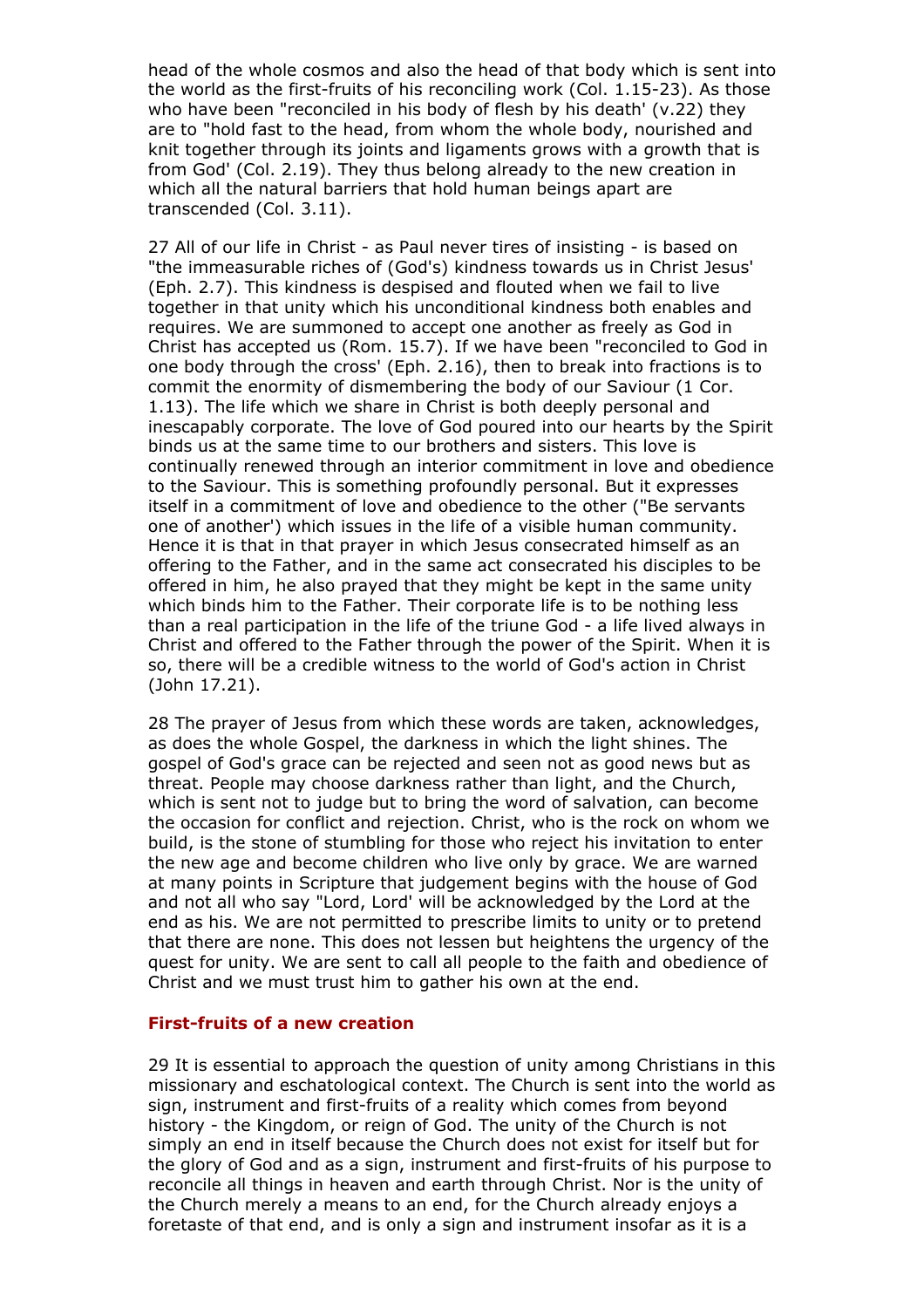head of the whole cosmos and also the head of that body which is sent into the world as the first-fruits of his reconciling work (Col. 1.15-23). As those who have been "reconciled in his body of flesh by his death' (v.22) they are to "hold fast to the head, from whom the whole body, nourished and knit together through its joints and ligaments grows with a growth that is from God' (Col. 2.19). They thus belong already to the new creation in which all the natural barriers that hold human beings apart are transcended (Col. 3.11).

27 All of our life in Christ - as Paul never tires of insisting - is based on "the immeasurable riches of (God's) kindness towards us in Christ Jesus' (Eph. 2.7). This kindness is despised and flouted when we fail to live together in that unity which his unconditional kindness both enables and requires. We are summoned to accept one another as freely as God in Christ has accepted us (Rom. 15.7). If we have been "reconciled to God in one body through the cross' (Eph. 2.16), then to break into fractions is to commit the enormity of dismembering the body of our Saviour (1 Cor. 1.13). The life which we share in Christ is both deeply personal and inescapably corporate. The love of God poured into our hearts by the Spirit binds us at the same time to our brothers and sisters. This love is continually renewed through an interior commitment in love and obedience to the Saviour. This is something profoundly personal. But it expresses itself in a commitment of love and obedience to the other ("Be servants one of another') which issues in the life of a visible human community. Hence it is that in that prayer in which Jesus consecrated himself as an offering to the Father, and in the same act consecrated his disciples to be offered in him, he also prayed that they might be kept in the same unity which binds him to the Father. Their corporate life is to be nothing less than a real participation in the life of the triune God - a life lived always in Christ and offered to the Father through the power of the Spirit. When it is so, there will be a credible witness to the world of God's action in Christ (John 17.21).

28 The prayer of Jesus from which these words are taken, acknowledges, as does the whole Gospel, the darkness in which the light shines. The gospel of God's grace can be rejected and seen not as good news but as threat. People may choose darkness rather than light, and the Church, which is sent not to judge but to bring the word of salvation, can become the occasion for conflict and rejection. Christ, who is the rock on whom we build, is the stone of stumbling for those who reject his invitation to enter the new age and become children who live only by grace. We are warned at many points in Scripture that judgement begins with the house of God and not all who say "Lord, Lord' will be acknowledged by the Lord at the end as his. We are not permitted to prescribe limits to unity or to pretend that there are none. This does not lessen but heightens the urgency of the quest for unity. We are sent to call all people to the faith and obedience of Christ and we must trust him to gather his own at the end.

### **First-fruits of a new creation**

29 It is essential to approach the question of unity among Christians in this missionary and eschatological context. The Church is sent into the world as sign, instrument and first-fruits of a reality which comes from beyond history - the Kingdom, or reign of God. The unity of the Church is not simply an end in itself because the Church does not exist for itself but for the glory of God and as a sign, instrument and first-fruits of his purpose to reconcile all things in heaven and earth through Christ. Nor is the unity of the Church merely a means to an end, for the Church already enjoys a foretaste of that end, and is only a sign and instrument insofar as it is a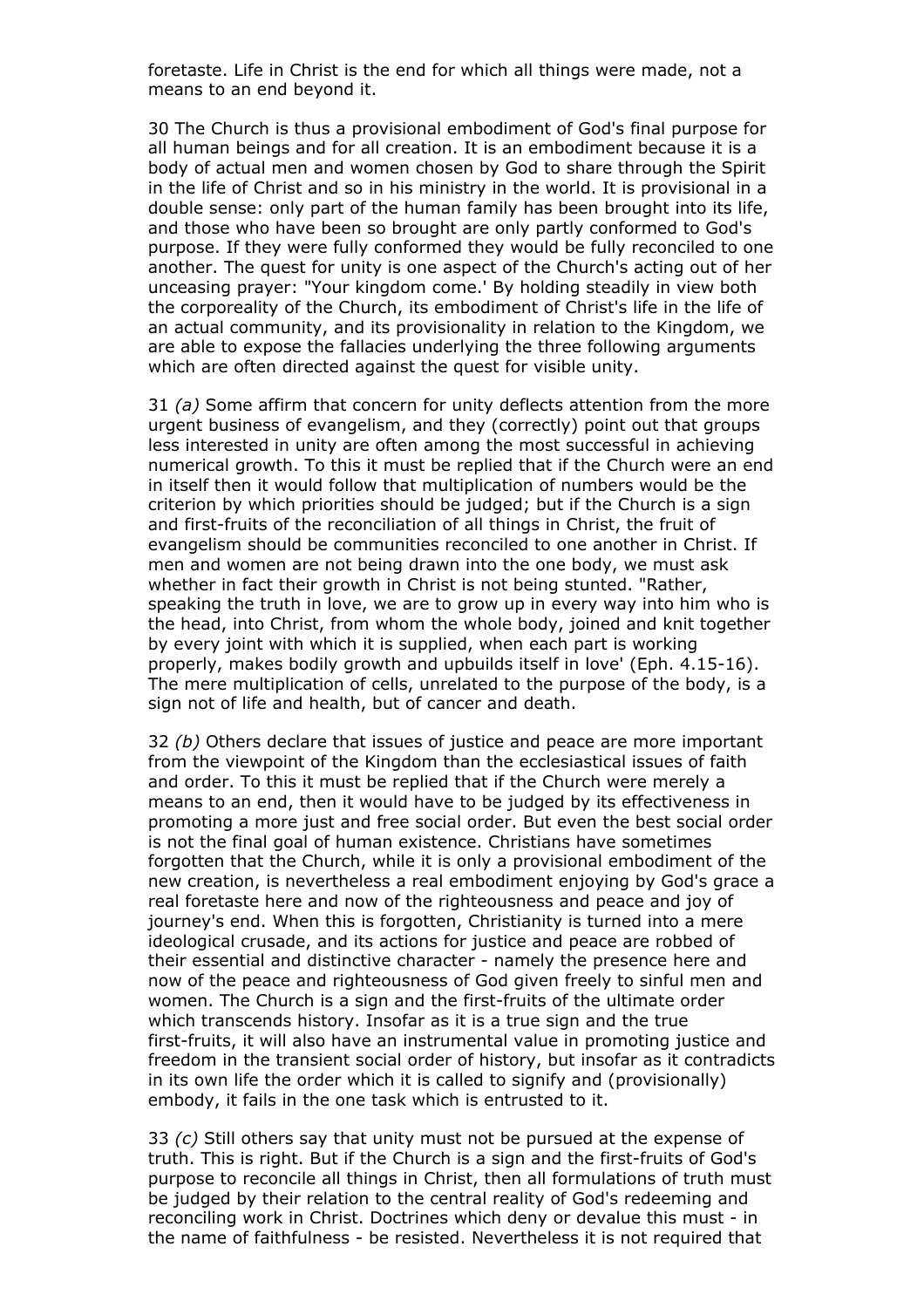foretaste. Life in Christ is the end for which all things were made, not a means to an end beyond it.

30 The Church is thus a provisional embodiment of God's final purpose for all human beings and for all creation. It is an embodiment because it is a body of actual men and women chosen by God to share through the Spirit in the life of Christ and so in his ministry in the world. It is provisional in a double sense: only part of the human family has been brought into its life, and those who have been so brought are only partly conformed to God's purpose. If they were fully conformed they would be fully reconciled to one another. The quest for unity is one aspect of the Church's acting out of her unceasing prayer: "Your kingdom come.' By holding steadily in view both the corporeality of the Church, its embodiment of Christ's life in the life of an actual community, and its provisionality in relation to the Kingdom, we are able to expose the fallacies underlying the three following arguments which are often directed against the quest for visible unity.

31 *(a)* Some affirm that concern for unity deflects attention from the more urgent business of evangelism, and they (correctly) point out that groups less interested in unity are often among the most successful in achieving numerical growth. To this it must be replied that if the Church were an end in itself then it would follow that multiplication of numbers would be the criterion by which priorities should be judged; but if the Church is a sign and first-fruits of the reconciliation of all things in Christ, the fruit of evangelism should be communities reconciled to one another in Christ. If men and women are not being drawn into the one body, we must ask whether in fact their growth in Christ is not being stunted. "Rather, speaking the truth in love, we are to grow up in every way into him who is the head, into Christ, from whom the whole body, joined and knit together by every joint with which it is supplied, when each part is working properly, makes bodily growth and upbuilds itself in love' (Eph. 4.15-16). The mere multiplication of cells, unrelated to the purpose of the body, is a sign not of life and health, but of cancer and death.

32 *(b)* Others declare that issues of justice and peace are more important from the viewpoint of the Kingdom than the ecclesiastical issues of faith and order. To this it must be replied that if the Church were merely a means to an end, then it would have to be judged by its effectiveness in promoting a more just and free social order. But even the best social order is not the final goal of human existence. Christians have sometimes forgotten that the Church, while it is only a provisional embodiment of the new creation, is nevertheless a real embodiment enjoying by God's grace a real foretaste here and now of the righteousness and peace and joy of journey's end. When this is forgotten, Christianity is turned into a mere ideological crusade, and its actions for justice and peace are robbed of their essential and distinctive character - namely the presence here and now of the peace and righteousness of God given freely to sinful men and women. The Church is a sign and the first-fruits of the ultimate order which transcends history. Insofar as it is a true sign and the true first-fruits, it will also have an instrumental value in promoting justice and freedom in the transient social order of history, but insofar as it contradicts in its own life the order which it is called to signify and (provisionally) embody, it fails in the one task which is entrusted to it.

33 *(c)* Still others say that unity must not be pursued at the expense of truth. This is right. But if the Church is a sign and the first-fruits of God's purpose to reconcile all things in Christ, then all formulations of truth must be judged by their relation to the central reality of God's redeeming and reconciling work in Christ. Doctrines which deny or devalue this must - in the name of faithfulness - be resisted. Nevertheless it is not required that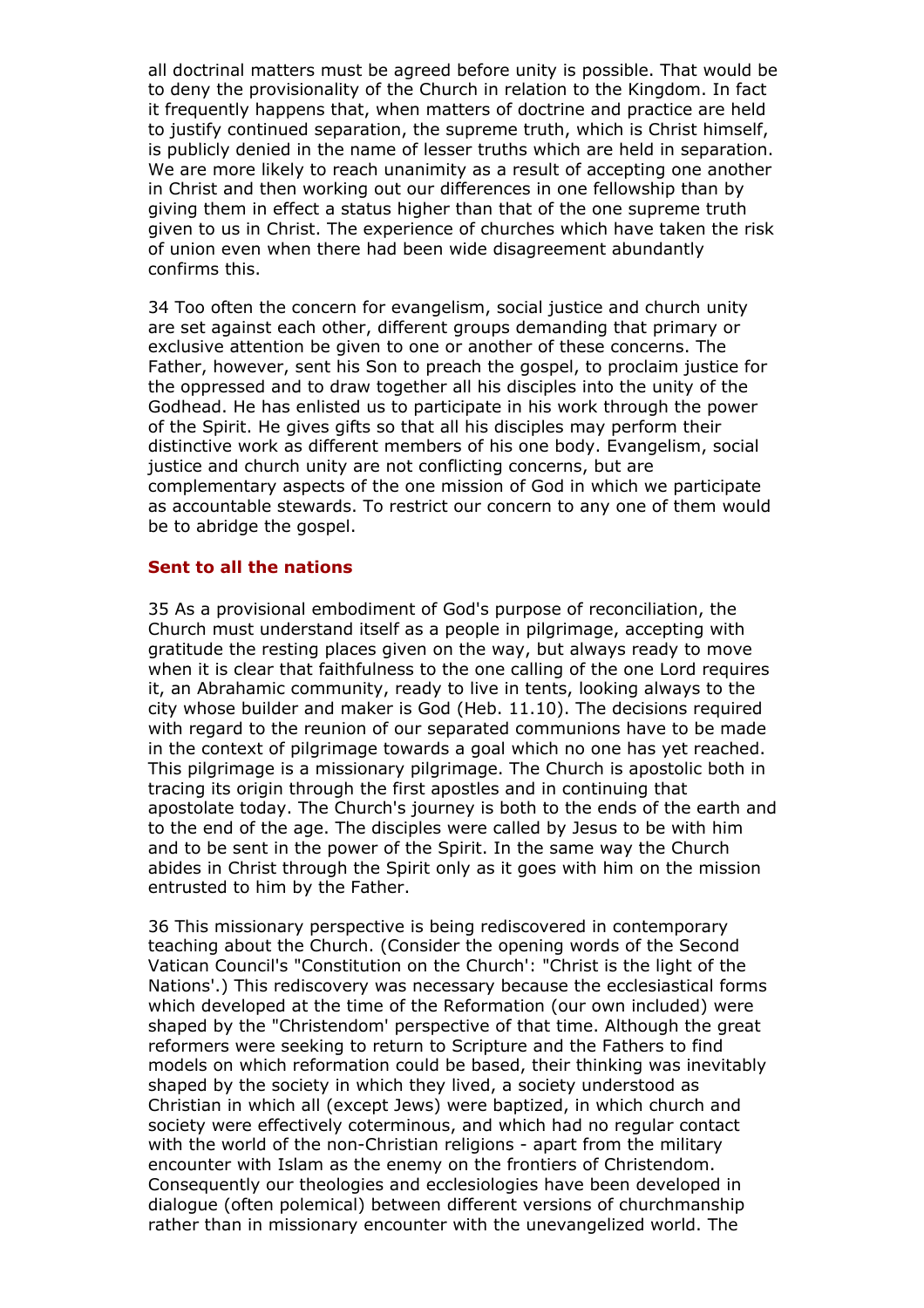all doctrinal matters must be agreed before unity is possible. That would be to deny the provisionality of the Church in relation to the Kingdom. In fact it frequently happens that, when matters of doctrine and practice are held to justify continued separation, the supreme truth, which is Christ himself, is publicly denied in the name of lesser truths which are held in separation. We are more likely to reach unanimity as a result of accepting one another in Christ and then working out our differences in one fellowship than by giving them in effect a status higher than that of the one supreme truth given to us in Christ. The experience of churches which have taken the risk of union even when there had been wide disagreement abundantly confirms this.

34 Too often the concern for evangelism, social justice and church unity are set against each other, different groups demanding that primary or exclusive attention be given to one or another of these concerns. The Father, however, sent his Son to preach the gospel, to proclaim justice for the oppressed and to draw together all his disciples into the unity of the Godhead. He has enlisted us to participate in his work through the power of the Spirit. He gives gifts so that all his disciples may perform their distinctive work as different members of his one body. Evangelism, social justice and church unity are not conflicting concerns, but are complementary aspects of the one mission of God in which we participate as accountable stewards. To restrict our concern to any one of them would be to abridge the gospel.

### **Sent to all the nations**

35 As a provisional embodiment of God's purpose of reconciliation, the Church must understand itself as a people in pilgrimage, accepting with gratitude the resting places given on the way, but always ready to move when it is clear that faithfulness to the one calling of the one Lord requires it, an Abrahamic community, ready to live in tents, looking always to the city whose builder and maker is God (Heb. 11.10). The decisions required with regard to the reunion of our separated communions have to be made in the context of pilgrimage towards a goal which no one has yet reached. This pilgrimage is a missionary pilgrimage. The Church is apostolic both in tracing its origin through the first apostles and in continuing that apostolate today. The Church's journey is both to the ends of the earth and to the end of the age. The disciples were called by Jesus to be with him and to be sent in the power of the Spirit. In the same way the Church abides in Christ through the Spirit only as it goes with him on the mission entrusted to him by the Father.

36 This missionary perspective is being rediscovered in contemporary teaching about the Church. (Consider the opening words of the Second Vatican Council's "Constitution on the Church': "Christ is the light of the Nations'.) This rediscovery was necessary because the ecclesiastical forms which developed at the time of the Reformation (our own included) were shaped by the "Christendom' perspective of that time. Although the great reformers were seeking to return to Scripture and the Fathers to find models on which reformation could be based, their thinking was inevitably shaped by the society in which they lived, a society understood as Christian in which all (except Jews) were baptized, in which church and society were effectively coterminous, and which had no regular contact with the world of the non-Christian religions - apart from the military encounter with Islam as the enemy on the frontiers of Christendom. Consequently our theologies and ecclesiologies have been developed in dialogue (often polemical) between different versions of churchmanship rather than in missionary encounter with the unevangelized world. The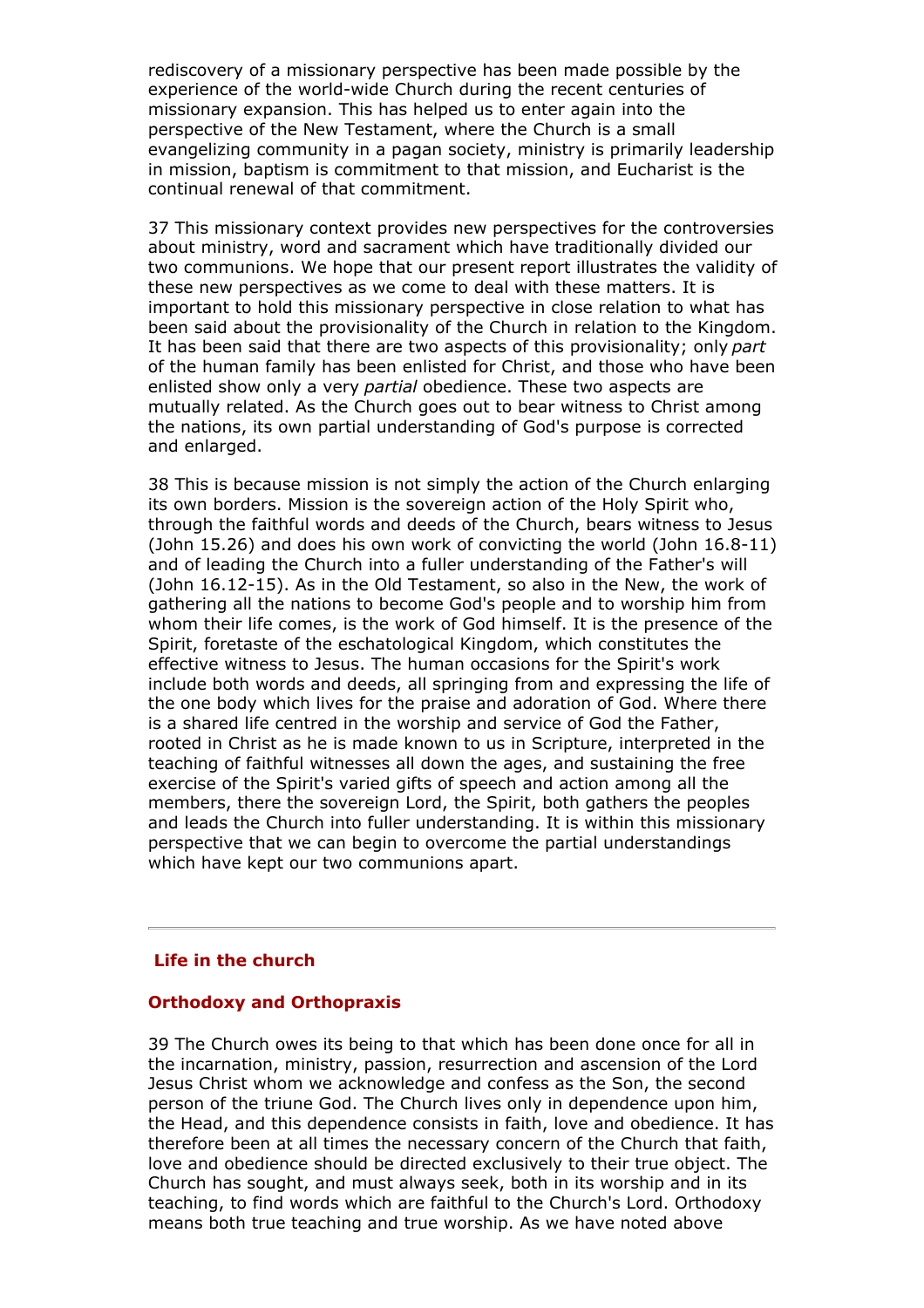rediscovery of a missionary perspective has been made possible by the experience of the world-wide Church during the recent centuries of missionary expansion. This has helped us to enter again into the perspective of the New Testament, where the Church is a small evangelizing community in a pagan society, ministry is primarily leadership in mission, baptism is commitment to that mission, and Eucharist is the continual renewal of that commitment.

37 This missionary context provides new perspectives for the controversies about ministry, word and sacrament which have traditionally divided our two communions. We hope that our present report illustrates the validity of these new perspectives as we come to deal with these matters. It is important to hold this missionary perspective in close relation to what has been said about the provisionality of the Church in relation to the Kingdom. It has been said that there are two aspects of this provisionality; only *part*  of the human family has been enlisted for Christ, and those who have been enlisted show only a very *partial* obedience. These two aspects are mutually related. As the Church goes out to bear witness to Christ among the nations, its own partial understanding of God's purpose is corrected and enlarged.

38 This is because mission is not simply the action of the Church enlarging its own borders. Mission is the sovereign action of the Holy Spirit who, through the faithful words and deeds of the Church, bears witness to Jesus (John 15.26) and does his own work of convicting the world (John 16.8-11) and of leading the Church into a fuller understanding of the Father's will (John 16.12-15). As in the Old Testament, so also in the New, the work of gathering all the nations to become God's people and to worship him from whom their life comes, is the work of God himself. It is the presence of the Spirit, foretaste of the eschatological Kingdom, which constitutes the effective witness to Jesus. The human occasions for the Spirit's work include both words and deeds, all springing from and expressing the life of the one body which lives for the praise and adoration of God. Where there is a shared life centred in the worship and service of God the Father, rooted in Christ as he is made known to us in Scripture, interpreted in the teaching of faithful witnesses all down the ages, and sustaining the free exercise of the Spirit's varied gifts of speech and action among all the members, there the sovereign Lord, the Spirit, both gathers the peoples and leads the Church into fuller understanding. It is within this missionary perspective that we can begin to overcome the partial understandings which have kept our two communions apart.

# **Life in the church**

### **Orthodoxy and Orthopraxis**

39 The Church owes its being to that which has been done once for all in the incarnation, ministry, passion, resurrection and ascension of the Lord Jesus Christ whom we acknowledge and confess as the Son, the second person of the triune God. The Church lives only in dependence upon him, the Head, and this dependence consists in faith, love and obedience. It has therefore been at all times the necessary concern of the Church that faith, love and obedience should be directed exclusively to their true object. The Church has sought, and must always seek, both in its worship and in its teaching, to find words which are faithful to the Church's Lord. Orthodoxy means both true teaching and true worship. As we have noted above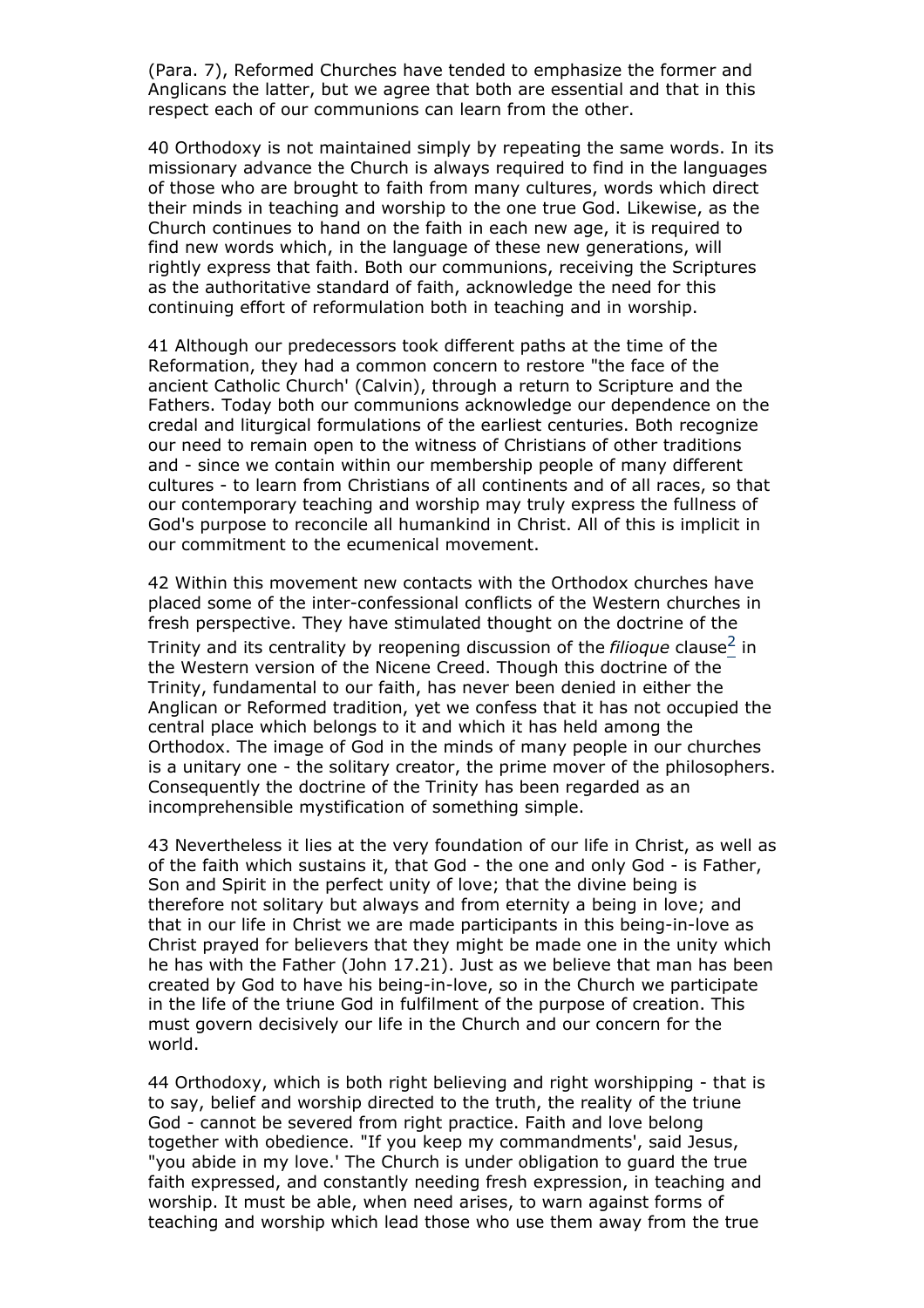(Para. 7), Reformed Churches have tended to emphasize the former and Anglicans the latter, but we agree that both are essential and that in this respect each of our communions can learn from the other.

40 Orthodoxy is not maintained simply by repeating the same words. In its missionary advance the Church is always required to find in the languages of those who are brought to faith from many cultures, words which direct their minds in teaching and worship to the one true God. Likewise, as the Church continues to hand on the faith in each new age, it is required to find new words which, in the language of these new generations, will rightly express that faith. Both our communions, receiving the Scriptures as the authoritative standard of faith, acknowledge the need for this continuing effort of reformulation both in teaching and in worship.

41 Although our predecessors took different paths at the time of the Reformation, they had a common concern to restore "the face of the ancient Catholic Church' (Calvin), through a return to Scripture and the Fathers. Today both our communions acknowledge our dependence on the credal and liturgical formulations of the earliest centuries. Both recognize our need to remain open to the witness of Christians of other traditions and - since we contain within our membership people of many different cultures - to learn from Christians of all continents and of all races, so that our contemporary teaching and worship may truly express the fullness of God's purpose to reconcile all humankind in Christ. All of this is implicit in our commitment to the ecumenical movement.

42 Within this movement new contacts with the Orthodox churches have placed some of the inter-confessional conflicts of the Western churches in fresh perspective. They have stimulated thought on the doctrine of the Trinity and its centrality by reopening discussion of the *filioque* clause2 in the Western version of the Nicene Creed. Though this doctrine of the Trinity, fundamental to our faith, has never been denied in either the Anglican or Reformed tradition, yet we confess that it has not occupied the central place which belongs to it and which it has held among the Orthodox. The image of God in the minds of many people in our churches is a unitary one - the solitary creator, the prime mover of the philosophers. Consequently the doctrine of the Trinity has been regarded as an incomprehensible mystification of something simple.

43 Nevertheless it lies at the very foundation of our life in Christ, as well as of the faith which sustains it, that God - the one and only God - is Father, Son and Spirit in the perfect unity of love; that the divine being is therefore not solitary but always and from eternity a being in love; and that in our life in Christ we are made participants in this being-in-love as Christ prayed for believers that they might be made one in the unity which he has with the Father (John 17.21). Just as we believe that man has been created by God to have his being-in-love, so in the Church we participate in the life of the triune God in fulfilment of the purpose of creation. This must govern decisively our life in the Church and our concern for the world.

44 Orthodoxy, which is both right believing and right worshipping - that is to say, belief and worship directed to the truth, the reality of the triune God - cannot be severed from right practice. Faith and love belong together with obedience. "If you keep my commandments', said Jesus, "you abide in my love.' The Church is under obligation to guard the true faith expressed, and constantly needing fresh expression, in teaching and worship. It must be able, when need arises, to warn against forms of teaching and worship which lead those who use them away from the true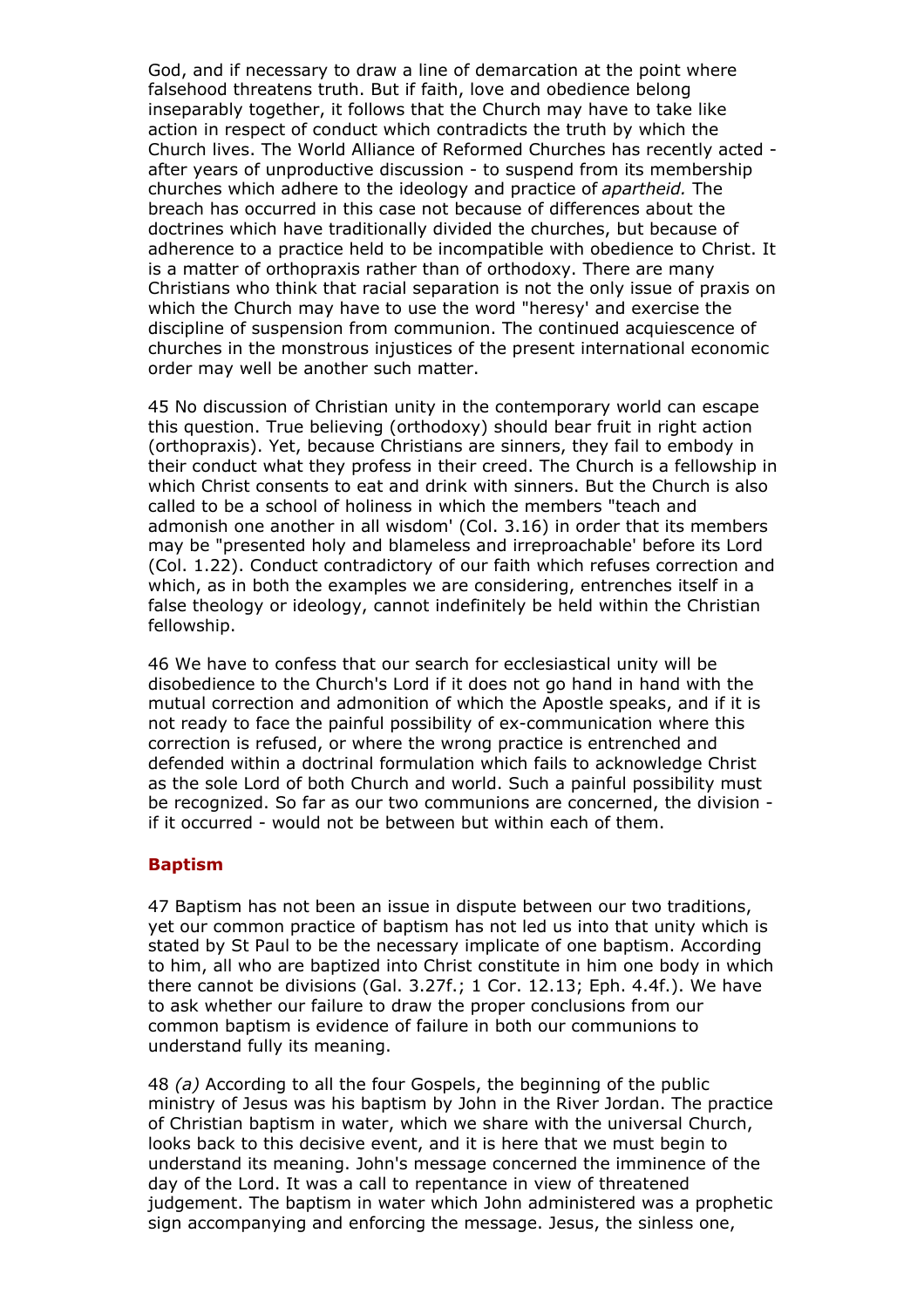God, and if necessary to draw a line of demarcation at the point where falsehood threatens truth. But if faith, love and obedience belong inseparably together, it follows that the Church may have to take like action in respect of conduct which contradicts the truth by which the Church lives. The World Alliance of Reformed Churches has recently acted after years of unproductive discussion - to suspend from its membership churches which adhere to the ideology and practice of *apartheid.* The breach has occurred in this case not because of differences about the doctrines which have traditionally divided the churches, but because of adherence to a practice held to be incompatible with obedience to Christ. It is a matter of orthopraxis rather than of orthodoxy. There are many Christians who think that racial separation is not the only issue of praxis on which the Church may have to use the word "heresy' and exercise the discipline of suspension from communion. The continued acquiescence of churches in the monstrous injustices of the present international economic order may well be another such matter.

45 No discussion of Christian unity in the contemporary world can escape this question. True believing (orthodoxy) should bear fruit in right action (orthopraxis). Yet, because Christians are sinners, they fail to embody in their conduct what they profess in their creed. The Church is a fellowship in which Christ consents to eat and drink with sinners. But the Church is also called to be a school of holiness in which the members "teach and admonish one another in all wisdom' (Col. 3.16) in order that its members may be "presented holy and blameless and irreproachable' before its Lord (Col. 1.22). Conduct contradictory of our faith which refuses correction and which, as in both the examples we are considering, entrenches itself in a false theology or ideology, cannot indefinitely be held within the Christian fellowship.

46 We have to confess that our search for ecclesiastical unity will be disobedience to the Church's Lord if it does not go hand in hand with the mutual correction and admonition of which the Apostle speaks, and if it is not ready to face the painful possibility of ex-communication where this correction is refused, or where the wrong practice is entrenched and defended within a doctrinal formulation which fails to acknowledge Christ as the sole Lord of both Church and world. Such a painful possibility must be recognized. So far as our two communions are concerned, the division if it occurred - would not be between but within each of them.

# **Baptism**

47 Baptism has not been an issue in dispute between our two traditions, yet our common practice of baptism has not led us into that unity which is stated by St Paul to be the necessary implicate of one baptism. According to him, all who are baptized into Christ constitute in him one body in which there cannot be divisions (Gal. 3.27f.; 1 Cor. 12.13; Eph. 4.4f.). We have to ask whether our failure to draw the proper conclusions from our common baptism is evidence of failure in both our communions to understand fully its meaning.

48 *(a)* According to all the four Gospels, the beginning of the public ministry of Jesus was his baptism by John in the River Jordan. The practice of Christian baptism in water, which we share with the universal Church, looks back to this decisive event, and it is here that we must begin to understand its meaning. John's message concerned the imminence of the day of the Lord. It was a call to repentance in view of threatened judgement. The baptism in water which John administered was a prophetic sign accompanying and enforcing the message. Jesus, the sinless one,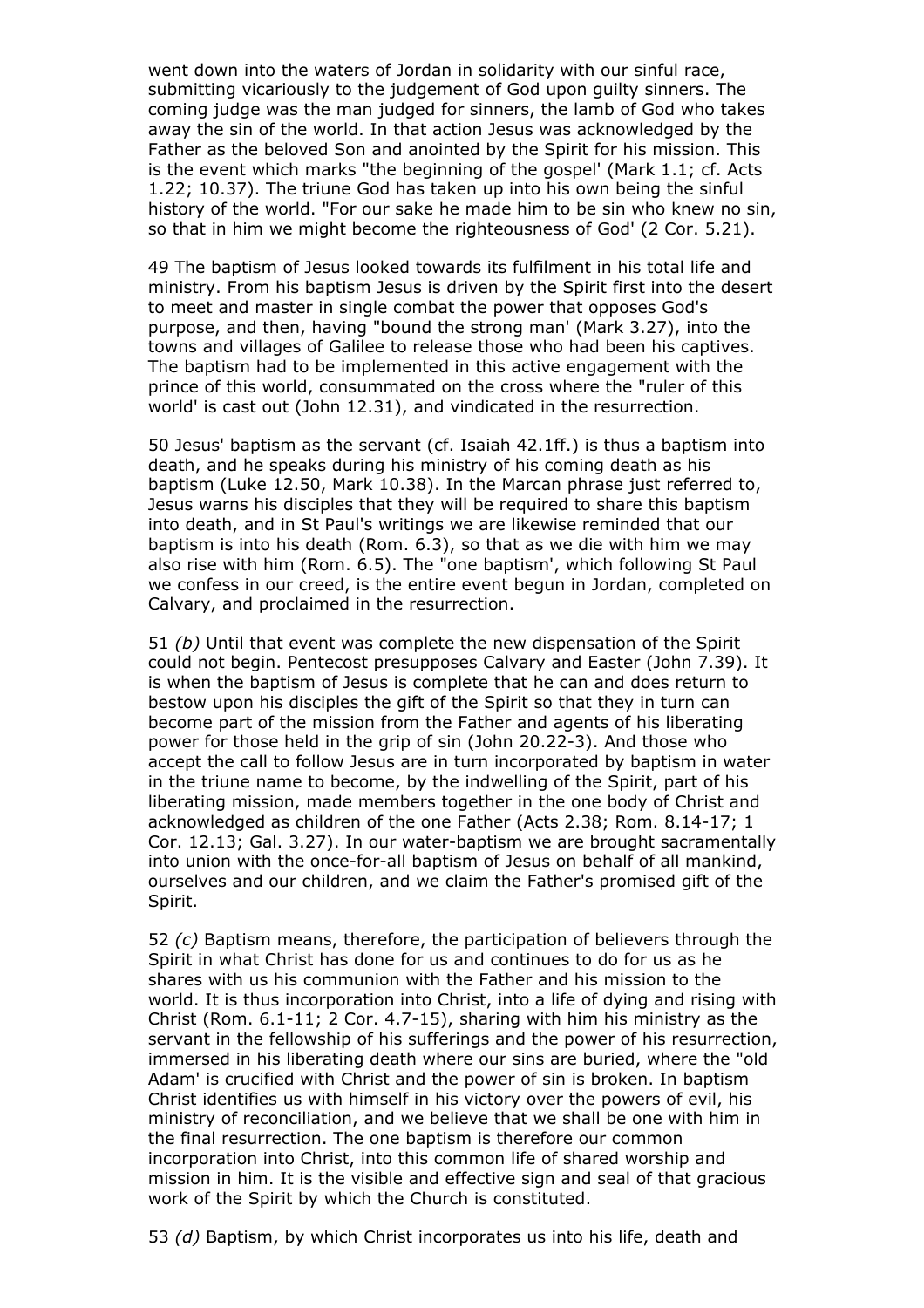went down into the waters of Jordan in solidarity with our sinful race, submitting vicariously to the judgement of God upon guilty sinners. The coming judge was the man judged for sinners, the lamb of God who takes away the sin of the world. In that action Jesus was acknowledged by the Father as the beloved Son and anointed by the Spirit for his mission. This is the event which marks "the beginning of the gospel' (Mark 1.1; cf. Acts 1.22; 10.37). The triune God has taken up into his own being the sinful history of the world. "For our sake he made him to be sin who knew no sin, so that in him we might become the righteousness of God' (2 Cor. 5.21).

49 The baptism of Jesus looked towards its fulfilment in his total life and ministry. From his baptism Jesus is driven by the Spirit first into the desert to meet and master in single combat the power that opposes God's purpose, and then, having "bound the strong man' (Mark 3.27), into the towns and villages of Galilee to release those who had been his captives. The baptism had to be implemented in this active engagement with the prince of this world, consummated on the cross where the "ruler of this world' is cast out (John 12.31), and vindicated in the resurrection.

50 Jesus' baptism as the servant (cf. Isaiah 42.1ff.) is thus a baptism into death, and he speaks during his ministry of his coming death as his baptism (Luke 12.50, Mark 10.38). In the Marcan phrase just referred to, Jesus warns his disciples that they will be required to share this baptism into death, and in St Paul's writings we are likewise reminded that our baptism is into his death (Rom. 6.3), so that as we die with him we may also rise with him (Rom. 6.5). The "one baptism', which following St Paul we confess in our creed, is the entire event begun in Jordan, completed on Calvary, and proclaimed in the resurrection.

51 *(b)* Until that event was complete the new dispensation of the Spirit could not begin. Pentecost presupposes Calvary and Easter (John 7.39). It is when the baptism of Jesus is complete that he can and does return to bestow upon his disciples the gift of the Spirit so that they in turn can become part of the mission from the Father and agents of his liberating power for those held in the grip of sin (John 20.22-3). And those who accept the call to follow Jesus are in turn incorporated by baptism in water in the triune name to become, by the indwelling of the Spirit, part of his liberating mission, made members together in the one body of Christ and acknowledged as children of the one Father (Acts 2.38; Rom. 8.14-17; 1 Cor. 12.13; Gal. 3.27). In our water-baptism we are brought sacramentally into union with the once-for-all baptism of Jesus on behalf of all mankind, ourselves and our children, and we claim the Father's promised gift of the Spirit.

52 *(c)* Baptism means, therefore, the participation of believers through the Spirit in what Christ has done for us and continues to do for us as he shares with us his communion with the Father and his mission to the world. It is thus incorporation into Christ, into a life of dying and rising with Christ (Rom. 6.1-11; 2 Cor. 4.7-15), sharing with him his ministry as the servant in the fellowship of his sufferings and the power of his resurrection, immersed in his liberating death where our sins are buried, where the "old Adam' is crucified with Christ and the power of sin is broken. In baptism Christ identifies us with himself in his victory over the powers of evil, his ministry of reconciliation, and we believe that we shall be one with him in the final resurrection. The one baptism is therefore our common incorporation into Christ, into this common life of shared worship and mission in him. It is the visible and effective sign and seal of that gracious work of the Spirit by which the Church is constituted.

53 *(d)* Baptism, by which Christ incorporates us into his life, death and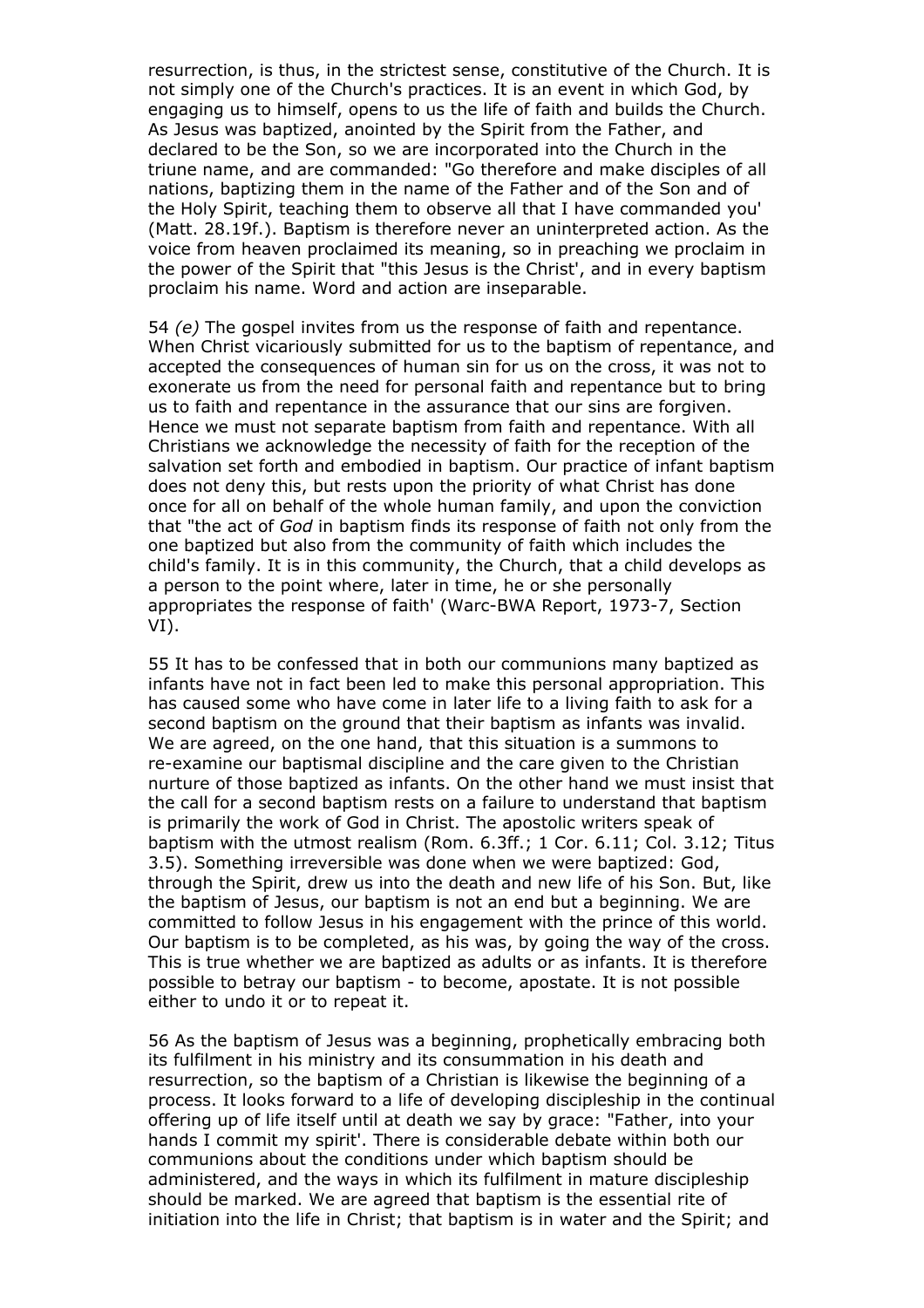resurrection, is thus, in the strictest sense, constitutive of the Church. It is not simply one of the Church's practices. It is an event in which God, by engaging us to himself, opens to us the life of faith and builds the Church. As Jesus was baptized, anointed by the Spirit from the Father, and declared to be the Son, so we are incorporated into the Church in the triune name, and are commanded: "Go therefore and make disciples of all nations, baptizing them in the name of the Father and of the Son and of the Holy Spirit, teaching them to observe all that I have commanded you' (Matt. 28.19f.). Baptism is therefore never an uninterpreted action. As the voice from heaven proclaimed its meaning, so in preaching we proclaim in the power of the Spirit that "this Jesus is the Christ', and in every baptism proclaim his name. Word and action are inseparable.

54 *(e)* The gospel invites from us the response of faith and repentance. When Christ vicariously submitted for us to the baptism of repentance, and accepted the consequences of human sin for us on the cross, it was not to exonerate us from the need for personal faith and repentance but to bring us to faith and repentance in the assurance that our sins are forgiven. Hence we must not separate baptism from faith and repentance. With all Christians we acknowledge the necessity of faith for the reception of the salvation set forth and embodied in baptism. Our practice of infant baptism does not deny this, but rests upon the priority of what Christ has done once for all on behalf of the whole human family, and upon the conviction that "the act of *God* in baptism finds its response of faith not only from the one baptized but also from the community of faith which includes the child's family. It is in this community, the Church, that a child develops as a person to the point where, later in time, he or she personally appropriates the response of faith' (Warc-BWA Report, 1973-7, Section VI).

55 It has to be confessed that in both our communions many baptized as infants have not in fact been led to make this personal appropriation. This has caused some who have come in later life to a living faith to ask for a second baptism on the ground that their baptism as infants was invalid. We are agreed, on the one hand, that this situation is a summons to re-examine our baptismal discipline and the care given to the Christian nurture of those baptized as infants. On the other hand we must insist that the call for a second baptism rests on a failure to understand that baptism is primarily the work of God in Christ. The apostolic writers speak of baptism with the utmost realism (Rom. 6.3ff.; 1 Cor. 6.11; Col. 3.12; Titus 3.5). Something irreversible was done when we were baptized: God, through the Spirit, drew us into the death and new life of his Son. But, like the baptism of Jesus, our baptism is not an end but a beginning. We are committed to follow Jesus in his engagement with the prince of this world. Our baptism is to be completed, as his was, by going the way of the cross. This is true whether we are baptized as adults or as infants. It is therefore possible to betray our baptism - to become, apostate. It is not possible either to undo it or to repeat it.

56 As the baptism of Jesus was a beginning, prophetically embracing both its fulfilment in his ministry and its consummation in his death and resurrection, so the baptism of a Christian is likewise the beginning of a process. It looks forward to a life of developing discipleship in the continual offering up of life itself until at death we say by grace: "Father, into your hands I commit my spirit'. There is considerable debate within both our communions about the conditions under which baptism should be administered, and the ways in which its fulfilment in mature discipleship should be marked. We are agreed that baptism is the essential rite of initiation into the life in Christ; that baptism is in water and the Spirit; and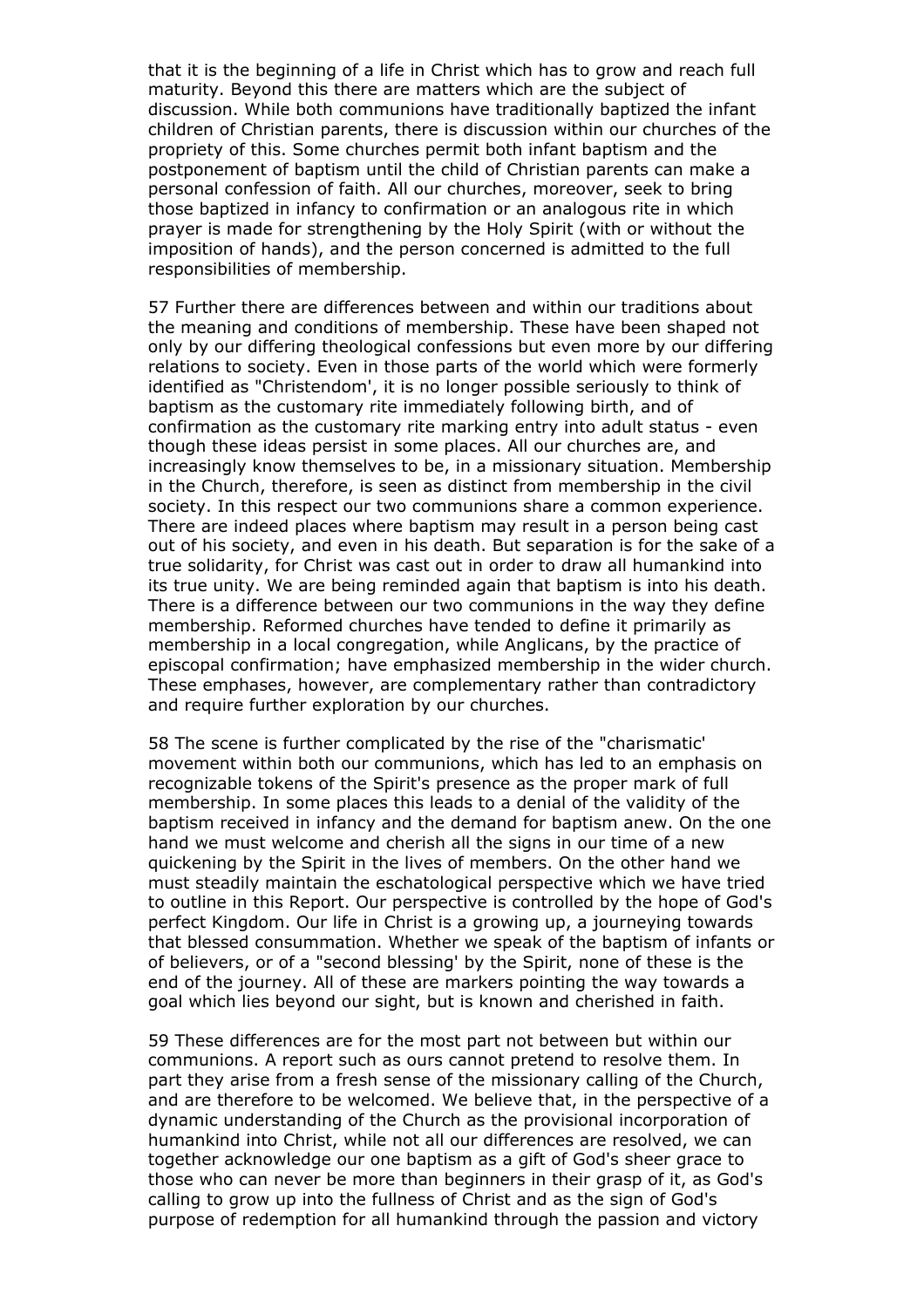that it is the beginning of a life in Christ which has to grow and reach full maturity. Beyond this there are matters which are the subject of discussion. While both communions have traditionally baptized the infant children of Christian parents, there is discussion within our churches of the propriety of this. Some churches permit both infant baptism and the postponement of baptism until the child of Christian parents can make a personal confession of faith. All our churches, moreover, seek to bring those baptized in infancy to confirmation or an analogous rite in which prayer is made for strengthening by the Holy Spirit (with or without the imposition of hands), and the person concerned is admitted to the full responsibilities of membership.

57 Further there are differences between and within our traditions about the meaning and conditions of membership. These have been shaped not only by our differing theological confessions but even more by our differing relations to society. Even in those parts of the world which were formerly identified as "Christendom', it is no longer possible seriously to think of baptism as the customary rite immediately following birth, and of confirmation as the customary rite marking entry into adult status - even though these ideas persist in some places. All our churches are, and increasingly know themselves to be, in a missionary situation. Membership in the Church, therefore, is seen as distinct from membership in the civil society. In this respect our two communions share a common experience. There are indeed places where baptism may result in a person being cast out of his society, and even in his death. But separation is for the sake of a true solidarity, for Christ was cast out in order to draw all humankind into its true unity. We are being reminded again that baptism is into his death. There is a difference between our two communions in the way they define membership. Reformed churches have tended to define it primarily as membership in a local congregation, while Anglicans, by the practice of episcopal confirmation; have emphasized membership in the wider church. These emphases, however, are complementary rather than contradictory and require further exploration by our churches.

58 The scene is further complicated by the rise of the "charismatic' movement within both our communions, which has led to an emphasis on recognizable tokens of the Spirit's presence as the proper mark of full membership. In some places this leads to a denial of the validity of the baptism received in infancy and the demand for baptism anew. On the one hand we must welcome and cherish all the signs in our time of a new quickening by the Spirit in the lives of members. On the other hand we must steadily maintain the eschatological perspective which we have tried to outline in this Report. Our perspective is controlled by the hope of God's perfect Kingdom. Our life in Christ is a growing up, a journeying towards that blessed consummation. Whether we speak of the baptism of infants or of believers, or of a "second blessing' by the Spirit, none of these is the end of the journey. All of these are markers pointing the way towards a goal which lies beyond our sight, but is known and cherished in faith.

59 These differences are for the most part not between but within our communions. A report such as ours cannot pretend to resolve them. In part they arise from a fresh sense of the missionary calling of the Church, and are therefore to be welcomed. We believe that, in the perspective of a dynamic understanding of the Church as the provisional incorporation of humankind into Christ, while not all our differences are resolved, we can together acknowledge our one baptism as a gift of God's sheer grace to those who can never be more than beginners in their grasp of it, as God's calling to grow up into the fullness of Christ and as the sign of God's purpose of redemption for all humankind through the passion and victory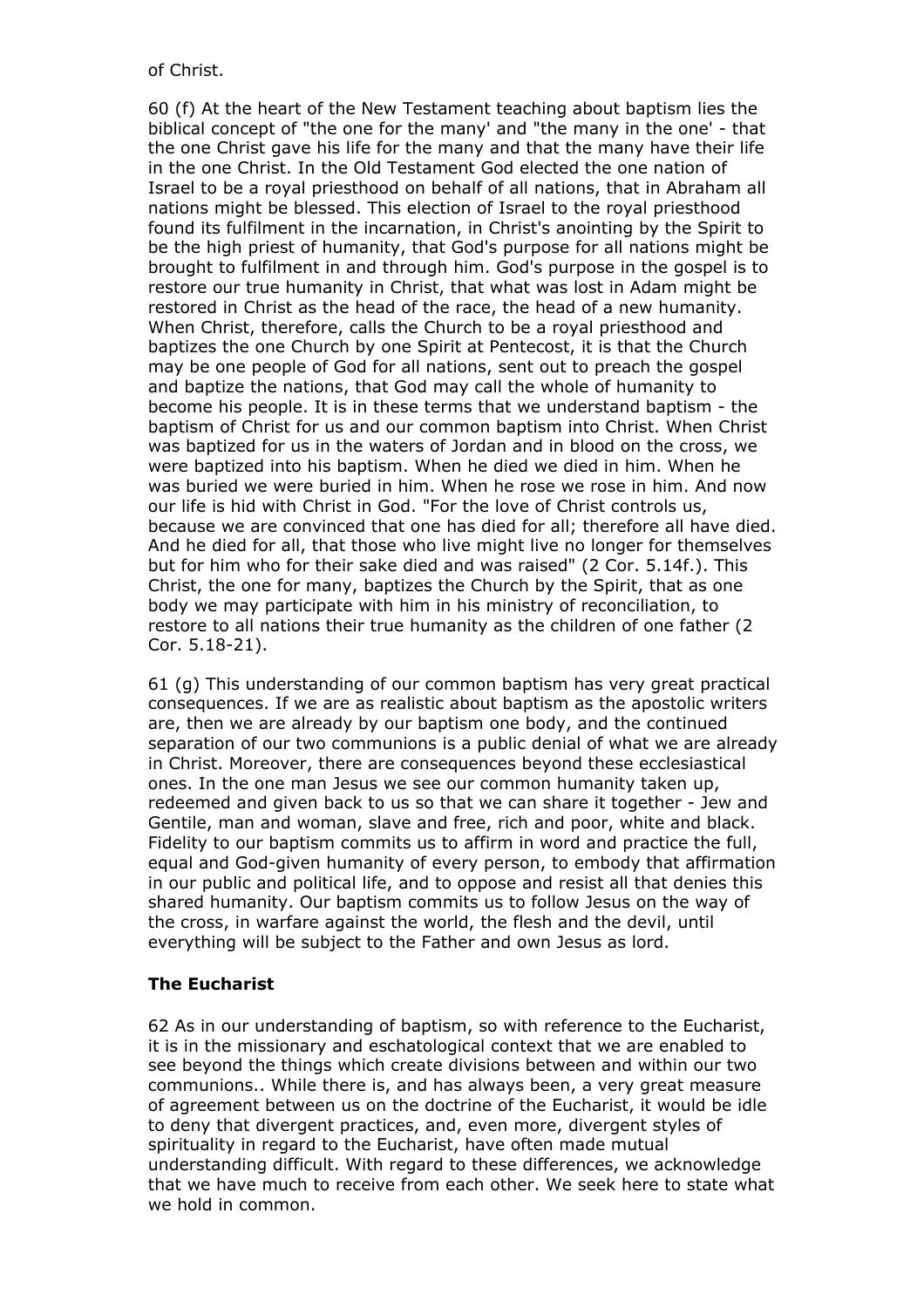of Christ.

60 (f) At the heart of the New Testament teaching about baptism lies the biblical concept of "the one for the many' and "the many in the one' - that the one Christ gave his life for the many and that the many have their life in the one Christ. In the Old Testament God elected the one nation of Israel to be a royal priesthood on behalf of all nations, that in Abraham all nations might be blessed. This election of Israel to the royal priesthood found its fulfilment in the incarnation, in Christ's anointing by the Spirit to be the high priest of humanity, that God's purpose for all nations might be brought to fulfilment in and through him. God's purpose in the gospel is to restore our true humanity in Christ, that what was lost in Adam might be restored in Christ as the head of the race, the head of a new humanity. When Christ, therefore, calls the Church to be a royal priesthood and baptizes the one Church by one Spirit at Pentecost, it is that the Church may be one people of God for all nations, sent out to preach the gospel and baptize the nations, that God may call the whole of humanity to become his people. It is in these terms that we understand baptism - the baptism of Christ for us and our common baptism into Christ. When Christ was baptized for us in the waters of Jordan and in blood on the cross, we were baptized into his baptism. When he died we died in him. When he was buried we were buried in him. When he rose we rose in him. And now our life is hid with Christ in God. "For the love of Christ controls us, because we are convinced that one has died for all; therefore all have died. And he died for all, that those who live might live no longer for themselves but for him who for their sake died and was raised" (2 Cor. 5.14f.). This Christ, the one for many, baptizes the Church by the Spirit, that as one body we may participate with him in his ministry of reconciliation, to restore to all nations their true humanity as the children of one father (2 Cor. 5.18-21).

61 (g) This understanding of our common baptism has very great practical consequences. If we are as realistic about baptism as the apostolic writers are, then we are already by our baptism one body, and the continued separation of our two communions is a public denial of what we are already in Christ. Moreover, there are consequences beyond these ecclesiastical ones. In the one man Jesus we see our common humanity taken up, redeemed and given back to us so that we can share it together - Jew and Gentile, man and woman, slave and free, rich and poor, white and black. Fidelity to our baptism commits us to affirm in word and practice the full, equal and God-given humanity of every person, to embody that affirmation in our public and political life, and to oppose and resist all that denies this shared humanity. Our baptism commits us to follow Jesus on the way of the cross, in warfare against the world, the flesh and the devil, until everything will be subject to the Father and own Jesus as lord.

# **The Eucharist**

62 As in our understanding of baptism, so with reference to the Eucharist, it is in the missionary and eschatological context that we are enabled to see beyond the things which create divisions between and within our two communions.. While there is, and has always been, a very great measure of agreement between us on the doctrine of the Eucharist, it would be idle to deny that divergent practices, and, even more, divergent styles of spirituality in regard to the Eucharist, have often made mutual understanding difficult. With regard to these differences, we acknowledge that we have much to receive from each other. We seek here to state what we hold in common.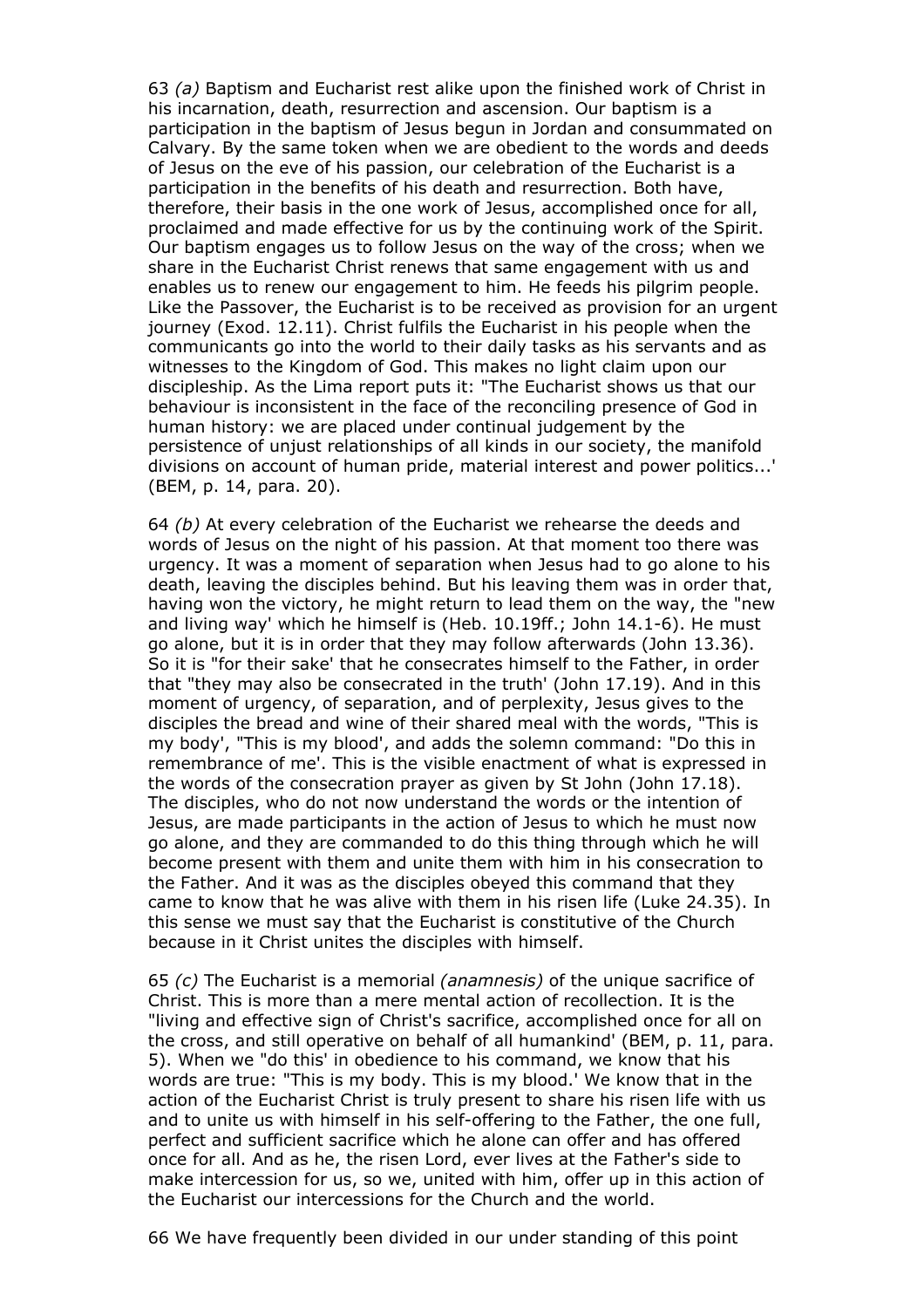63 *(a)* Baptism and Eucharist rest alike upon the finished work of Christ in his incarnation, death, resurrection and ascension. Our baptism is a participation in the baptism of Jesus begun in Jordan and consummated on Calvary. By the same token when we are obedient to the words and deeds of Jesus on the eve of his passion, our celebration of the Eucharist is a participation in the benefits of his death and resurrection. Both have, therefore, their basis in the one work of Jesus, accomplished once for all, proclaimed and made effective for us by the continuing work of the Spirit. Our baptism engages us to follow Jesus on the way of the cross; when we share in the Eucharist Christ renews that same engagement with us and enables us to renew our engagement to him. He feeds his pilgrim people. Like the Passover, the Eucharist is to be received as provision for an urgent journey (Exod. 12.11). Christ fulfils the Eucharist in his people when the communicants go into the world to their daily tasks as his servants and as witnesses to the Kingdom of God. This makes no light claim upon our discipleship. As the Lima report puts it: "The Eucharist shows us that our behaviour is inconsistent in the face of the reconciling presence of God in human history: we are placed under continual judgement by the persistence of unjust relationships of all kinds in our society, the manifold divisions on account of human pride, material interest and power politics...' (BEM, p. 14, para. 20).

64 *(b)* At every celebration of the Eucharist we rehearse the deeds and words of Jesus on the night of his passion. At that moment too there was urgency. It was a moment of separation when Jesus had to go alone to his death, leaving the disciples behind. But his leaving them was in order that, having won the victory, he might return to lead them on the way, the "new and living way' which he himself is (Heb. 10.19ff.; John 14.1-6). He must go alone, but it is in order that they may follow afterwards (John 13.36). So it is "for their sake' that he consecrates himself to the Father, in order that "they may also be consecrated in the truth' (John 17.19). And in this moment of urgency, of separation, and of perplexity, Jesus gives to the disciples the bread and wine of their shared meal with the words, "This is my body', "This is my blood', and adds the solemn command: "Do this in remembrance of me'. This is the visible enactment of what is expressed in the words of the consecration prayer as given by St John (John 17.18). The disciples, who do not now understand the words or the intention of Jesus, are made participants in the action of Jesus to which he must now go alone, and they are commanded to do this thing through which he will become present with them and unite them with him in his consecration to the Father. And it was as the disciples obeyed this command that they came to know that he was alive with them in his risen life (Luke 24.35). In this sense we must say that the Eucharist is constitutive of the Church because in it Christ unites the disciples with himself.

65 *(c)* The Eucharist is a memorial *(anamnesis)* of the unique sacrifice of Christ. This is more than a mere mental action of recollection. It is the "living and effective sign of Christ's sacrifice, accomplished once for all on the cross, and still operative on behalf of all humankind' (BEM, p. 11, para. 5). When we "do this' in obedience to his command, we know that his words are true: "This is my body. This is my blood.' We know that in the action of the Eucharist Christ is truly present to share his risen life with us and to unite us with himself in his self-offering to the Father, the one full, perfect and sufficient sacrifice which he alone can offer and has offered once for all. And as he, the risen Lord, ever lives at the Father's side to make intercession for us, so we, united with him, offer up in this action of the Eucharist our intercessions for the Church and the world.

66 We have frequently been divided in our under standing of this point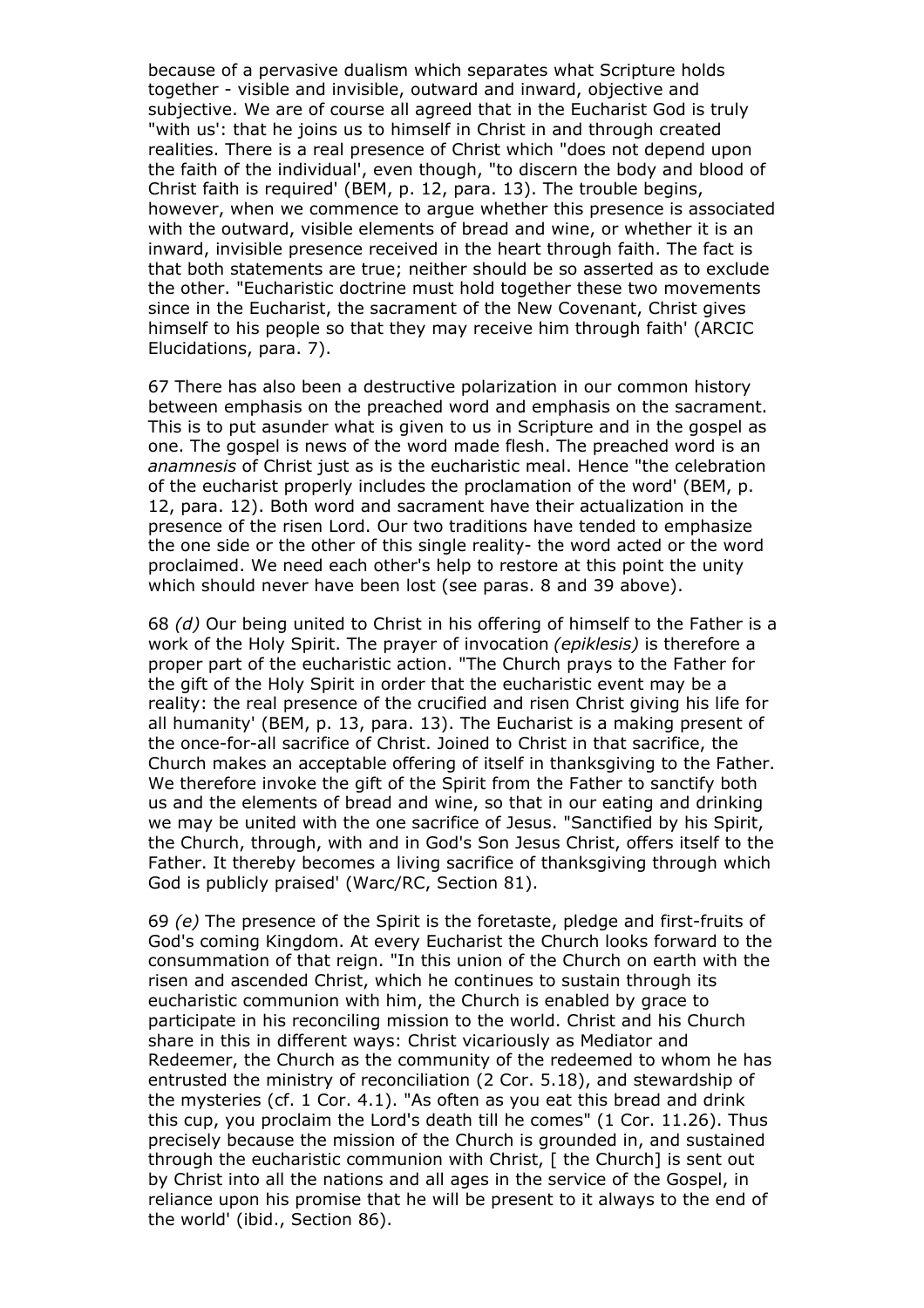because of a pervasive dualism which separates what Scripture holds together - visible and invisible, outward and inward, objective and subjective. We are of course all agreed that in the Eucharist God is truly "with us': that he joins us to himself in Christ in and through created realities. There is a real presence of Christ which "does not depend upon the faith of the individual', even though, "to discern the body and blood of Christ faith is required' (BEM, p. 12, para. 13). The trouble begins, however, when we commence to argue whether this presence is associated with the outward, visible elements of bread and wine, or whether it is an inward, invisible presence received in the heart through faith. The fact is that both statements are true; neither should be so asserted as to exclude the other. "Eucharistic doctrine must hold together these two movements since in the Eucharist, the sacrament of the New Covenant, Christ gives himself to his people so that they may receive him through faith' (ARCIC Elucidations, para. 7).

67 There has also been a destructive polarization in our common history between emphasis on the preached word and emphasis on the sacrament. This is to put asunder what is given to us in Scripture and in the gospel as one. The gospel is news of the word made flesh. The preached word is an *anamnesis* of Christ just as is the eucharistic meal. Hence "the celebration of the eucharist properly includes the proclamation of the word' (BEM, p. 12, para. 12). Both word and sacrament have their actualization in the presence of the risen Lord. Our two traditions have tended to emphasize the one side or the other of this single reality- the word acted or the word proclaimed. We need each other's help to restore at this point the unity which should never have been lost (see paras. 8 and 39 above).

68 *(d)* Our being united to Christ in his offering of himself to the Father is a work of the Holy Spirit. The prayer of invocation *(epiklesis)* is therefore a proper part of the eucharistic action. "The Church prays to the Father for the gift of the Holy Spirit in order that the eucharistic event may be a reality: the real presence of the crucified and risen Christ giving his life for all humanity' (BEM, p. 13, para. 13). The Eucharist is a making present of the once-for-all sacrifice of Christ. Joined to Christ in that sacrifice, the Church makes an acceptable offering of itself in thanksgiving to the Father. We therefore invoke the gift of the Spirit from the Father to sanctify both us and the elements of bread and wine, so that in our eating and drinking we may be united with the one sacrifice of Jesus. "Sanctified by his Spirit, the Church, through, with and in God's Son Jesus Christ, offers itself to the Father. It thereby becomes a living sacrifice of thanksgiving through which God is publicly praised' (Warc/RC, Section 81).

69 *(e)* The presence of the Spirit is the foretaste, pledge and first-fruits of God's coming Kingdom. At every Eucharist the Church looks forward to the consummation of that reign. "In this union of the Church on earth with the risen and ascended Christ, which he continues to sustain through its eucharistic communion with him, the Church is enabled by grace to participate in his reconciling mission to the world. Christ and his Church share in this in different ways: Christ vicariously as Mediator and Redeemer, the Church as the community of the redeemed to whom he has entrusted the ministry of reconciliation (2 Cor. 5.18), and stewardship of the mysteries (cf. 1 Cor. 4.1). "As often as you eat this bread and drink this cup, you proclaim the Lord's death till he comes" (1 Cor. 11.26). Thus precisely because the mission of the Church is grounded in, and sustained through the eucharistic communion with Christ, [ the Church] is sent out by Christ into all the nations and all ages in the service of the Gospel, in reliance upon his promise that he will be present to it always to the end of the world' (ibid., Section 86).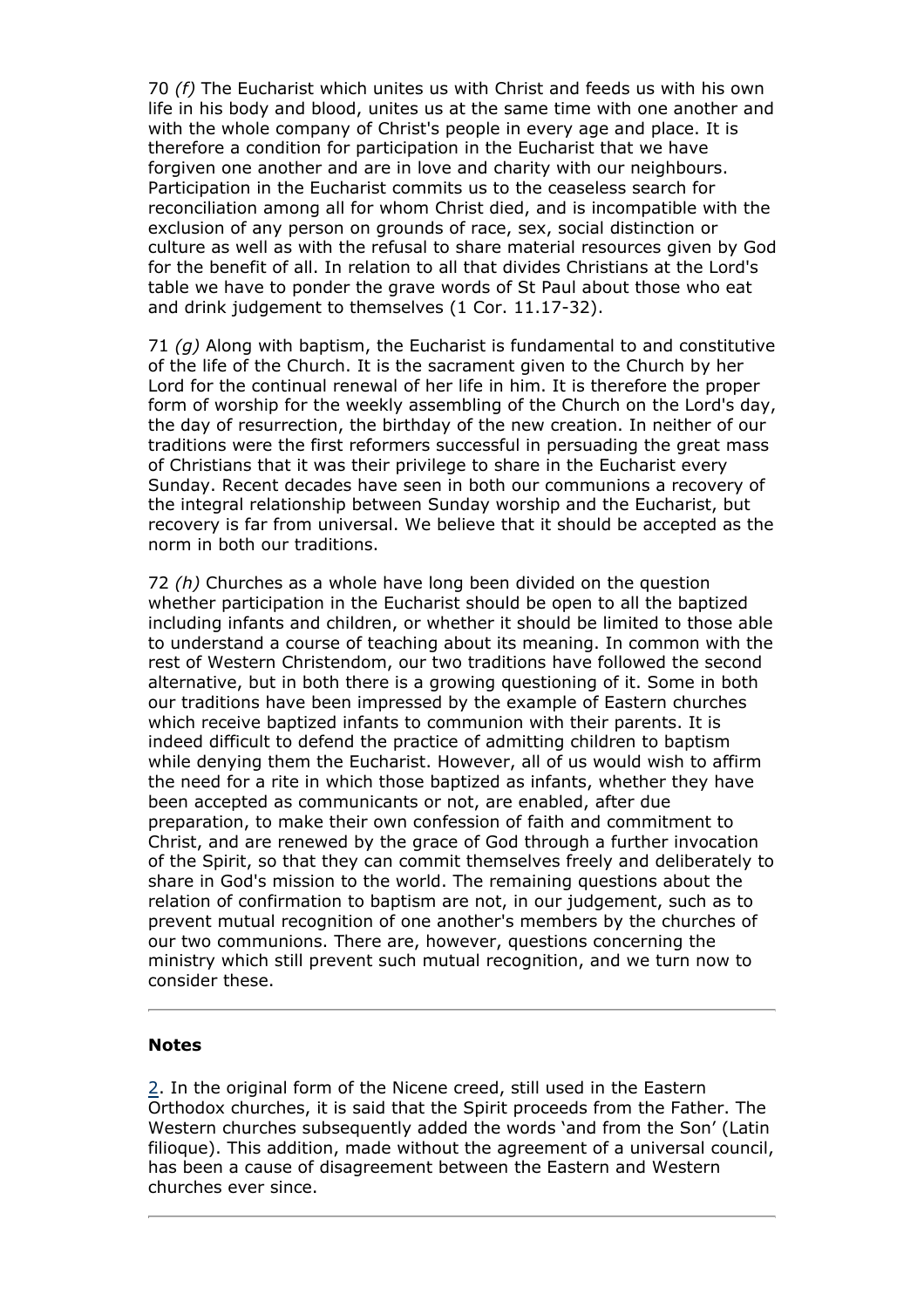70 *(f)* The Eucharist which unites us with Christ and feeds us with his own life in his body and blood, unites us at the same time with one another and with the whole company of Christ's people in every age and place. It is therefore a condition for participation in the Eucharist that we have forgiven one another and are in love and charity with our neighbours. Participation in the Eucharist commits us to the ceaseless search for reconciliation among all for whom Christ died, and is incompatible with the exclusion of any person on grounds of race, sex, social distinction or culture as well as with the refusal to share material resources given by God for the benefit of all. In relation to all that divides Christians at the Lord's table we have to ponder the grave words of St Paul about those who eat and drink judgement to themselves (1 Cor. 11.17-32).

71 *(g)* Along with baptism, the Eucharist is fundamental to and constitutive of the life of the Church. It is the sacrament given to the Church by her Lord for the continual renewal of her life in him. It is therefore the proper form of worship for the weekly assembling of the Church on the Lord's day, the day of resurrection, the birthday of the new creation. In neither of our traditions were the first reformers successful in persuading the great mass of Christians that it was their privilege to share in the Eucharist every Sunday. Recent decades have seen in both our communions a recovery of the integral relationship between Sunday worship and the Eucharist, but recovery is far from universal. We believe that it should be accepted as the norm in both our traditions.

72 *(h)* Churches as a whole have long been divided on the question whether participation in the Eucharist should be open to all the baptized including infants and children, or whether it should be limited to those able to understand a course of teaching about its meaning. In common with the rest of Western Christendom, our two traditions have followed the second alternative, but in both there is a growing questioning of it. Some in both our traditions have been impressed by the example of Eastern churches which receive baptized infants to communion with their parents. It is indeed difficult to defend the practice of admitting children to baptism while denying them the Eucharist. However, all of us would wish to affirm the need for a rite in which those baptized as infants, whether they have been accepted as communicants or not, are enabled, after due preparation, to make their own confession of faith and commitment to Christ, and are renewed by the grace of God through a further invocation of the Spirit, so that they can commit themselves freely and deliberately to share in God's mission to the world. The remaining questions about the relation of confirmation to baptism are not, in our judgement, such as to prevent mutual recognition of one another's members by the churches of our two communions. There are, however, questions concerning the ministry which still prevent such mutual recognition, and we turn now to consider these.

### **Notes**

2. In the original form of the Nicene creed, still used in the Eastern Orthodox churches, it is said that the Spirit proceeds from the Father. The Western churches subsequently added the words 'and from the Son' (Latin filioque). This addition, made without the agreement of a universal council, has been a cause of disagreement between the Eastern and Western churches ever since.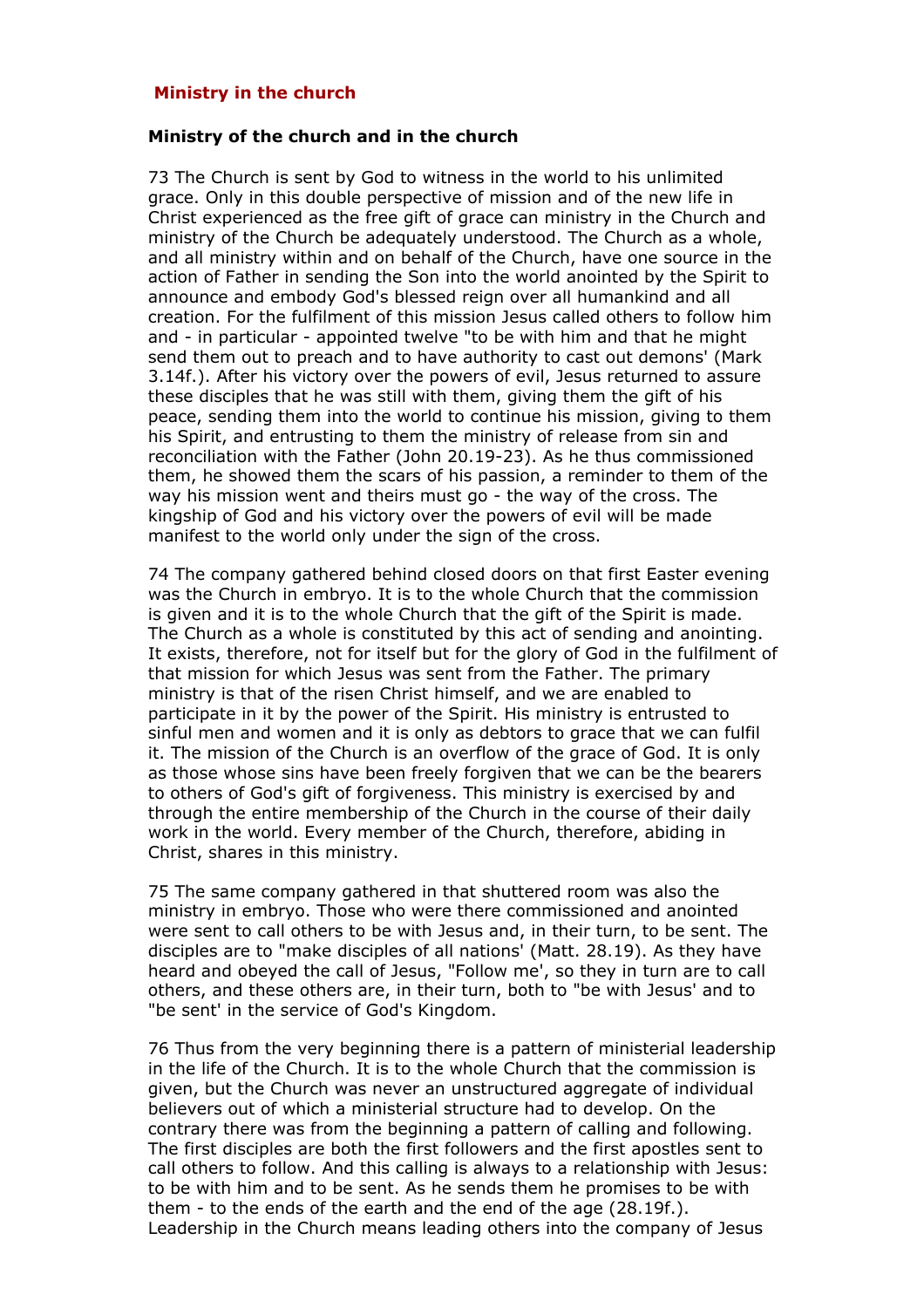### **Ministry in the church**

#### **Ministry of the church and in the church**

73 The Church is sent by God to witness in the world to his unlimited grace. Only in this double perspective of mission and of the new life in Christ experienced as the free gift of grace can ministry in the Church and ministry of the Church be adequately understood. The Church as a whole, and all ministry within and on behalf of the Church, have one source in the action of Father in sending the Son into the world anointed by the Spirit to announce and embody God's blessed reign over all humankind and all creation. For the fulfilment of this mission Jesus called others to follow him and - in particular - appointed twelve "to be with him and that he might send them out to preach and to have authority to cast out demons' (Mark 3.14f.). After his victory over the powers of evil, Jesus returned to assure these disciples that he was still with them, giving them the gift of his peace, sending them into the world to continue his mission, giving to them his Spirit, and entrusting to them the ministry of release from sin and reconciliation with the Father (John 20.19-23). As he thus commissioned them, he showed them the scars of his passion, a reminder to them of the way his mission went and theirs must go - the way of the cross. The kingship of God and his victory over the powers of evil will be made manifest to the world only under the sign of the cross.

74 The company gathered behind closed doors on that first Easter evening was the Church in embryo. It is to the whole Church that the commission is given and it is to the whole Church that the gift of the Spirit is made. The Church as a whole is constituted by this act of sending and anointing. It exists, therefore, not for itself but for the glory of God in the fulfilment of that mission for which Jesus was sent from the Father. The primary ministry is that of the risen Christ himself, and we are enabled to participate in it by the power of the Spirit. His ministry is entrusted to sinful men and women and it is only as debtors to grace that we can fulfil it. The mission of the Church is an overflow of the grace of God. It is only as those whose sins have been freely forgiven that we can be the bearers to others of God's gift of forgiveness. This ministry is exercised by and through the entire membership of the Church in the course of their daily work in the world. Every member of the Church, therefore, abiding in Christ, shares in this ministry.

75 The same company gathered in that shuttered room was also the ministry in embryo. Those who were there commissioned and anointed were sent to call others to be with Jesus and, in their turn, to be sent. The disciples are to "make disciples of all nations' (Matt. 28.19). As they have heard and obeyed the call of Jesus, "Follow me', so they in turn are to call others, and these others are, in their turn, both to "be with Jesus' and to "be sent' in the service of God's Kingdom.

76 Thus from the very beginning there is a pattern of ministerial leadership in the life of the Church. It is to the whole Church that the commission is given, but the Church was never an unstructured aggregate of individual believers out of which a ministerial structure had to develop. On the contrary there was from the beginning a pattern of calling and following. The first disciples are both the first followers and the first apostles sent to call others to follow. And this calling is always to a relationship with Jesus: to be with him and to be sent. As he sends them he promises to be with them - to the ends of the earth and the end of the age (28.19f.). Leadership in the Church means leading others into the company of Jesus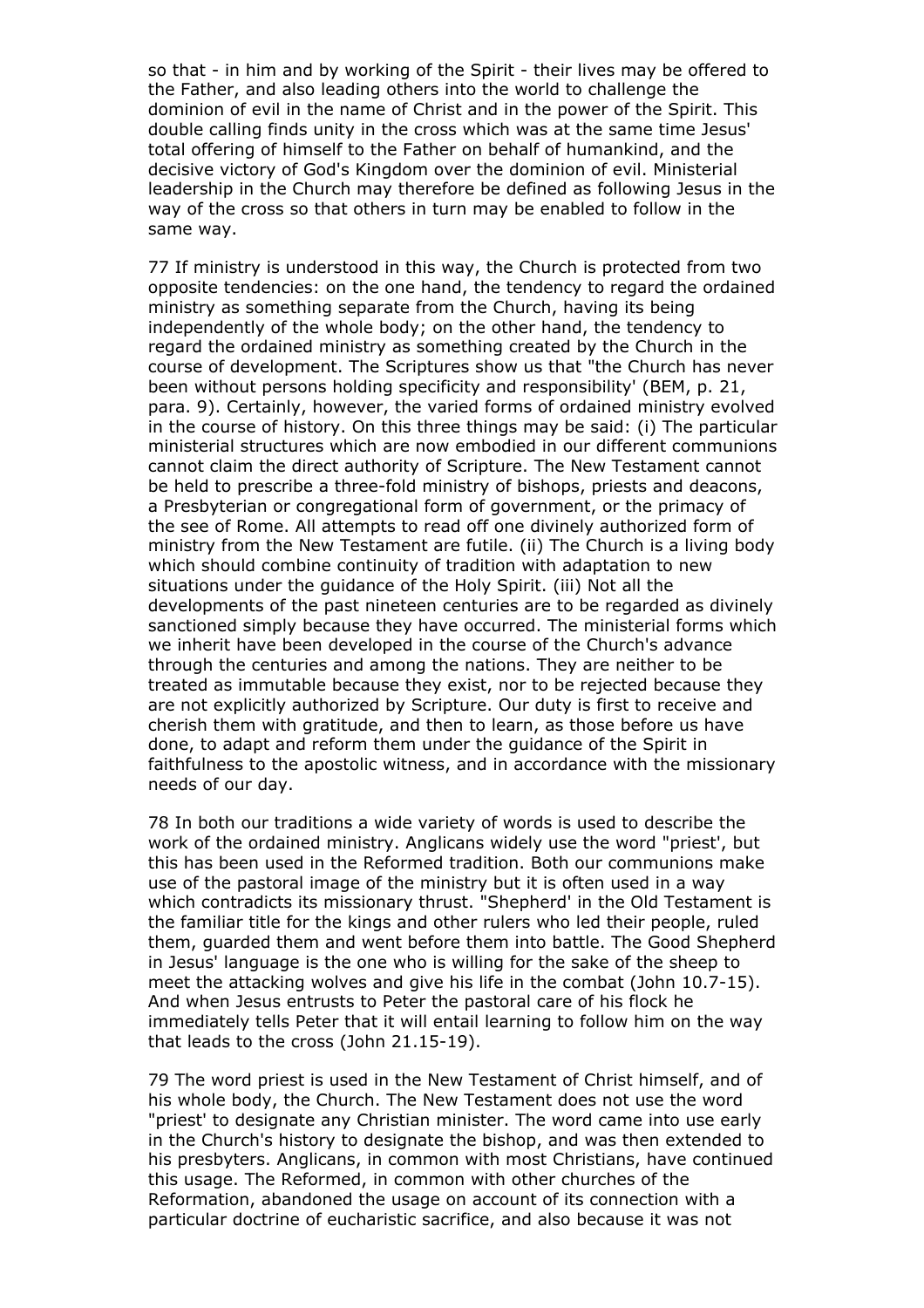so that - in him and by working of the Spirit - their lives may be offered to the Father, and also leading others into the world to challenge the dominion of evil in the name of Christ and in the power of the Spirit. This double calling finds unity in the cross which was at the same time Jesus' total offering of himself to the Father on behalf of humankind, and the decisive victory of God's Kingdom over the dominion of evil. Ministerial leadership in the Church may therefore be defined as following Jesus in the way of the cross so that others in turn may be enabled to follow in the same way.

77 If ministry is understood in this way, the Church is protected from two opposite tendencies: on the one hand, the tendency to regard the ordained ministry as something separate from the Church, having its being independently of the whole body; on the other hand, the tendency to regard the ordained ministry as something created by the Church in the course of development. The Scriptures show us that "the Church has never been without persons holding specificity and responsibility' (BEM, p. 21, para. 9). Certainly, however, the varied forms of ordained ministry evolved in the course of history. On this three things may be said: (i) The particular ministerial structures which are now embodied in our different communions cannot claim the direct authority of Scripture. The New Testament cannot be held to prescribe a three-fold ministry of bishops, priests and deacons, a Presbyterian or congregational form of government, or the primacy of the see of Rome. All attempts to read off one divinely authorized form of ministry from the New Testament are futile. (ii) The Church is a living body which should combine continuity of tradition with adaptation to new situations under the guidance of the Holy Spirit. (iii) Not all the developments of the past nineteen centuries are to be regarded as divinely sanctioned simply because they have occurred. The ministerial forms which we inherit have been developed in the course of the Church's advance through the centuries and among the nations. They are neither to be treated as immutable because they exist, nor to be rejected because they are not explicitly authorized by Scripture. Our duty is first to receive and cherish them with gratitude, and then to learn, as those before us have done, to adapt and reform them under the guidance of the Spirit in faithfulness to the apostolic witness, and in accordance with the missionary needs of our day.

78 In both our traditions a wide variety of words is used to describe the work of the ordained ministry. Anglicans widely use the word "priest', but this has been used in the Reformed tradition. Both our communions make use of the pastoral image of the ministry but it is often used in a way which contradicts its missionary thrust. "Shepherd' in the Old Testament is the familiar title for the kings and other rulers who led their people, ruled them, guarded them and went before them into battle. The Good Shepherd in Jesus' language is the one who is willing for the sake of the sheep to meet the attacking wolves and give his life in the combat (John 10.7-15). And when Jesus entrusts to Peter the pastoral care of his flock he immediately tells Peter that it will entail learning to follow him on the way that leads to the cross (John 21.15-19).

79 The word priest is used in the New Testament of Christ himself, and of his whole body, the Church. The New Testament does not use the word "priest' to designate any Christian minister. The word came into use early in the Church's history to designate the bishop, and was then extended to his presbyters. Anglicans, in common with most Christians, have continued this usage. The Reformed, in common with other churches of the Reformation, abandoned the usage on account of its connection with a particular doctrine of eucharistic sacrifice, and also because it was not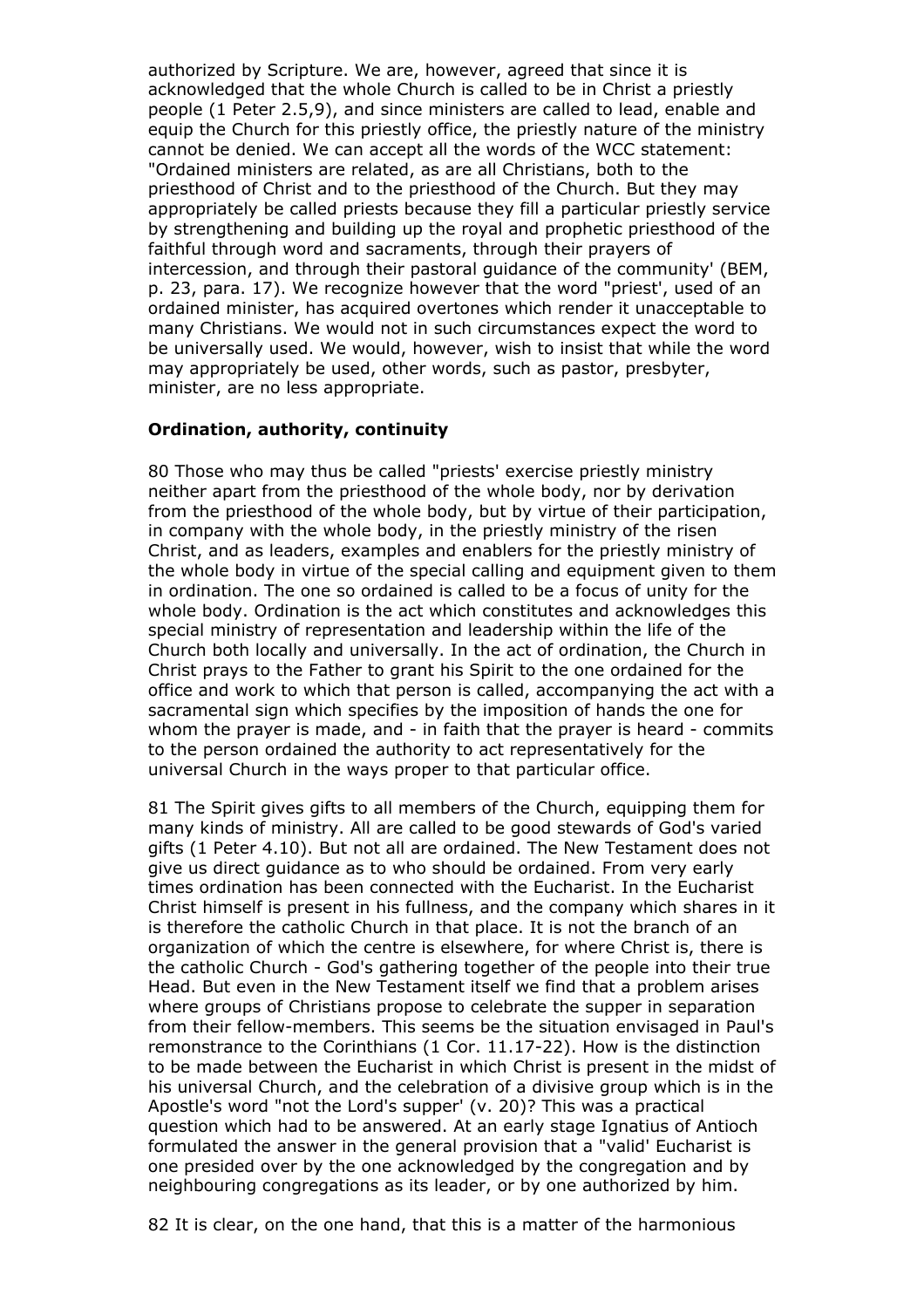authorized by Scripture. We are, however, agreed that since it is acknowledged that the whole Church is called to be in Christ a priestly people (1 Peter 2.5,9), and since ministers are called to lead, enable and equip the Church for this priestly office, the priestly nature of the ministry cannot be denied. We can accept all the words of the WCC statement: "Ordained ministers are related, as are all Christians, both to the priesthood of Christ and to the priesthood of the Church. But they may appropriately be called priests because they fill a particular priestly service by strengthening and building up the royal and prophetic priesthood of the faithful through word and sacraments, through their prayers of intercession, and through their pastoral guidance of the community' (BEM, p. 23, para. 17). We recognize however that the word "priest', used of an ordained minister, has acquired overtones which render it unacceptable to many Christians. We would not in such circumstances expect the word to be universally used. We would, however, wish to insist that while the word may appropriately be used, other words, such as pastor, presbyter, minister, are no less appropriate.

# **Ordination, authority, continuity**

80 Those who may thus be called "priests' exercise priestly ministry neither apart from the priesthood of the whole body, nor by derivation from the priesthood of the whole body, but by virtue of their participation, in company with the whole body, in the priestly ministry of the risen Christ, and as leaders, examples and enablers for the priestly ministry of the whole body in virtue of the special calling and equipment given to them in ordination. The one so ordained is called to be a focus of unity for the whole body. Ordination is the act which constitutes and acknowledges this special ministry of representation and leadership within the life of the Church both locally and universally. In the act of ordination, the Church in Christ prays to the Father to grant his Spirit to the one ordained for the office and work to which that person is called, accompanying the act with a sacramental sign which specifies by the imposition of hands the one for whom the prayer is made, and - in faith that the prayer is heard - commits to the person ordained the authority to act representatively for the universal Church in the ways proper to that particular office.

81 The Spirit gives gifts to all members of the Church, equipping them for many kinds of ministry. All are called to be good stewards of God's varied gifts (1 Peter 4.10). But not all are ordained. The New Testament does not give us direct guidance as to who should be ordained. From very early times ordination has been connected with the Eucharist. In the Eucharist Christ himself is present in his fullness, and the company which shares in it is therefore the catholic Church in that place. It is not the branch of an organization of which the centre is elsewhere, for where Christ is, there is the catholic Church - God's gathering together of the people into their true Head. But even in the New Testament itself we find that a problem arises where groups of Christians propose to celebrate the supper in separation from their fellow-members. This seems be the situation envisaged in Paul's remonstrance to the Corinthians (1 Cor. 11.17-22). How is the distinction to be made between the Eucharist in which Christ is present in the midst of his universal Church, and the celebration of a divisive group which is in the Apostle's word "not the Lord's supper' (v. 20)? This was a practical question which had to be answered. At an early stage Ignatius of Antioch formulated the answer in the general provision that a "valid' Eucharist is one presided over by the one acknowledged by the congregation and by neighbouring congregations as its leader, or by one authorized by him.

82 It is clear, on the one hand, that this is a matter of the harmonious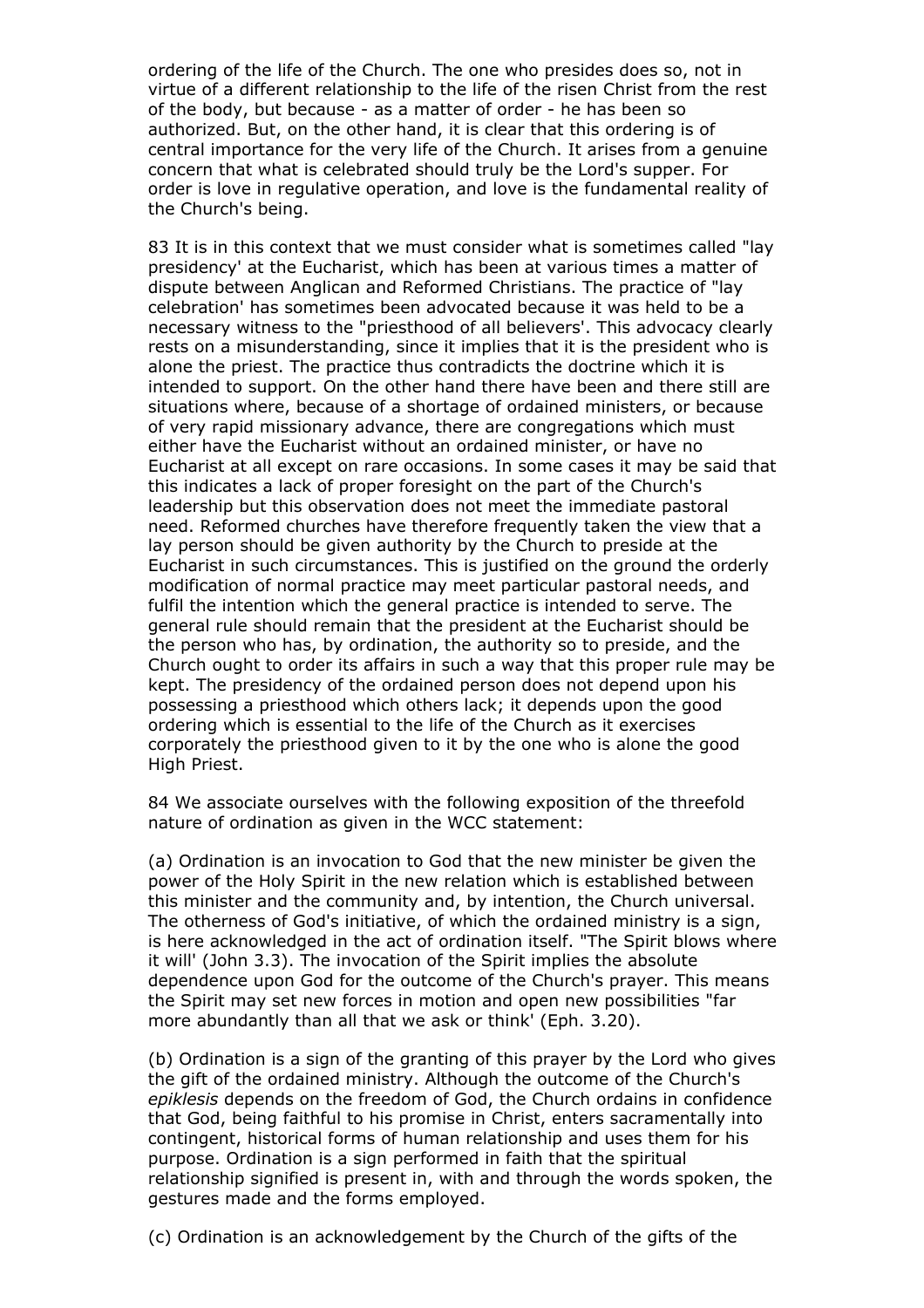ordering of the life of the Church. The one who presides does so, not in virtue of a different relationship to the life of the risen Christ from the rest of the body, but because - as a matter of order - he has been so authorized. But, on the other hand, it is clear that this ordering is of central importance for the very life of the Church. It arises from a genuine concern that what is celebrated should truly be the Lord's supper. For order is love in regulative operation, and love is the fundamental reality of the Church's being.

83 It is in this context that we must consider what is sometimes called "lay presidency' at the Eucharist, which has been at various times a matter of dispute between Anglican and Reformed Christians. The practice of "lay celebration' has sometimes been advocated because it was held to be a necessary witness to the "priesthood of all believers'. This advocacy clearly rests on a misunderstanding, since it implies that it is the president who is alone the priest. The practice thus contradicts the doctrine which it is intended to support. On the other hand there have been and there still are situations where, because of a shortage of ordained ministers, or because of very rapid missionary advance, there are congregations which must either have the Eucharist without an ordained minister, or have no Eucharist at all except on rare occasions. In some cases it may be said that this indicates a lack of proper foresight on the part of the Church's leadership but this observation does not meet the immediate pastoral need. Reformed churches have therefore frequently taken the view that a lay person should be given authority by the Church to preside at the Eucharist in such circumstances. This is justified on the ground the orderly modification of normal practice may meet particular pastoral needs, and fulfil the intention which the general practice is intended to serve. The general rule should remain that the president at the Eucharist should be the person who has, by ordination, the authority so to preside, and the Church ought to order its affairs in such a way that this proper rule may be kept. The presidency of the ordained person does not depend upon his possessing a priesthood which others lack; it depends upon the good ordering which is essential to the life of the Church as it exercises corporately the priesthood given to it by the one who is alone the good High Priest.

84 We associate ourselves with the following exposition of the threefold nature of ordination as given in the WCC statement:

(a) Ordination is an invocation to God that the new minister be given the power of the Holy Spirit in the new relation which is established between this minister and the community and, by intention, the Church universal. The otherness of God's initiative, of which the ordained ministry is a sign, is here acknowledged in the act of ordination itself. "The Spirit blows where it will' (John 3.3). The invocation of the Spirit implies the absolute dependence upon God for the outcome of the Church's prayer. This means the Spirit may set new forces in motion and open new possibilities "far more abundantly than all that we ask or think' (Eph. 3.20).

(b) Ordination is a sign of the granting of this prayer by the Lord who gives the gift of the ordained ministry. Although the outcome of the Church's *epiklesis* depends on the freedom of God, the Church ordains in confidence that God, being faithful to his promise in Christ, enters sacramentally into contingent, historical forms of human relationship and uses them for his purpose. Ordination is a sign performed in faith that the spiritual relationship signified is present in, with and through the words spoken, the gestures made and the forms employed.

(c) Ordination is an acknowledgement by the Church of the gifts of the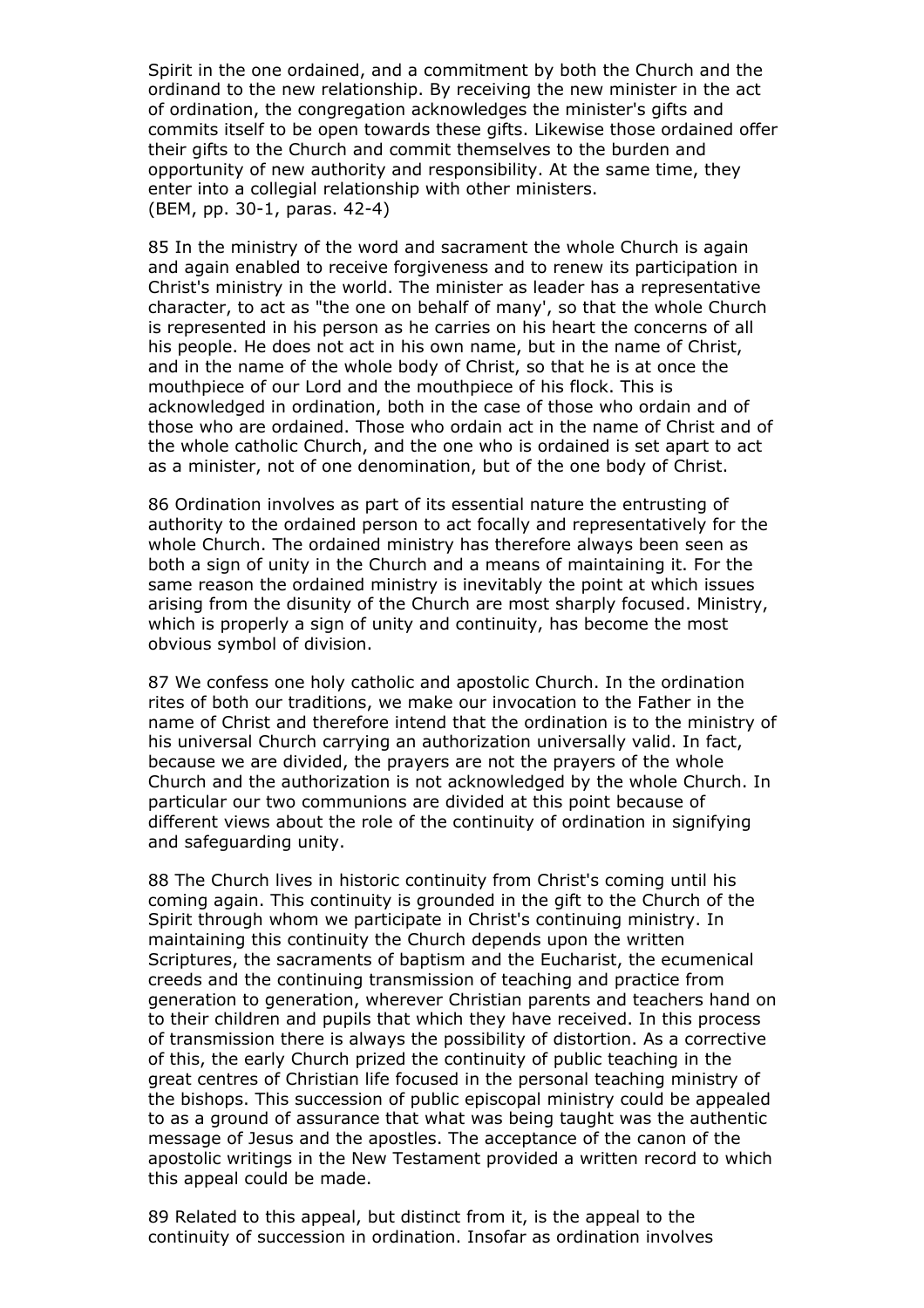Spirit in the one ordained, and a commitment by both the Church and the ordinand to the new relationship. By receiving the new minister in the act of ordination, the congregation acknowledges the minister's gifts and commits itself to be open towards these gifts. Likewise those ordained offer their gifts to the Church and commit themselves to the burden and opportunity of new authority and responsibility. At the same time, they enter into a collegial relationship with other ministers. (BEM, pp. 30-1, paras. 42-4)

85 In the ministry of the word and sacrament the whole Church is again and again enabled to receive forgiveness and to renew its participation in Christ's ministry in the world. The minister as leader has a representative character, to act as "the one on behalf of many', so that the whole Church is represented in his person as he carries on his heart the concerns of all his people. He does not act in his own name, but in the name of Christ, and in the name of the whole body of Christ, so that he is at once the mouthpiece of our Lord and the mouthpiece of his flock. This is acknowledged in ordination, both in the case of those who ordain and of those who are ordained. Those who ordain act in the name of Christ and of the whole catholic Church, and the one who is ordained is set apart to act as a minister, not of one denomination, but of the one body of Christ.

86 Ordination involves as part of its essential nature the entrusting of authority to the ordained person to act focally and representatively for the whole Church. The ordained ministry has therefore always been seen as both a sign of unity in the Church and a means of maintaining it. For the same reason the ordained ministry is inevitably the point at which issues arising from the disunity of the Church are most sharply focused. Ministry, which is properly a sign of unity and continuity, has become the most obvious symbol of division.

87 We confess one holy catholic and apostolic Church. In the ordination rites of both our traditions, we make our invocation to the Father in the name of Christ and therefore intend that the ordination is to the ministry of his universal Church carrying an authorization universally valid. In fact, because we are divided, the prayers are not the prayers of the whole Church and the authorization is not acknowledged by the whole Church. In particular our two communions are divided at this point because of different views about the role of the continuity of ordination in signifying and safeguarding unity.

88 The Church lives in historic continuity from Christ's coming until his coming again. This continuity is grounded in the gift to the Church of the Spirit through whom we participate in Christ's continuing ministry. In maintaining this continuity the Church depends upon the written Scriptures, the sacraments of baptism and the Eucharist, the ecumenical creeds and the continuing transmission of teaching and practice from generation to generation, wherever Christian parents and teachers hand on to their children and pupils that which they have received. In this process of transmission there is always the possibility of distortion. As a corrective of this, the early Church prized the continuity of public teaching in the great centres of Christian life focused in the personal teaching ministry of the bishops. This succession of public episcopal ministry could be appealed to as a ground of assurance that what was being taught was the authentic message of Jesus and the apostles. The acceptance of the canon of the apostolic writings in the New Testament provided a written record to which this appeal could be made.

89 Related to this appeal, but distinct from it, is the appeal to the continuity of succession in ordination. Insofar as ordination involves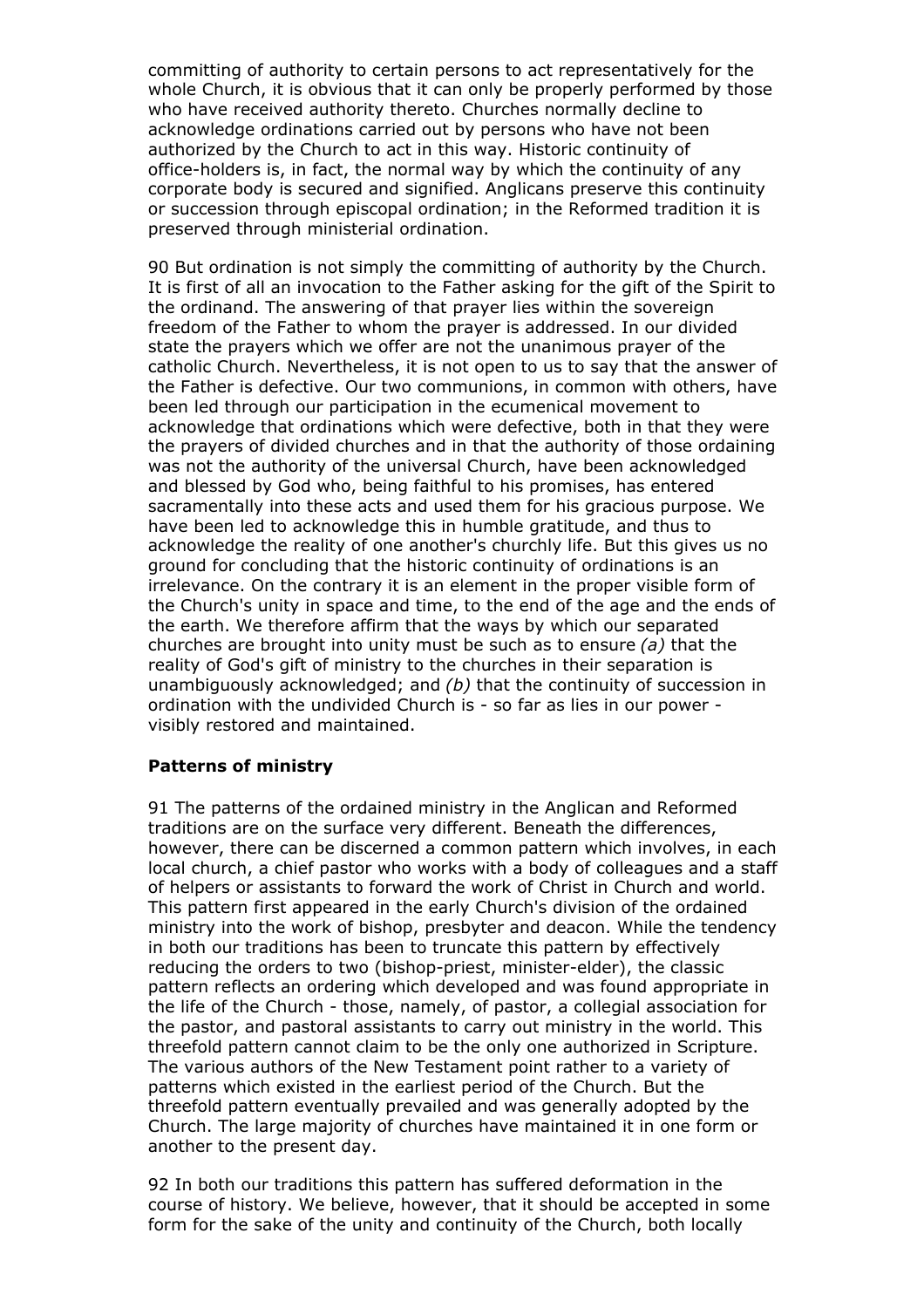committing of authority to certain persons to act representatively for the whole Church, it is obvious that it can only be properly performed by those who have received authority thereto. Churches normally decline to acknowledge ordinations carried out by persons who have not been authorized by the Church to act in this way. Historic continuity of office-holders is, in fact, the normal way by which the continuity of any corporate body is secured and signified. Anglicans preserve this continuity or succession through episcopal ordination; in the Reformed tradition it is preserved through ministerial ordination.

90 But ordination is not simply the committing of authority by the Church. It is first of all an invocation to the Father asking for the gift of the Spirit to the ordinand. The answering of that prayer lies within the sovereign freedom of the Father to whom the prayer is addressed. In our divided state the prayers which we offer are not the unanimous prayer of the catholic Church. Nevertheless, it is not open to us to say that the answer of the Father is defective. Our two communions, in common with others, have been led through our participation in the ecumenical movement to acknowledge that ordinations which were defective, both in that they were the prayers of divided churches and in that the authority of those ordaining was not the authority of the universal Church, have been acknowledged and blessed by God who, being faithful to his promises, has entered sacramentally into these acts and used them for his gracious purpose. We have been led to acknowledge this in humble gratitude, and thus to acknowledge the reality of one another's churchly life. But this gives us no ground for concluding that the historic continuity of ordinations is an irrelevance. On the contrary it is an element in the proper visible form of the Church's unity in space and time, to the end of the age and the ends of the earth. We therefore affirm that the ways by which our separated churches are brought into unity must be such as to ensure *(a)* that the reality of God's gift of ministry to the churches in their separation is unambiguously acknowledged; and *(b)* that the continuity of succession in ordination with the undivided Church is - so far as lies in our power visibly restored and maintained.

# **Patterns of ministry**

91 The patterns of the ordained ministry in the Anglican and Reformed traditions are on the surface very different. Beneath the differences, however, there can be discerned a common pattern which involves, in each local church, a chief pastor who works with a body of colleagues and a staff of helpers or assistants to forward the work of Christ in Church and world. This pattern first appeared in the early Church's division of the ordained ministry into the work of bishop, presbyter and deacon. While the tendency in both our traditions has been to truncate this pattern by effectively reducing the orders to two (bishop-priest, minister-elder), the classic pattern reflects an ordering which developed and was found appropriate in the life of the Church - those, namely, of pastor, a collegial association for the pastor, and pastoral assistants to carry out ministry in the world. This threefold pattern cannot claim to be the only one authorized in Scripture. The various authors of the New Testament point rather to a variety of patterns which existed in the earliest period of the Church. But the threefold pattern eventually prevailed and was generally adopted by the Church. The large majority of churches have maintained it in one form or another to the present day.

92 In both our traditions this pattern has suffered deformation in the course of history. We believe, however, that it should be accepted in some form for the sake of the unity and continuity of the Church, both locally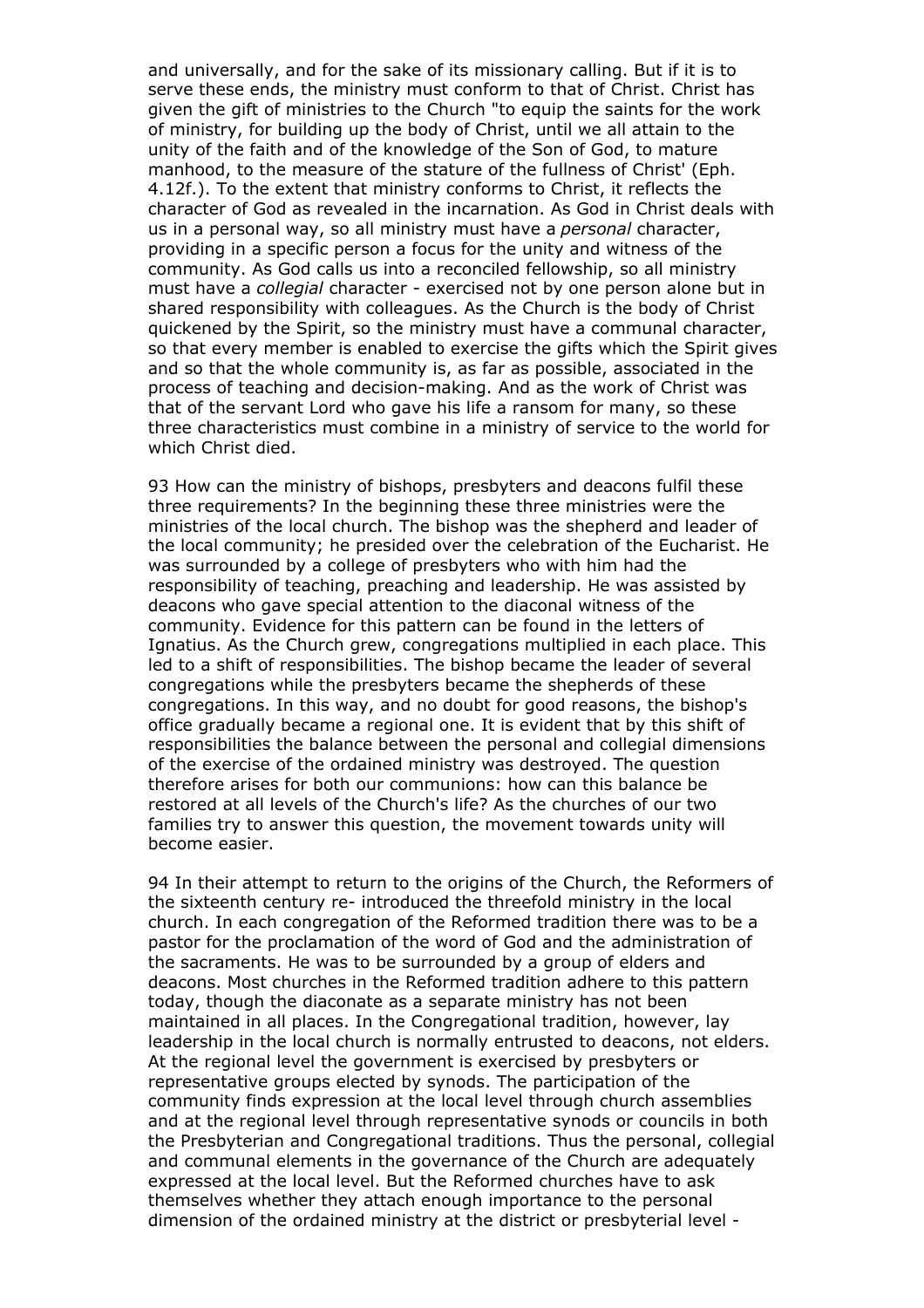and universally, and for the sake of its missionary calling. But if it is to serve these ends, the ministry must conform to that of Christ. Christ has given the gift of ministries to the Church "to equip the saints for the work of ministry, for building up the body of Christ, until we all attain to the unity of the faith and of the knowledge of the Son of God, to mature manhood, to the measure of the stature of the fullness of Christ' (Eph. 4.12f.). To the extent that ministry conforms to Christ, it reflects the character of God as revealed in the incarnation. As God in Christ deals with us in a personal way, so all ministry must have a *personal* character, providing in a specific person a focus for the unity and witness of the community. As God calls us into a reconciled fellowship, so all ministry must have a *collegial* character - exercised not by one person alone but in shared responsibility with colleagues. As the Church is the body of Christ quickened by the Spirit, so the ministry must have a communal character, so that every member is enabled to exercise the gifts which the Spirit gives and so that the whole community is, as far as possible, associated in the process of teaching and decision-making. And as the work of Christ was that of the servant Lord who gave his life a ransom for many, so these three characteristics must combine in a ministry of service to the world for which Christ died.

93 How can the ministry of bishops, presbyters and deacons fulfil these three requirements? In the beginning these three ministries were the ministries of the local church. The bishop was the shepherd and leader of the local community; he presided over the celebration of the Eucharist. He was surrounded by a college of presbyters who with him had the responsibility of teaching, preaching and leadership. He was assisted by deacons who gave special attention to the diaconal witness of the community. Evidence for this pattern can be found in the letters of Ignatius. As the Church grew, congregations multiplied in each place. This led to a shift of responsibilities. The bishop became the leader of several congregations while the presbyters became the shepherds of these congregations. In this way, and no doubt for good reasons, the bishop's office gradually became a regional one. It is evident that by this shift of responsibilities the balance between the personal and collegial dimensions of the exercise of the ordained ministry was destroyed. The question therefore arises for both our communions: how can this balance be restored at all levels of the Church's life? As the churches of our two families try to answer this question, the movement towards unity will become easier.

94 In their attempt to return to the origins of the Church, the Reformers of the sixteenth century re- introduced the threefold ministry in the local church. In each congregation of the Reformed tradition there was to be a pastor for the proclamation of the word of God and the administration of the sacraments. He was to be surrounded by a group of elders and deacons. Most churches in the Reformed tradition adhere to this pattern today, though the diaconate as a separate ministry has not been maintained in all places. In the Congregational tradition, however, lay leadership in the local church is normally entrusted to deacons, not elders. At the regional level the government is exercised by presbyters or representative groups elected by synods. The participation of the community finds expression at the local level through church assemblies and at the regional level through representative synods or councils in both the Presbyterian and Congregational traditions. Thus the personal, collegial and communal elements in the governance of the Church are adequately expressed at the local level. But the Reformed churches have to ask themselves whether they attach enough importance to the personal dimension of the ordained ministry at the district or presbyterial level -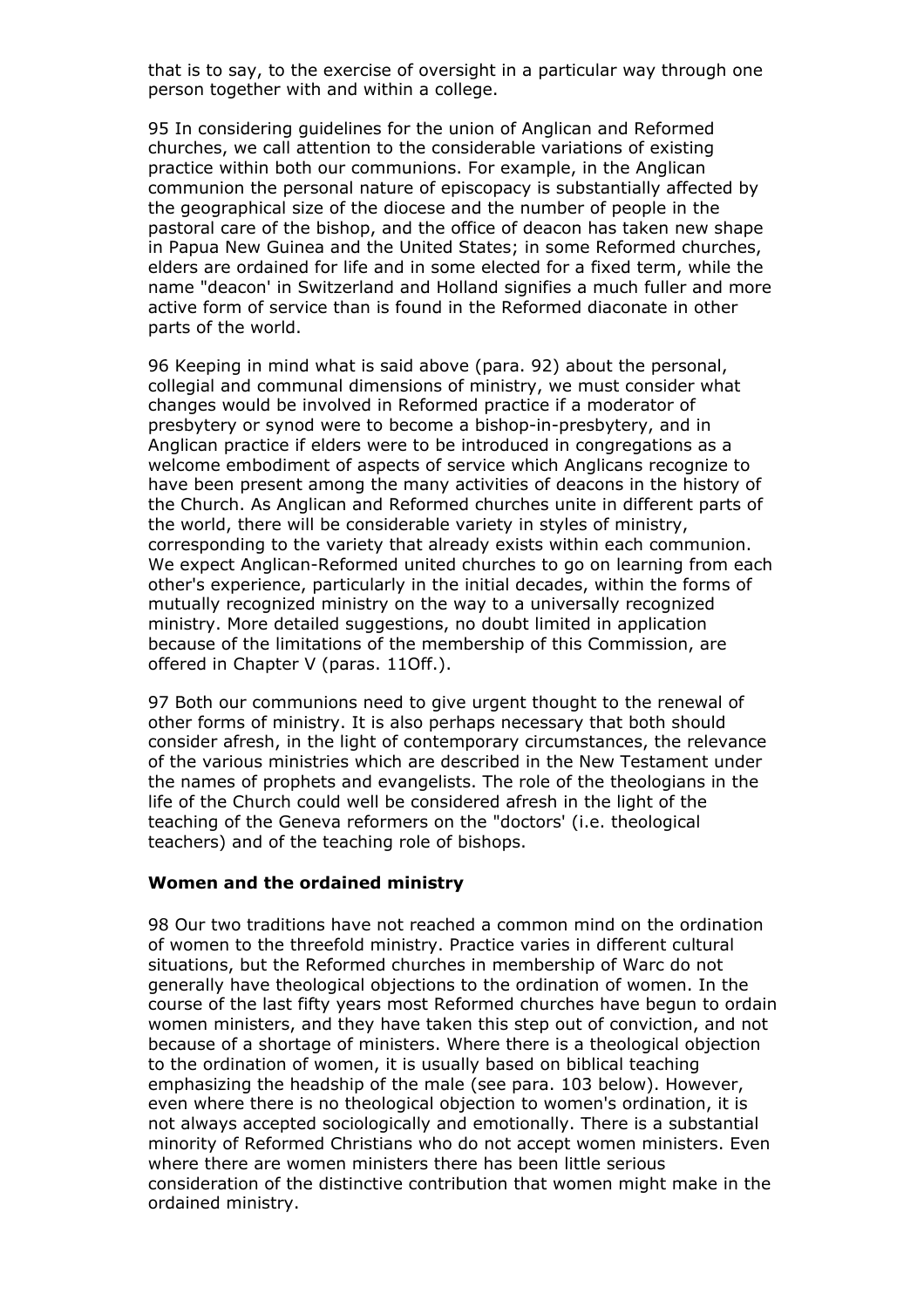that is to say, to the exercise of oversight in a particular way through one person together with and within a college.

95 In considering guidelines for the union of Anglican and Reformed churches, we call attention to the considerable variations of existing practice within both our communions. For example, in the Anglican communion the personal nature of episcopacy is substantially affected by the geographical size of the diocese and the number of people in the pastoral care of the bishop, and the office of deacon has taken new shape in Papua New Guinea and the United States; in some Reformed churches, elders are ordained for life and in some elected for a fixed term, while the name "deacon' in Switzerland and Holland signifies a much fuller and more active form of service than is found in the Reformed diaconate in other parts of the world.

96 Keeping in mind what is said above (para. 92) about the personal, collegial and communal dimensions of ministry, we must consider what changes would be involved in Reformed practice if a moderator of presbytery or synod were to become a bishop-in-presbytery, and in Anglican practice if elders were to be introduced in congregations as a welcome embodiment of aspects of service which Anglicans recognize to have been present among the many activities of deacons in the history of the Church. As Anglican and Reformed churches unite in different parts of the world, there will be considerable variety in styles of ministry, corresponding to the variety that already exists within each communion. We expect Anglican-Reformed united churches to go on learning from each other's experience, particularly in the initial decades, within the forms of mutually recognized ministry on the way to a universally recognized ministry. More detailed suggestions, no doubt limited in application because of the limitations of the membership of this Commission, are offered in Chapter V (paras. 11Off.).

97 Both our communions need to give urgent thought to the renewal of other forms of ministry. It is also perhaps necessary that both should consider afresh, in the light of contemporary circumstances, the relevance of the various ministries which are described in the New Testament under the names of prophets and evangelists. The role of the theologians in the life of the Church could well be considered afresh in the light of the teaching of the Geneva reformers on the "doctors' (i.e. theological teachers) and of the teaching role of bishops.

### **Women and the ordained ministry**

98 Our two traditions have not reached a common mind on the ordination of women to the threefold ministry. Practice varies in different cultural situations, but the Reformed churches in membership of Warc do not generally have theological objections to the ordination of women. In the course of the last fifty years most Reformed churches have begun to ordain women ministers, and they have taken this step out of conviction, and not because of a shortage of ministers. Where there is a theological objection to the ordination of women, it is usually based on biblical teaching emphasizing the headship of the male (see para. 103 below). However, even where there is no theological objection to women's ordination, it is not always accepted sociologically and emotionally. There is a substantial minority of Reformed Christians who do not accept women ministers. Even where there are women ministers there has been little serious consideration of the distinctive contribution that women might make in the ordained ministry.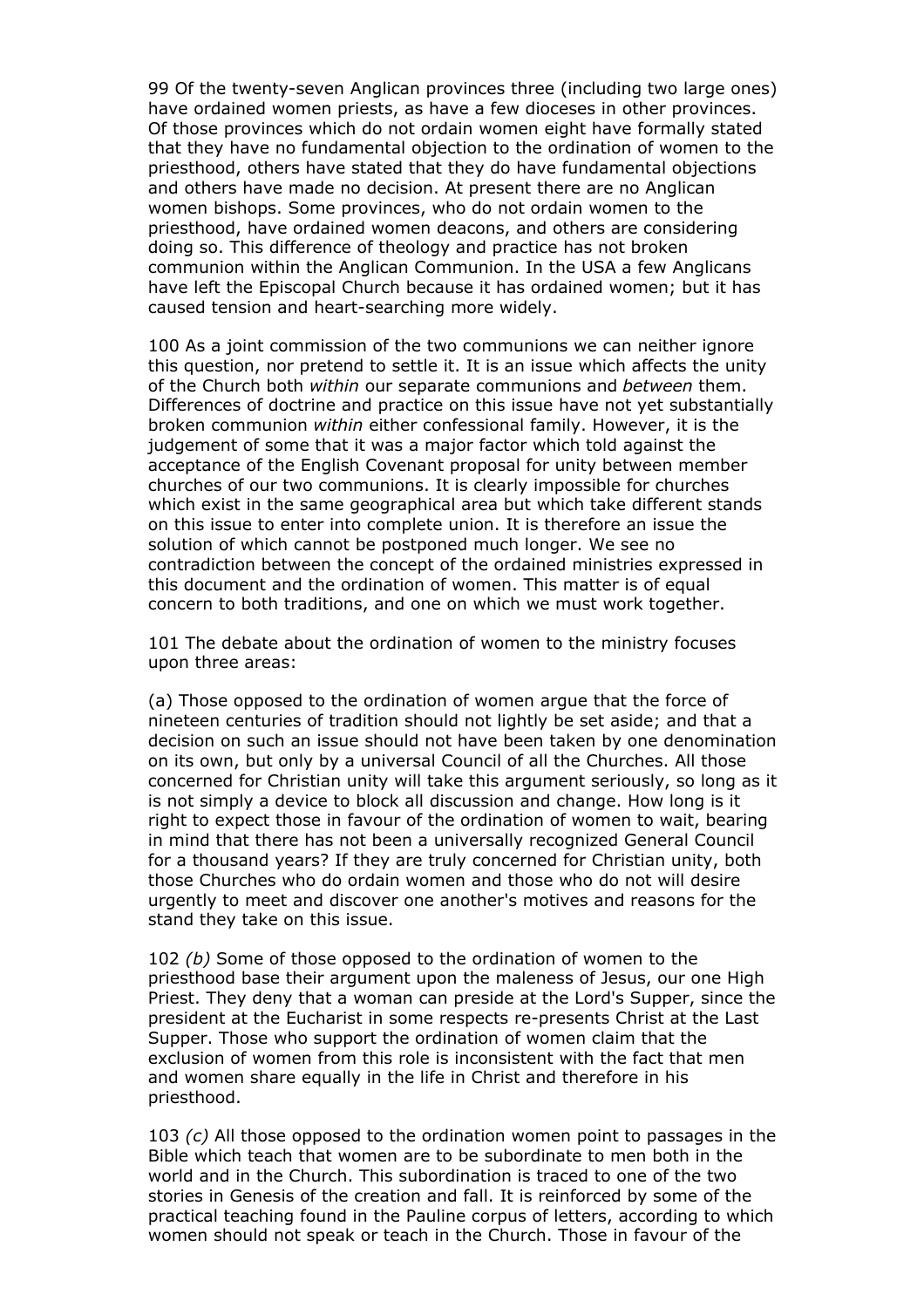99 Of the twenty-seven Anglican provinces three (including two large ones) have ordained women priests, as have a few dioceses in other provinces. Of those provinces which do not ordain women eight have formally stated that they have no fundamental objection to the ordination of women to the priesthood, others have stated that they do have fundamental objections and others have made no decision. At present there are no Anglican women bishops. Some provinces, who do not ordain women to the priesthood, have ordained women deacons, and others are considering doing so. This difference of theology and practice has not broken communion within the Anglican Communion. In the USA a few Anglicans have left the Episcopal Church because it has ordained women; but it has caused tension and heart-searching more widely.

100 As a joint commission of the two communions we can neither ignore this question, nor pretend to settle it. It is an issue which affects the unity of the Church both *within* our separate communions and *between* them. Differences of doctrine and practice on this issue have not yet substantially broken communion *within* either confessional family. However, it is the judgement of some that it was a major factor which told against the acceptance of the English Covenant proposal for unity between member churches of our two communions. It is clearly impossible for churches which exist in the same geographical area but which take different stands on this issue to enter into complete union. It is therefore an issue the solution of which cannot be postponed much longer. We see no contradiction between the concept of the ordained ministries expressed in this document and the ordination of women. This matter is of equal concern to both traditions, and one on which we must work together.

101 The debate about the ordination of women to the ministry focuses upon three areas:

(a) Those opposed to the ordination of women argue that the force of nineteen centuries of tradition should not lightly be set aside; and that a decision on such an issue should not have been taken by one denomination on its own, but only by a universal Council of all the Churches. All those concerned for Christian unity will take this argument seriously, so long as it is not simply a device to block all discussion and change. How long is it right to expect those in favour of the ordination of women to wait, bearing in mind that there has not been a universally recognized General Council for a thousand years? If they are truly concerned for Christian unity, both those Churches who do ordain women and those who do not will desire urgently to meet and discover one another's motives and reasons for the stand they take on this issue.

102 *(b)* Some of those opposed to the ordination of women to the priesthood base their argument upon the maleness of Jesus, our one High Priest. They deny that a woman can preside at the Lord's Supper, since the president at the Eucharist in some respects re-presents Christ at the Last Supper. Those who support the ordination of women claim that the exclusion of women from this role is inconsistent with the fact that men and women share equally in the life in Christ and therefore in his priesthood.

103 *(c)* All those opposed to the ordination women point to passages in the Bible which teach that women are to be subordinate to men both in the world and in the Church. This subordination is traced to one of the two stories in Genesis of the creation and fall. It is reinforced by some of the practical teaching found in the Pauline corpus of letters, according to which women should not speak or teach in the Church. Those in favour of the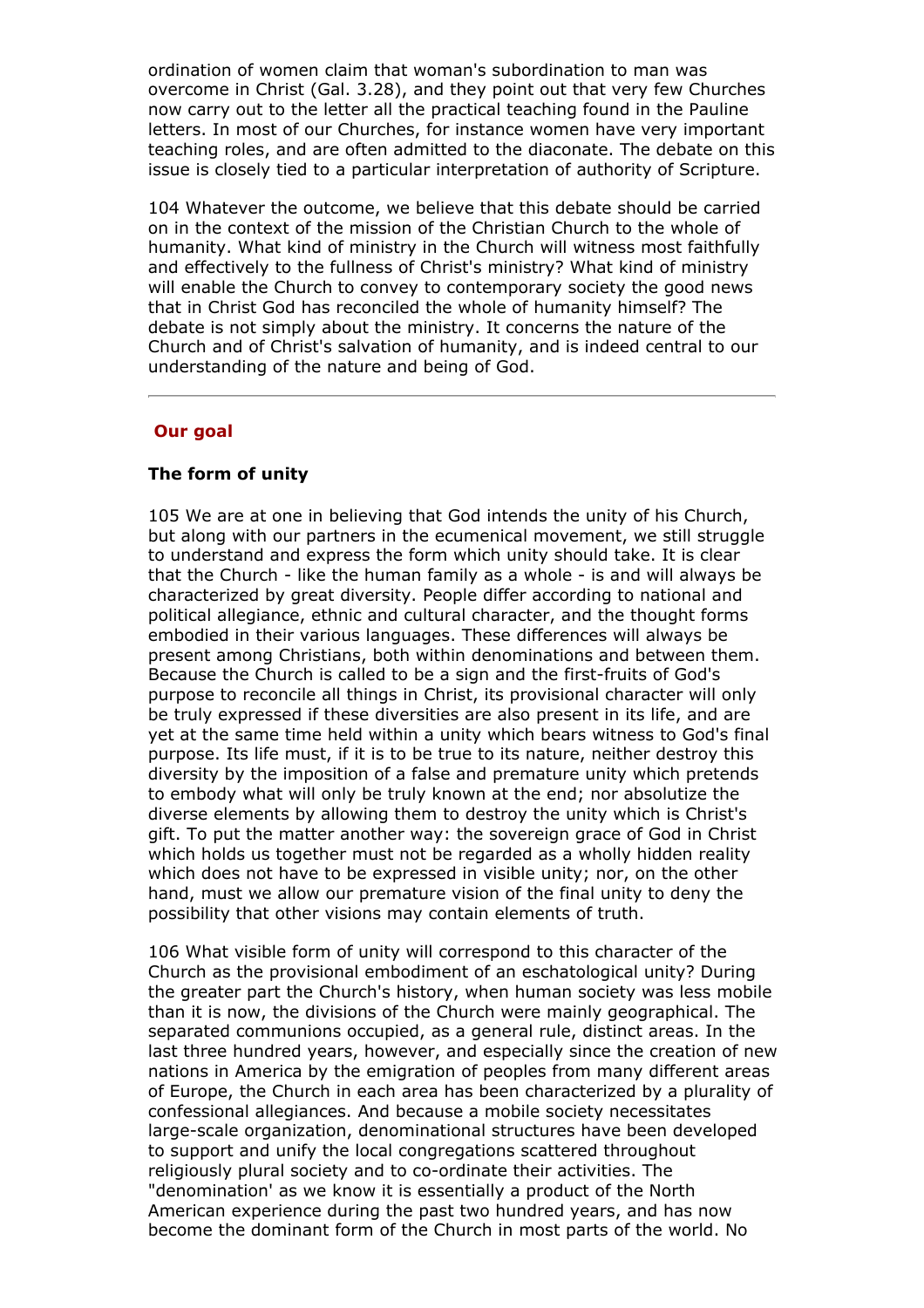ordination of women claim that woman's subordination to man was overcome in Christ (Gal. 3.28), and they point out that very few Churches now carry out to the letter all the practical teaching found in the Pauline letters. In most of our Churches, for instance women have very important teaching roles, and are often admitted to the diaconate. The debate on this issue is closely tied to a particular interpretation of authority of Scripture.

104 Whatever the outcome, we believe that this debate should be carried on in the context of the mission of the Christian Church to the whole of humanity. What kind of ministry in the Church will witness most faithfully and effectively to the fullness of Christ's ministry? What kind of ministry will enable the Church to convey to contemporary society the good news that in Christ God has reconciled the whole of humanity himself? The debate is not simply about the ministry. It concerns the nature of the Church and of Christ's salvation of humanity, and is indeed central to our understanding of the nature and being of God.

### **Our goal**

# **The form of unity**

105 We are at one in believing that God intends the unity of his Church, but along with our partners in the ecumenical movement, we still struggle to understand and express the form which unity should take. It is clear that the Church - like the human family as a whole - is and will always be characterized by great diversity. People differ according to national and political allegiance, ethnic and cultural character, and the thought forms embodied in their various languages. These differences will always be present among Christians, both within denominations and between them. Because the Church is called to be a sign and the first-fruits of God's purpose to reconcile all things in Christ, its provisional character will only be truly expressed if these diversities are also present in its life, and are yet at the same time held within a unity which bears witness to God's final purpose. Its life must, if it is to be true to its nature, neither destroy this diversity by the imposition of a false and premature unity which pretends to embody what will only be truly known at the end; nor absolutize the diverse elements by allowing them to destroy the unity which is Christ's gift. To put the matter another way: the sovereign grace of God in Christ which holds us together must not be regarded as a wholly hidden reality which does not have to be expressed in visible unity; nor, on the other hand, must we allow our premature vision of the final unity to deny the possibility that other visions may contain elements of truth.

106 What visible form of unity will correspond to this character of the Church as the provisional embodiment of an eschatological unity? During the greater part the Church's history, when human society was less mobile than it is now, the divisions of the Church were mainly geographical. The separated communions occupied, as a general rule, distinct areas. In the last three hundred years, however, and especially since the creation of new nations in America by the emigration of peoples from many different areas of Europe, the Church in each area has been characterized by a plurality of confessional allegiances. And because a mobile society necessitates large-scale organization, denominational structures have been developed to support and unify the local congregations scattered throughout religiously plural society and to co-ordinate their activities. The "denomination' as we know it is essentially a product of the North American experience during the past two hundred years, and has now become the dominant form of the Church in most parts of the world. No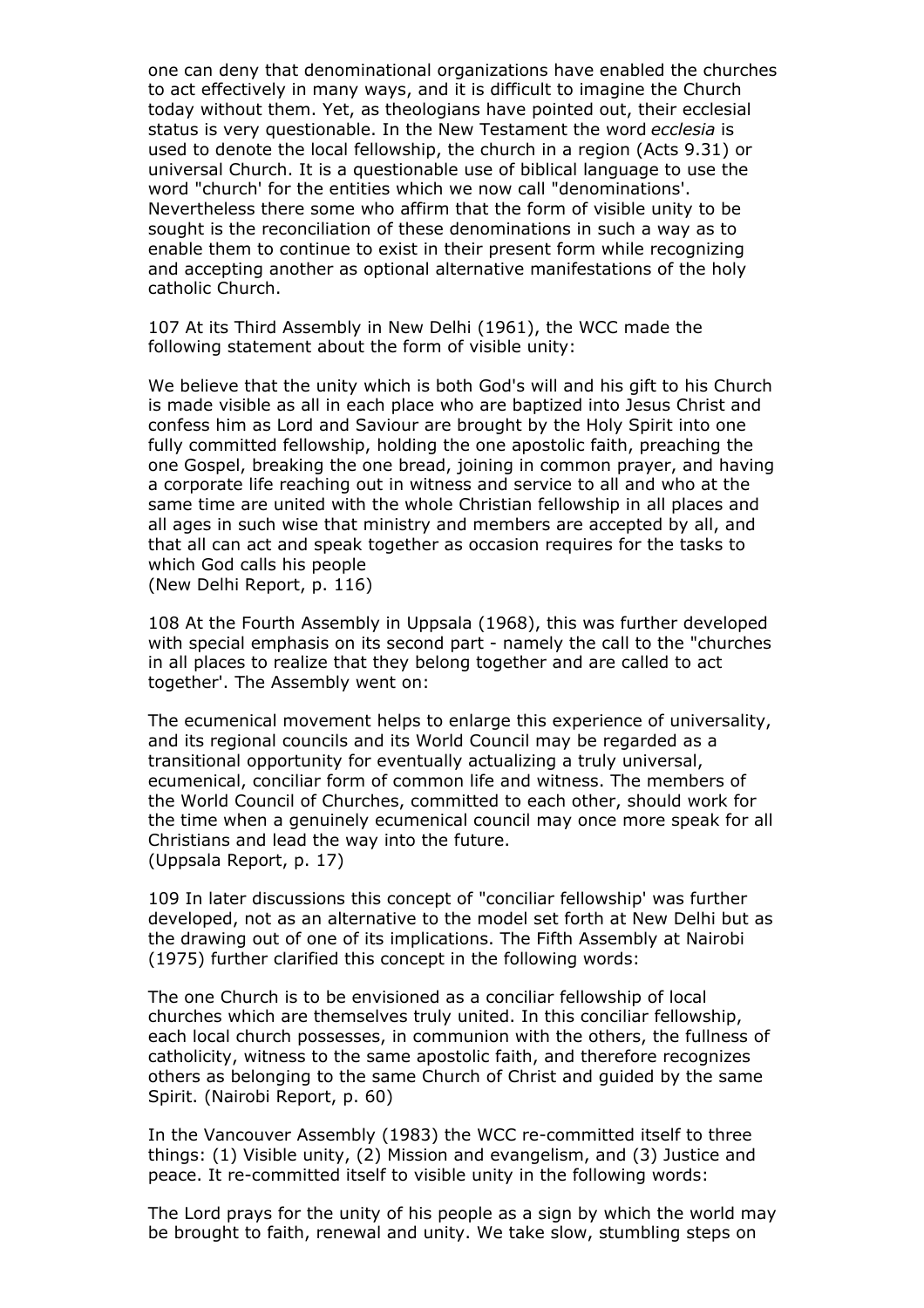one can deny that denominational organizations have enabled the churches to act effectively in many ways, and it is difficult to imagine the Church today without them. Yet, as theologians have pointed out, their ecclesial status is very questionable. In the New Testament the word *ecclesia* is used to denote the local fellowship, the church in a region (Acts 9.31) or universal Church. It is a questionable use of biblical language to use the word "church' for the entities which we now call "denominations'. Nevertheless there some who affirm that the form of visible unity to be sought is the reconciliation of these denominations in such a way as to enable them to continue to exist in their present form while recognizing and accepting another as optional alternative manifestations of the holy catholic Church.

107 At its Third Assembly in New Delhi (1961), the WCC made the following statement about the form of visible unity:

We believe that the unity which is both God's will and his gift to his Church is made visible as all in each place who are baptized into Jesus Christ and confess him as Lord and Saviour are brought by the Holy Spirit into one fully committed fellowship, holding the one apostolic faith, preaching the one Gospel, breaking the one bread, joining in common prayer, and having a corporate life reaching out in witness and service to all and who at the same time are united with the whole Christian fellowship in all places and all ages in such wise that ministry and members are accepted by all, and that all can act and speak together as occasion requires for the tasks to which God calls his people (New Delhi Report, p. 116)

108 At the Fourth Assembly in Uppsala (1968), this was further developed with special emphasis on its second part - namely the call to the "churches in all places to realize that they belong together and are called to act

together'. The Assembly went on:

The ecumenical movement helps to enlarge this experience of universality, and its regional councils and its World Council may be regarded as a transitional opportunity for eventually actualizing a truly universal, ecumenical, conciliar form of common life and witness. The members of the World Council of Churches, committed to each other, should work for the time when a genuinely ecumenical council may once more speak for all Christians and lead the way into the future. (Uppsala Report, p. 17)

109 In later discussions this concept of "conciliar fellowship' was further developed, not as an alternative to the model set forth at New Delhi but as the drawing out of one of its implications. The Fifth Assembly at Nairobi (1975) further clarified this concept in the following words:

The one Church is to be envisioned as a conciliar fellowship of local churches which are themselves truly united. In this conciliar fellowship, each local church possesses, in communion with the others, the fullness of catholicity, witness to the same apostolic faith, and therefore recognizes others as belonging to the same Church of Christ and guided by the same Spirit. (Nairobi Report, p. 60)

In the Vancouver Assembly (1983) the WCC re-committed itself to three things: (1) Visible unity, (2) Mission and evangelism, and (3) Justice and peace. It re-committed itself to visible unity in the following words:

The Lord prays for the unity of his people as a sign by which the world may be brought to faith, renewal and unity. We take slow, stumbling steps on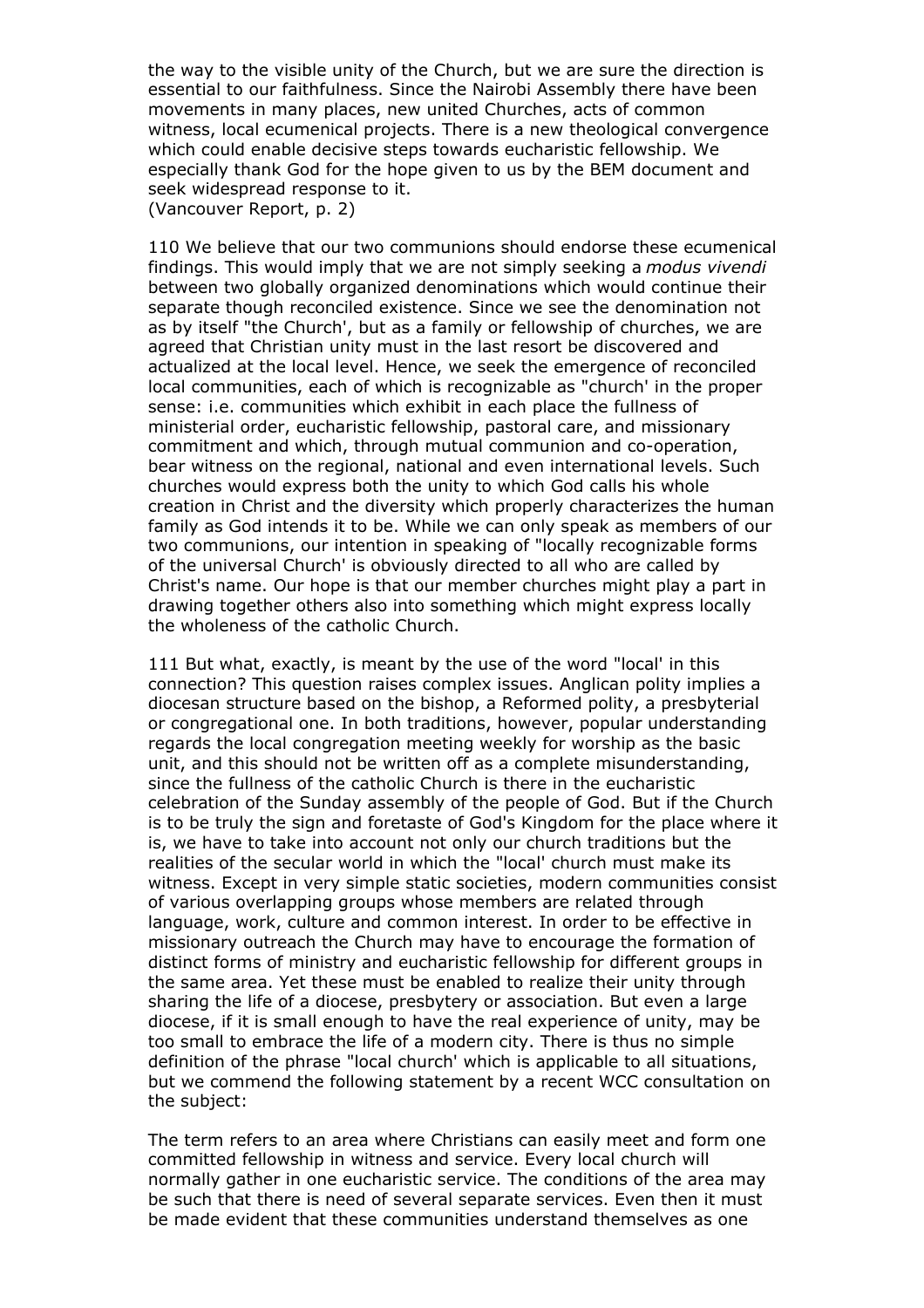the way to the visible unity of the Church, but we are sure the direction is essential to our faithfulness. Since the Nairobi Assembly there have been movements in many places, new united Churches, acts of common witness, local ecumenical projects. There is a new theological convergence which could enable decisive steps towards eucharistic fellowship. We especially thank God for the hope given to us by the BEM document and seek widespread response to it. (Vancouver Report, p. 2)

110 We believe that our two communions should endorse these ecumenical findings. This would imply that we are not simply seeking a *modus vivendi* between two globally organized denominations which would continue their separate though reconciled existence. Since we see the denomination not as by itself "the Church', but as a family or fellowship of churches, we are agreed that Christian unity must in the last resort be discovered and actualized at the local level. Hence, we seek the emergence of reconciled local communities, each of which is recognizable as "church' in the proper sense: i.e. communities which exhibit in each place the fullness of ministerial order, eucharistic fellowship, pastoral care, and missionary commitment and which, through mutual communion and co-operation, bear witness on the regional, national and even international levels. Such churches would express both the unity to which God calls his whole creation in Christ and the diversity which properly characterizes the human family as God intends it to be. While we can only speak as members of our two communions, our intention in speaking of "locally recognizable forms of the universal Church' is obviously directed to all who are called by Christ's name. Our hope is that our member churches might play a part in drawing together others also into something which might express locally the wholeness of the catholic Church.

111 But what, exactly, is meant by the use of the word "local' in this connection? This question raises complex issues. Anglican polity implies a diocesan structure based on the bishop, a Reformed polity, a presbyterial or congregational one. In both traditions, however, popular understanding regards the local congregation meeting weekly for worship as the basic unit, and this should not be written off as a complete misunderstanding, since the fullness of the catholic Church is there in the eucharistic celebration of the Sunday assembly of the people of God. But if the Church is to be truly the sign and foretaste of God's Kingdom for the place where it is, we have to take into account not only our church traditions but the realities of the secular world in which the "local' church must make its witness. Except in very simple static societies, modern communities consist of various overlapping groups whose members are related through language, work, culture and common interest. In order to be effective in missionary outreach the Church may have to encourage the formation of distinct forms of ministry and eucharistic fellowship for different groups in the same area. Yet these must be enabled to realize their unity through sharing the life of a diocese, presbytery or association. But even a large diocese, if it is small enough to have the real experience of unity, may be too small to embrace the life of a modern city. There is thus no simple definition of the phrase "local church' which is applicable to all situations, but we commend the following statement by a recent WCC consultation on the subject:

The term refers to an area where Christians can easily meet and form one committed fellowship in witness and service. Every local church will normally gather in one eucharistic service. The conditions of the area may be such that there is need of several separate services. Even then it must be made evident that these communities understand themselves as one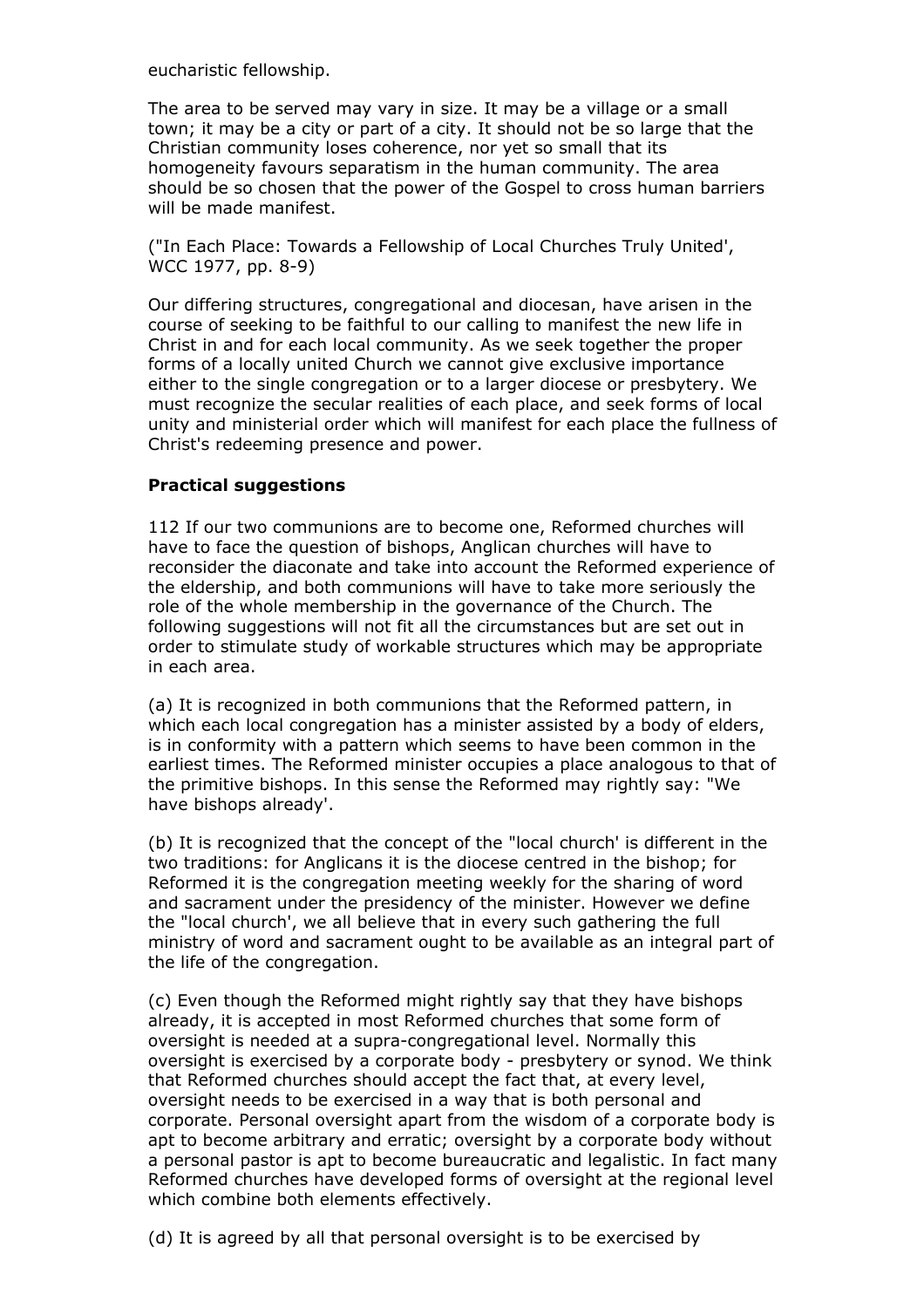eucharistic fellowship.

The area to be served may vary in size. It may be a village or a small town; it may be a city or part of a city. It should not be so large that the Christian community loses coherence, nor yet so small that its homogeneity favours separatism in the human community. The area should be so chosen that the power of the Gospel to cross human barriers will be made manifest.

("In Each Place: Towards a Fellowship of Local Churches Truly United', WCC 1977, pp. 8-9)

Our differing structures, congregational and diocesan, have arisen in the course of seeking to be faithful to our calling to manifest the new life in Christ in and for each local community. As we seek together the proper forms of a locally united Church we cannot give exclusive importance either to the single congregation or to a larger diocese or presbytery. We must recognize the secular realities of each place, and seek forms of local unity and ministerial order which will manifest for each place the fullness of Christ's redeeming presence and power.

# **Practical suggestions**

112 If our two communions are to become one, Reformed churches will have to face the question of bishops, Anglican churches will have to reconsider the diaconate and take into account the Reformed experience of the eldership, and both communions will have to take more seriously the role of the whole membership in the governance of the Church. The following suggestions will not fit all the circumstances but are set out in order to stimulate study of workable structures which may be appropriate in each area.

(a) It is recognized in both communions that the Reformed pattern, in which each local congregation has a minister assisted by a body of elders, is in conformity with a pattern which seems to have been common in the earliest times. The Reformed minister occupies a place analogous to that of the primitive bishops. In this sense the Reformed may rightly say: "We have bishops already'.

(b) It is recognized that the concept of the "local church' is different in the two traditions: for Anglicans it is the diocese centred in the bishop; for Reformed it is the congregation meeting weekly for the sharing of word and sacrament under the presidency of the minister. However we define the "local church', we all believe that in every such gathering the full ministry of word and sacrament ought to be available as an integral part of the life of the congregation.

(c) Even though the Reformed might rightly say that they have bishops already, it is accepted in most Reformed churches that some form of oversight is needed at a supra-congregational level. Normally this oversight is exercised by a corporate body - presbytery or synod. We think that Reformed churches should accept the fact that, at every level, oversight needs to be exercised in a way that is both personal and corporate. Personal oversight apart from the wisdom of a corporate body is apt to become arbitrary and erratic; oversight by a corporate body without a personal pastor is apt to become bureaucratic and legalistic. In fact many Reformed churches have developed forms of oversight at the regional level which combine both elements effectively.

(d) It is agreed by all that personal oversight is to be exercised by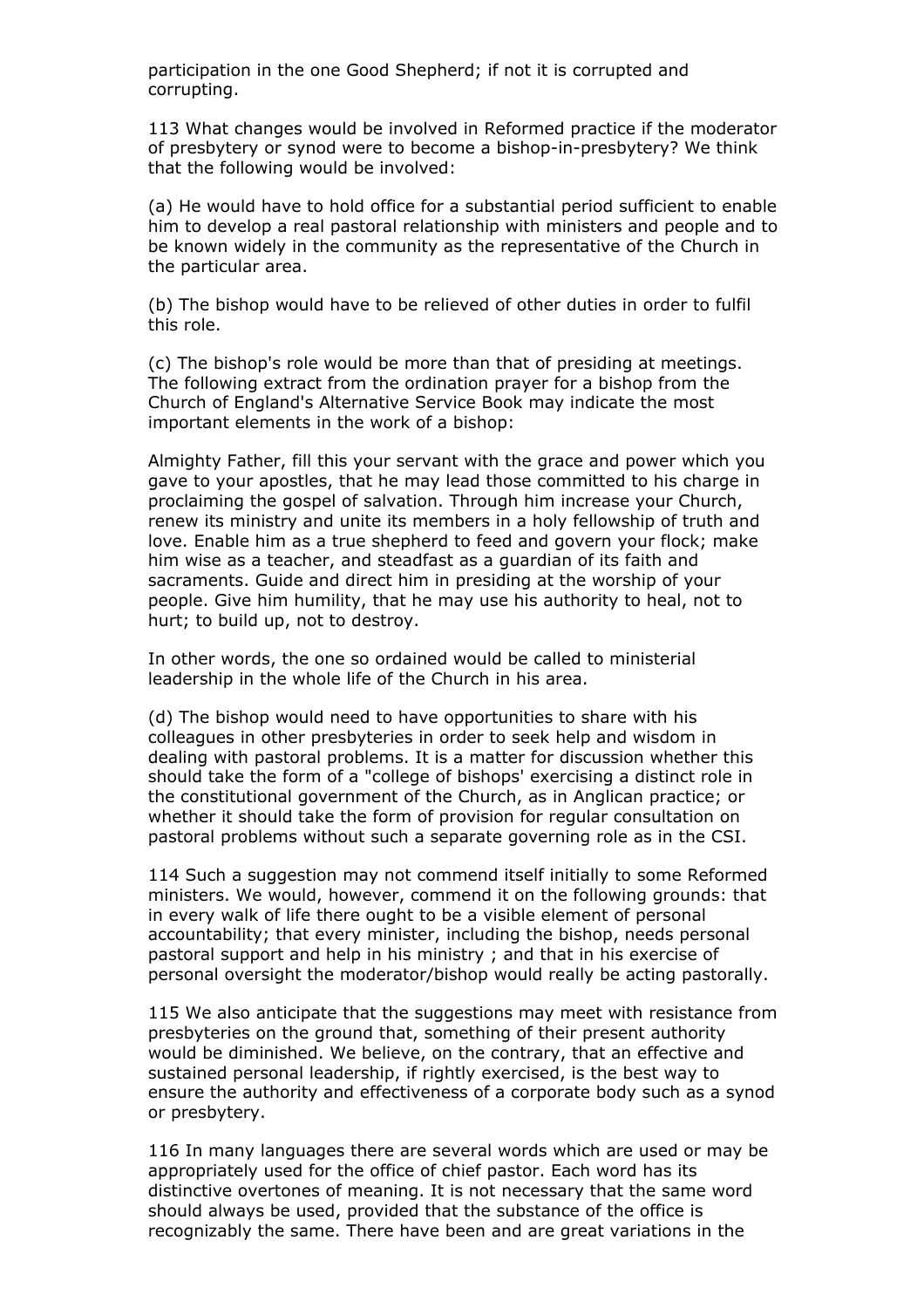participation in the one Good Shepherd; if not it is corrupted and corrupting.

113 What changes would be involved in Reformed practice if the moderator of presbytery or synod were to become a bishop-in-presbytery? We think that the following would be involved:

(a) He would have to hold office for a substantial period sufficient to enable him to develop a real pastoral relationship with ministers and people and to be known widely in the community as the representative of the Church in the particular area.

(b) The bishop would have to be relieved of other duties in order to fulfil this role.

(c) The bishop's role would be more than that of presiding at meetings. The following extract from the ordination prayer for a bishop from the Church of England's Alternative Service Book may indicate the most important elements in the work of a bishop:

Almighty Father, fill this your servant with the grace and power which you gave to your apostles, that he may lead those committed to his charge in proclaiming the gospel of salvation. Through him increase your Church, renew its ministry and unite its members in a holy fellowship of truth and love. Enable him as a true shepherd to feed and govern your flock; make him wise as a teacher, and steadfast as a guardian of its faith and sacraments. Guide and direct him in presiding at the worship of your people. Give him humility, that he may use his authority to heal, not to hurt; to build up, not to destroy.

In other words, the one so ordained would be called to ministerial leadership in the whole life of the Church in his area.

(d) The bishop would need to have opportunities to share with his colleagues in other presbyteries in order to seek help and wisdom in dealing with pastoral problems. It is a matter for discussion whether this should take the form of a "college of bishops' exercising a distinct role in the constitutional government of the Church, as in Anglican practice; or whether it should take the form of provision for regular consultation on pastoral problems without such a separate governing role as in the CSI.

114 Such a suggestion may not commend itself initially to some Reformed ministers. We would, however, commend it on the following grounds: that in every walk of life there ought to be a visible element of personal accountability; that every minister, including the bishop, needs personal pastoral support and help in his ministry ; and that in his exercise of personal oversight the moderator/bishop would really be acting pastorally.

115 We also anticipate that the suggestions may meet with resistance from presbyteries on the ground that, something of their present authority would be diminished. We believe, on the contrary, that an effective and sustained personal leadership, if rightly exercised, is the best way to ensure the authority and effectiveness of a corporate body such as a synod or presbytery.

116 In many languages there are several words which are used or may be appropriately used for the office of chief pastor. Each word has its distinctive overtones of meaning. It is not necessary that the same word should always be used, provided that the substance of the office is recognizably the same. There have been and are great variations in the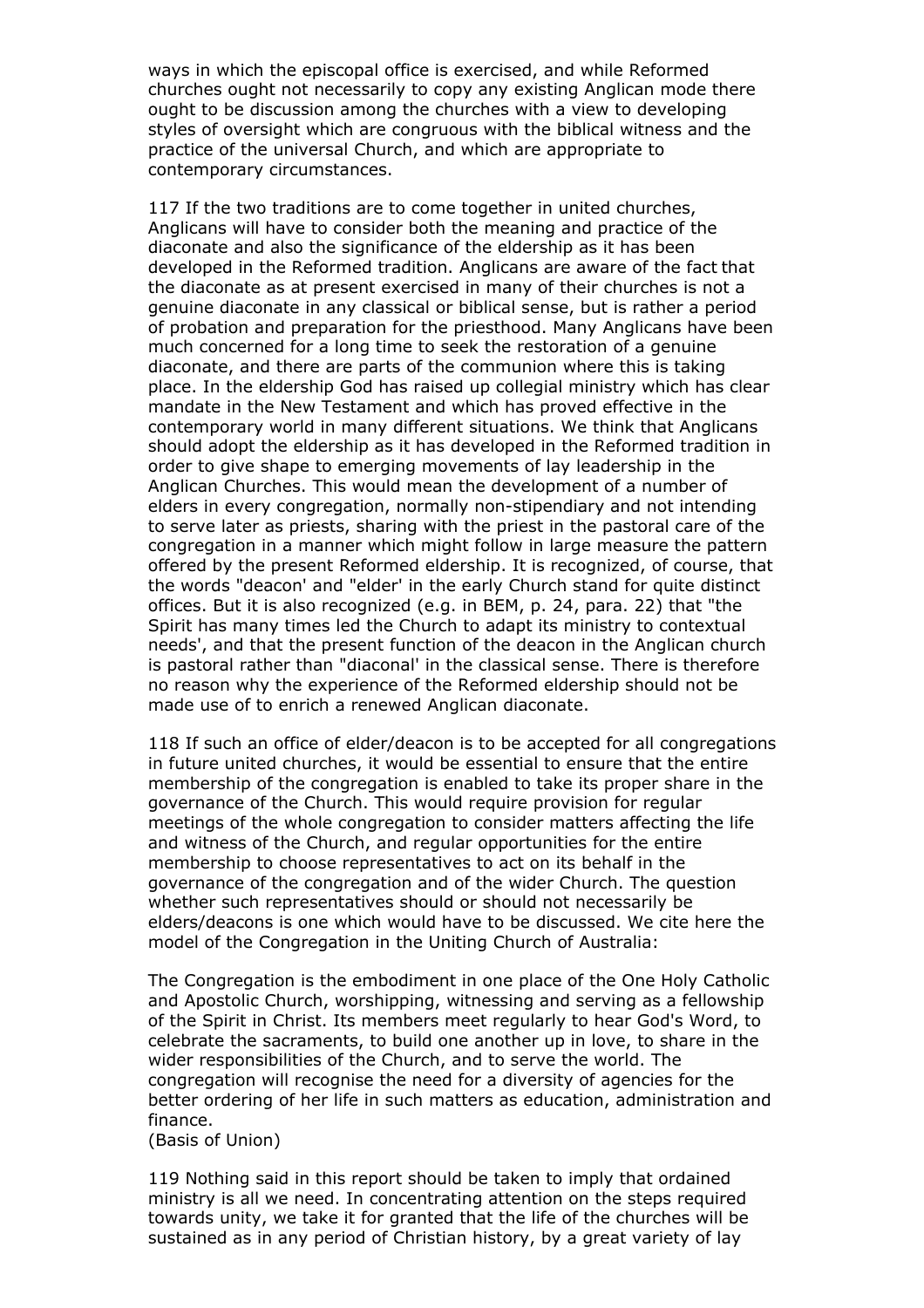ways in which the episcopal office is exercised, and while Reformed churches ought not necessarily to copy any existing Anglican mode there ought to be discussion among the churches with a view to developing styles of oversight which are congruous with the biblical witness and the practice of the universal Church, and which are appropriate to contemporary circumstances.

117 If the two traditions are to come together in united churches, Anglicans will have to consider both the meaning and practice of the diaconate and also the significance of the eldership as it has been developed in the Reformed tradition. Anglicans are aware of the fact that the diaconate as at present exercised in many of their churches is not a genuine diaconate in any classical or biblical sense, but is rather a period of probation and preparation for the priesthood. Many Anglicans have been much concerned for a long time to seek the restoration of a genuine diaconate, and there are parts of the communion where this is taking place. In the eldership God has raised up collegial ministry which has clear mandate in the New Testament and which has proved effective in the contemporary world in many different situations. We think that Anglicans should adopt the eldership as it has developed in the Reformed tradition in order to give shape to emerging movements of lay leadership in the Anglican Churches. This would mean the development of a number of elders in every congregation, normally non-stipendiary and not intending to serve later as priests, sharing with the priest in the pastoral care of the congregation in a manner which might follow in large measure the pattern offered by the present Reformed eldership. It is recognized, of course, that the words "deacon' and "elder' in the early Church stand for quite distinct offices. But it is also recognized (e.g. in BEM, p. 24, para. 22) that "the Spirit has many times led the Church to adapt its ministry to contextual needs', and that the present function of the deacon in the Anglican church is pastoral rather than "diaconal' in the classical sense. There is therefore no reason why the experience of the Reformed eldership should not be made use of to enrich a renewed Anglican diaconate.

118 If such an office of elder/deacon is to be accepted for all congregations in future united churches, it would be essential to ensure that the entire membership of the congregation is enabled to take its proper share in the governance of the Church. This would require provision for regular meetings of the whole congregation to consider matters affecting the life and witness of the Church, and regular opportunities for the entire membership to choose representatives to act on its behalf in the governance of the congregation and of the wider Church. The question whether such representatives should or should not necessarily be elders/deacons is one which would have to be discussed. We cite here the model of the Congregation in the Uniting Church of Australia:

The Congregation is the embodiment in one place of the One Holy Catholic and Apostolic Church, worshipping, witnessing and serving as a fellowship of the Spirit in Christ. Its members meet regularly to hear God's Word, to celebrate the sacraments, to build one another up in love, to share in the wider responsibilities of the Church, and to serve the world. The congregation will recognise the need for a diversity of agencies for the better ordering of her life in such matters as education, administration and finance.

(Basis of Union)

119 Nothing said in this report should be taken to imply that ordained ministry is all we need. In concentrating attention on the steps required towards unity, we take it for granted that the life of the churches will be sustained as in any period of Christian history, by a great variety of lay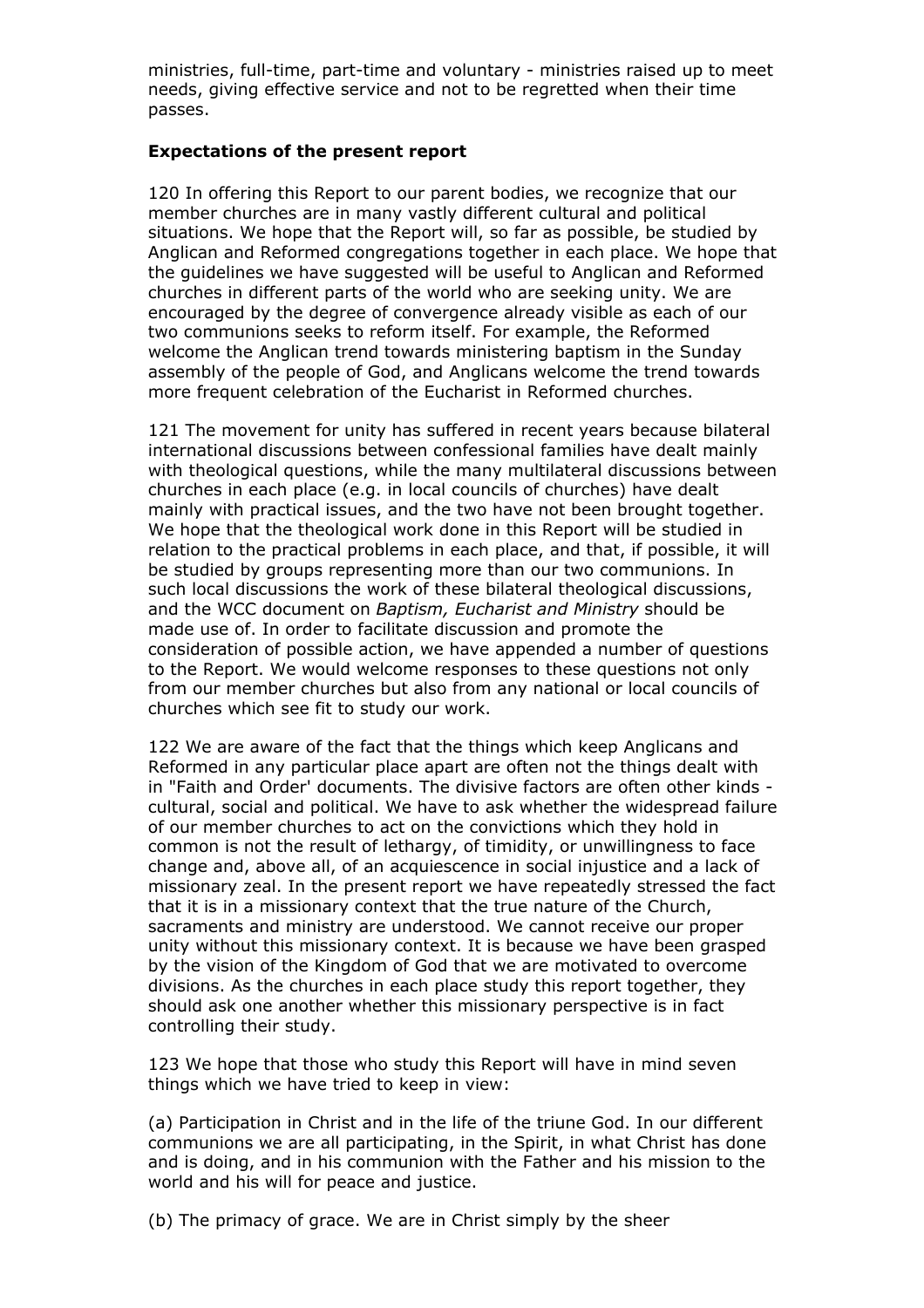ministries, full-time, part-time and voluntary - ministries raised up to meet needs, giving effective service and not to be regretted when their time passes.

# **Expectations of the present report**

120 In offering this Report to our parent bodies, we recognize that our member churches are in many vastly different cultural and political situations. We hope that the Report will, so far as possible, be studied by Anglican and Reformed congregations together in each place. We hope that the guidelines we have suggested will be useful to Anglican and Reformed churches in different parts of the world who are seeking unity. We are encouraged by the degree of convergence already visible as each of our two communions seeks to reform itself. For example, the Reformed welcome the Anglican trend towards ministering baptism in the Sunday assembly of the people of God, and Anglicans welcome the trend towards more frequent celebration of the Eucharist in Reformed churches.

121 The movement for unity has suffered in recent years because bilateral international discussions between confessional families have dealt mainly with theological questions, while the many multilateral discussions between churches in each place (e.g. in local councils of churches) have dealt mainly with practical issues, and the two have not been brought together. We hope that the theological work done in this Report will be studied in relation to the practical problems in each place, and that, if possible, it will be studied by groups representing more than our two communions. In such local discussions the work of these bilateral theological discussions, and the WCC document on *Baptism, Eucharist and Ministry* should be made use of. In order to facilitate discussion and promote the consideration of possible action, we have appended a number of questions to the Report. We would welcome responses to these questions not only from our member churches but also from any national or local councils of churches which see fit to study our work.

122 We are aware of the fact that the things which keep Anglicans and Reformed in any particular place apart are often not the things dealt with in "Faith and Order' documents. The divisive factors are often other kinds cultural, social and political. We have to ask whether the widespread failure of our member churches to act on the convictions which they hold in common is not the result of lethargy, of timidity, or unwillingness to face change and, above all, of an acquiescence in social injustice and a lack of missionary zeal. In the present report we have repeatedly stressed the fact that it is in a missionary context that the true nature of the Church, sacraments and ministry are understood. We cannot receive our proper unity without this missionary context. It is because we have been grasped by the vision of the Kingdom of God that we are motivated to overcome divisions. As the churches in each place study this report together, they should ask one another whether this missionary perspective is in fact controlling their study.

123 We hope that those who study this Report will have in mind seven things which we have tried to keep in view:

(a) Participation in Christ and in the life of the triune God. In our different communions we are all participating, in the Spirit, in what Christ has done and is doing, and in his communion with the Father and his mission to the world and his will for peace and justice.

(b) The primacy of grace. We are in Christ simply by the sheer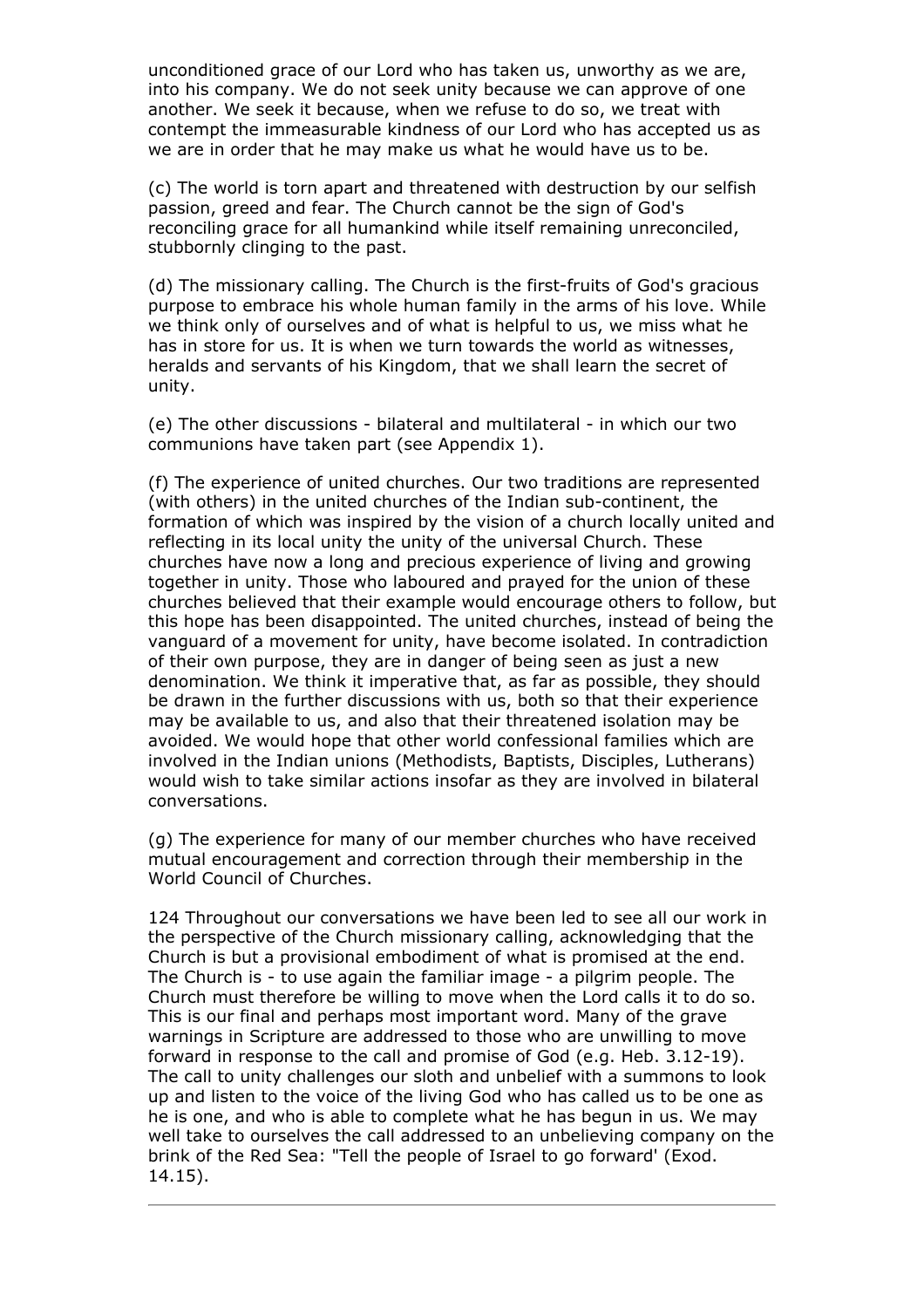unconditioned grace of our Lord who has taken us, unworthy as we are, into his company. We do not seek unity because we can approve of one another. We seek it because, when we refuse to do so, we treat with contempt the immeasurable kindness of our Lord who has accepted us as we are in order that he may make us what he would have us to be.

(c) The world is torn apart and threatened with destruction by our selfish passion, greed and fear. The Church cannot be the sign of God's reconciling grace for all humankind while itself remaining unreconciled, stubbornly clinging to the past.

(d) The missionary calling. The Church is the first-fruits of God's gracious purpose to embrace his whole human family in the arms of his love. While we think only of ourselves and of what is helpful to us, we miss what he has in store for us. It is when we turn towards the world as witnesses, heralds and servants of his Kingdom, that we shall learn the secret of unity.

(e) The other discussions - bilateral and multilateral - in which our two communions have taken part (see Appendix 1).

(f) The experience of united churches. Our two traditions are represented (with others) in the united churches of the Indian sub-continent, the formation of which was inspired by the vision of a church locally united and reflecting in its local unity the unity of the universal Church. These churches have now a long and precious experience of living and growing together in unity. Those who laboured and prayed for the union of these churches believed that their example would encourage others to follow, but this hope has been disappointed. The united churches, instead of being the vanguard of a movement for unity, have become isolated. In contradiction of their own purpose, they are in danger of being seen as just a new denomination. We think it imperative that, as far as possible, they should be drawn in the further discussions with us, both so that their experience may be available to us, and also that their threatened isolation may be avoided. We would hope that other world confessional families which are involved in the Indian unions (Methodists, Baptists, Disciples, Lutherans) would wish to take similar actions insofar as they are involved in bilateral conversations.

(g) The experience for many of our member churches who have received mutual encouragement and correction through their membership in the World Council of Churches.

124 Throughout our conversations we have been led to see all our work in the perspective of the Church missionary calling, acknowledging that the Church is but a provisional embodiment of what is promised at the end. The Church is - to use again the familiar image - a pilgrim people. The Church must therefore be willing to move when the Lord calls it to do so. This is our final and perhaps most important word. Many of the grave warnings in Scripture are addressed to those who are unwilling to move forward in response to the call and promise of God (e.g. Heb. 3.12-19). The call to unity challenges our sloth and unbelief with a summons to look up and listen to the voice of the living God who has called us to be one as he is one, and who is able to complete what he has begun in us. We may well take to ourselves the call addressed to an unbelieving company on the brink of the Red Sea: "Tell the people of Israel to go forward' (Exod. 14.15).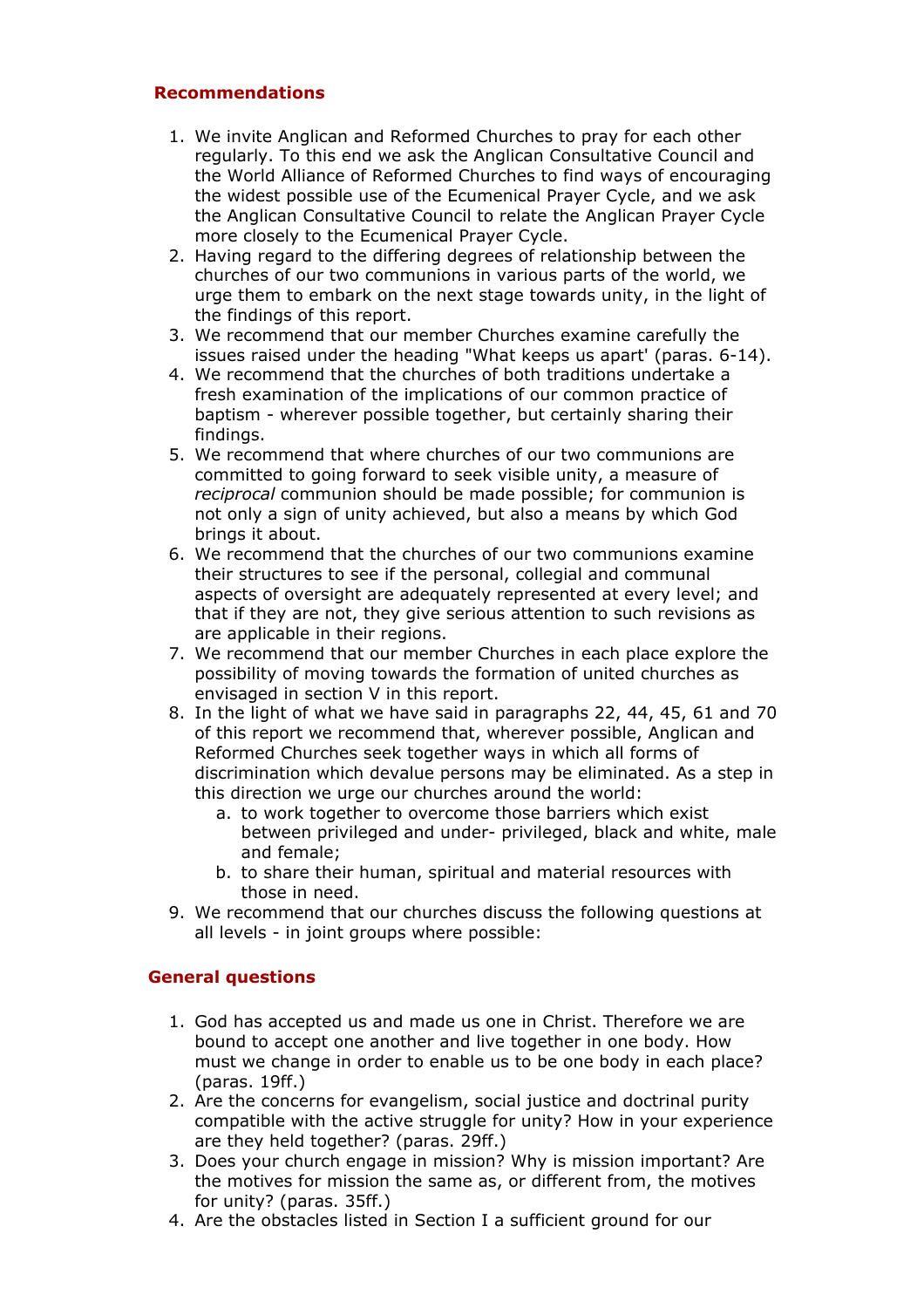### **Recommendations**

- We invite Anglican and Reformed Churches to pray for each other 1. regularly. To this end we ask the Anglican Consultative Council and the World Alliance of Reformed Churches to find ways of encouraging the widest possible use of the Ecumenical Prayer Cycle, and we ask the Anglican Consultative Council to relate the Anglican Prayer Cycle more closely to the Ecumenical Prayer Cycle.
- 2. Having regard to the differing degrees of relationship between the churches of our two communions in various parts of the world, we urge them to embark on the next stage towards unity, in the light of the findings of this report.
- 3. We recommend that our member Churches examine carefully the issues raised under the heading "What keeps us apart' (paras. 6-14).
- We recommend that the churches of both traditions undertake a 4. fresh examination of the implications of our common practice of baptism - wherever possible together, but certainly sharing their findings.
- 5. We recommend that where churches of our two communions are committed to going forward to seek visible unity, a measure of *reciprocal* communion should be made possible; for communion is not only a sign of unity achieved, but also a means by which God brings it about.
- We recommend that the churches of our two communions examine 6. their structures to see if the personal, collegial and communal aspects of oversight are adequately represented at every level; and that if they are not, they give serious attention to such revisions as are applicable in their regions.
- We recommend that our member Churches in each place explore the 7. possibility of moving towards the formation of united churches as envisaged in section V in this report.
- 8. In the light of what we have said in paragraphs 22, 44, 45, 61 and 70 of this report we recommend that, wherever possible, Anglican and Reformed Churches seek together ways in which all forms of discrimination which devalue persons may be eliminated. As a step in this direction we urge our churches around the world:
	- a. to work together to overcome those barriers which exist between privileged and under- privileged, black and white, male and female;
	- b. to share their human, spiritual and material resources with those in need.
- We recommend that our churches discuss the following questions at 9. all levels - in joint groups where possible:

# **General questions**

- 1. God has accepted us and made us one in Christ. Therefore we are bound to accept one another and live together in one body. How must we change in order to enable us to be one body in each place? (paras. 19ff.)
- 2. Are the concerns for evangelism, social justice and doctrinal purity compatible with the active struggle for unity? How in your experience are they held together? (paras. 29ff.)
- 3. Does your church engage in mission? Why is mission important? Are the motives for mission the same as, or different from, the motives for unity? (paras. 35ff.)
- 4. Are the obstacles listed in Section I a sufficient ground for our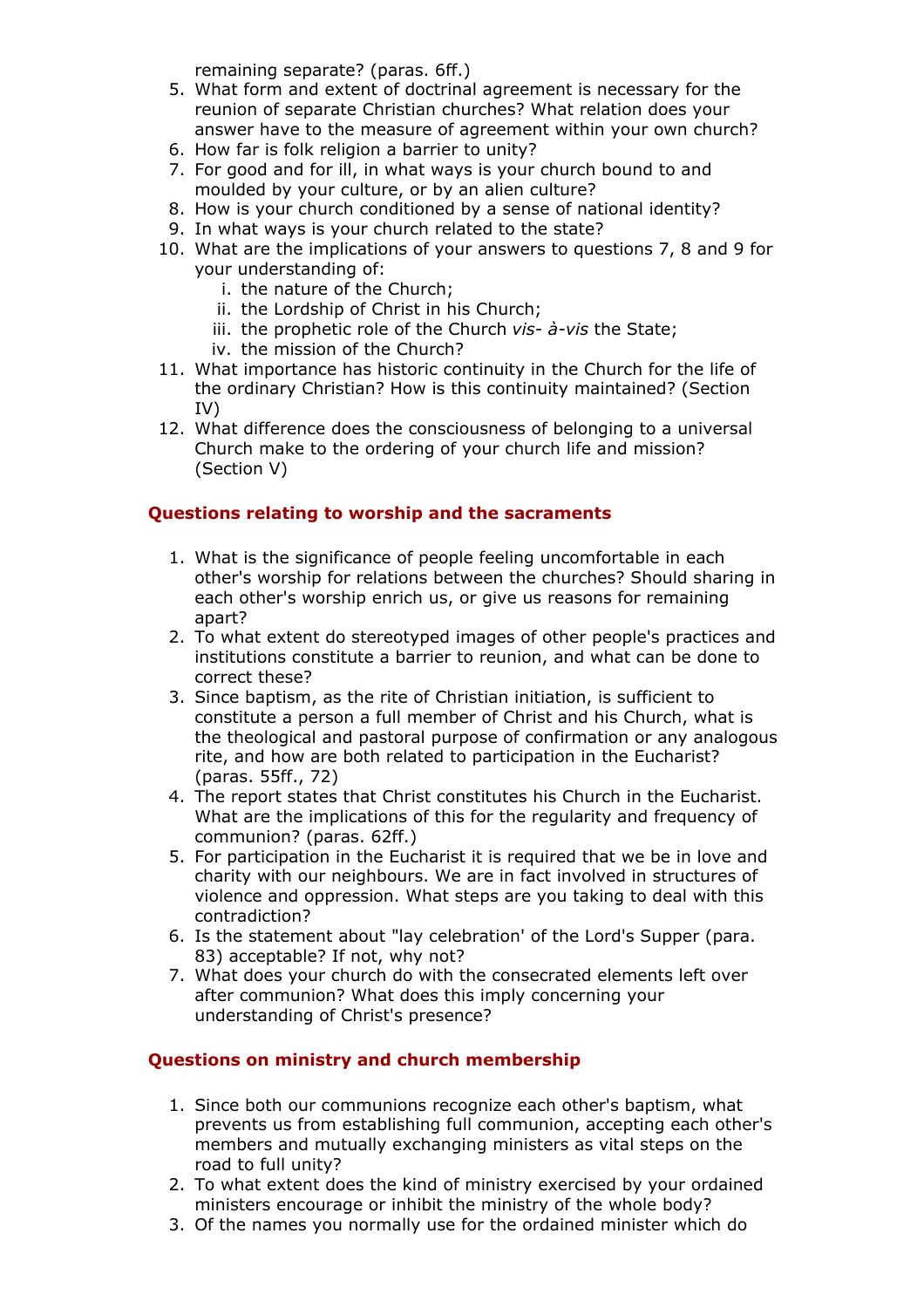remaining separate? (paras. 6ff.)

- What form and extent of doctrinal agreement is necessary for the 5. reunion of separate Christian churches? What relation does your answer have to the measure of agreement within your own church?
- 6. How far is folk religion a barrier to unity?
- 7. For good and for ill, in what ways is your church bound to and moulded by your culture, or by an alien culture?
- 8. How is your church conditioned by a sense of national identity?
- 9. In what ways is your church related to the state?
- What are the implications of your answers to questions 7, 8 and 9 for 10. your understanding of:
	- i. the nature of the Church;
	- ii. the Lordship of Christ in his Church;
	- iii. the prophetic role of the Church *vis- à-vis* the State;
	- iv. the mission of the Church?
- 11. What importance has historic continuity in the Church for the life of the ordinary Christian? How is this continuity maintained? (Section IV)
- What difference does the consciousness of belonging to a universal 12. Church make to the ordering of your church life and mission? (Section V)

# **Questions relating to worship and the sacraments**

- What is the significance of people feeling uncomfortable in each 1. other's worship for relations between the churches? Should sharing in each other's worship enrich us, or give us reasons for remaining apart?
- 2. To what extent do stereotyped images of other people's practices and institutions constitute a barrier to reunion, and what can be done to correct these?
- Since baptism, as the rite of Christian initiation, is sufficient to 3. constitute a person a full member of Christ and his Church, what is the theological and pastoral purpose of confirmation or any analogous rite, and how are both related to participation in the Eucharist? (paras. 55ff., 72)
- 4. The report states that Christ constitutes his Church in the Eucharist. What are the implications of this for the regularity and frequency of communion? (paras. 62ff.)
- 5. For participation in the Eucharist it is required that we be in love and charity with our neighbours. We are in fact involved in structures of violence and oppression. What steps are you taking to deal with this contradiction?
- 6. Is the statement about "lay celebration' of the Lord's Supper (para. 83) acceptable? If not, why not?
- What does your church do with the consecrated elements left over 7. after communion? What does this imply concerning your understanding of Christ's presence?

# **Questions on ministry and church membership**

- 1. Since both our communions recognize each other's baptism, what prevents us from establishing full communion, accepting each other's members and mutually exchanging ministers as vital steps on the road to full unity?
- 2. To what extent does the kind of ministry exercised by your ordained ministers encourage or inhibit the ministry of the whole body?
- 3. Of the names you normally use for the ordained minister which do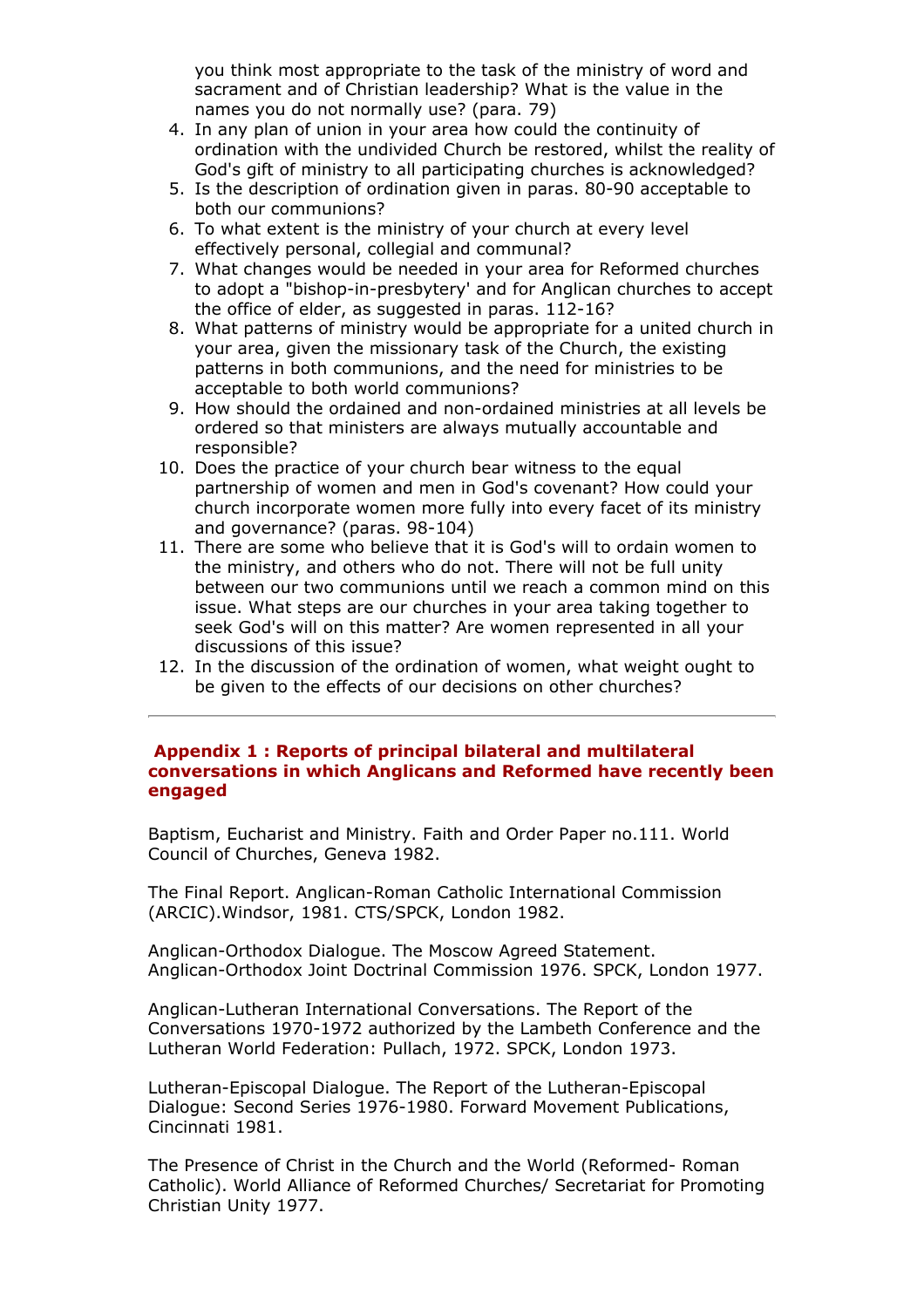you think most appropriate to the task of the ministry of word and sacrament and of Christian leadership? What is the value in the names you do not normally use? (para. 79)

- 4. In any plan of union in your area how could the continuity of ordination with the undivided Church be restored, whilst the reality of God's gift of ministry to all participating churches is acknowledged?
- 5. Is the description of ordination given in paras. 80-90 acceptable to both our communions?
- 6. To what extent is the ministry of your church at every level effectively personal, collegial and communal?
- What changes would be needed in your area for Reformed churches 7. to adopt a "bishop-in-presbytery' and for Anglican churches to accept the office of elder, as suggested in paras. 112-16?
- What patterns of ministry would be appropriate for a united church in 8. your area, given the missionary task of the Church, the existing patterns in both communions, and the need for ministries to be acceptable to both world communions?
- 9. How should the ordained and non-ordained ministries at all levels be ordered so that ministers are always mutually accountable and responsible?
- 10. Does the practice of your church bear witness to the equal partnership of women and men in God's covenant? How could your church incorporate women more fully into every facet of its ministry and governance? (paras. 98-104)
- 11. There are some who believe that it is God's will to ordain women to the ministry, and others who do not. There will not be full unity between our two communions until we reach a common mind on this issue. What steps are our churches in your area taking together to seek God's will on this matter? Are women represented in all your discussions of this issue?
- 12. In the discussion of the ordination of women, what weight ought to be given to the effects of our decisions on other churches?

### **Appendix 1 : Reports of principal bilateral and multilateral conversations in which Anglicans and Reformed have recently been engaged**

Baptism, Eucharist and Ministry. Faith and Order Paper no.111. World Council of Churches, Geneva 1982.

The Final Report. Anglican-Roman Catholic International Commission (ARCIC).Windsor, 1981. CTS/SPCK, London 1982.

Anglican-Orthodox Dialogue. The Moscow Agreed Statement. Anglican-Orthodox Joint Doctrinal Commission 1976. SPCK, London 1977.

Anglican-Lutheran International Conversations. The Report of the Conversations 1970-1972 authorized by the Lambeth Conference and the Lutheran World Federation: Pullach, 1972. SPCK, London 1973.

Lutheran-Episcopal Dialogue. The Report of the Lutheran-Episcopal Dialogue: Second Series 1976-1980. Forward Movement Publications, Cincinnati 1981.

The Presence of Christ in the Church and the World (Reformed- Roman Catholic). World Alliance of Reformed Churches/ Secretariat for Promoting Christian Unity 1977.